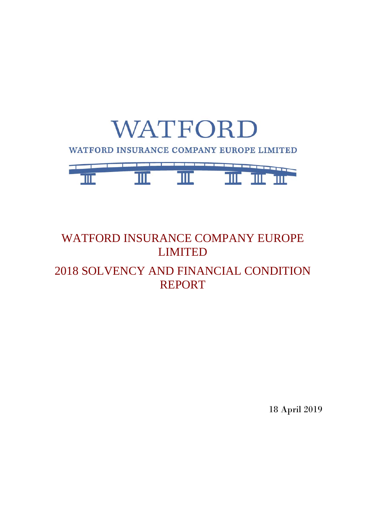

## WATFORD INSURANCE COMPANY EUROPE LIMITED 2018 SOLVENCY AND FINANCIAL CONDITION REPORT

18 April 2019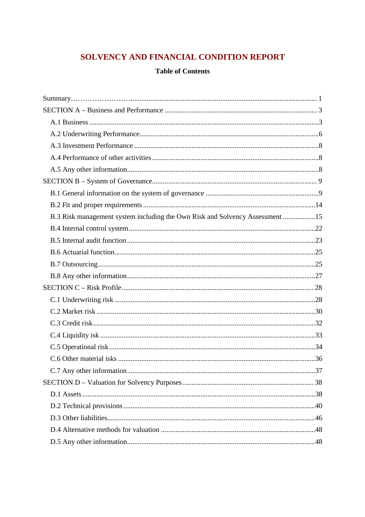## SOLVENCY AND FINANCIAL CONDITION REPORT

## **Table of Contents**

| B.3 Risk management system including the Own Risk and Solvency Assessment 15 |  |
|------------------------------------------------------------------------------|--|
|                                                                              |  |
|                                                                              |  |
|                                                                              |  |
|                                                                              |  |
|                                                                              |  |
|                                                                              |  |
|                                                                              |  |
|                                                                              |  |
|                                                                              |  |
|                                                                              |  |
|                                                                              |  |
|                                                                              |  |
|                                                                              |  |
|                                                                              |  |
|                                                                              |  |
|                                                                              |  |
|                                                                              |  |
|                                                                              |  |
|                                                                              |  |
|                                                                              |  |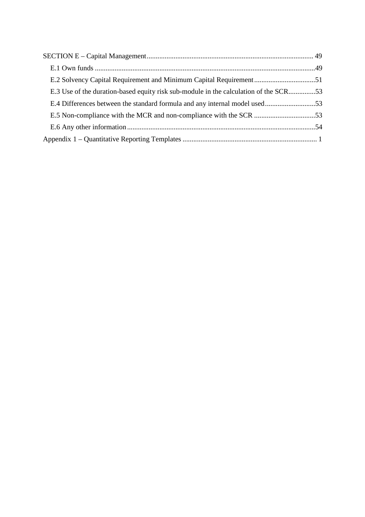| E.3 Use of the duration-based equity risk sub-module in the calculation of the SCR53 |  |
|--------------------------------------------------------------------------------------|--|
| E.4 Differences between the standard formula and any internal model used53           |  |
|                                                                                      |  |
|                                                                                      |  |
|                                                                                      |  |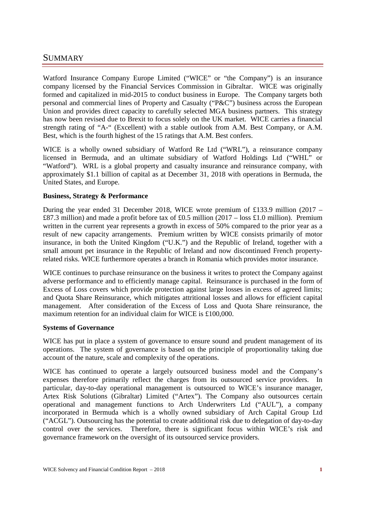## SUMMARY……………………

Watford Insurance Company Europe Limited ("WICE" or "the Company") is an insurance company licensed by the Financial Services Commission in Gibraltar. WICE was originally formed and capitalized in mid-2015 to conduct business in Europe. The Company targets both personal and commercial lines of Property and Casualty ("P&C") business across the European Union and provides direct capacity to carefully selected MGA business partners. This strategy has now been revised due to Brexit to focus solely on the UK market. WICE carries a financial strength rating of "A-" (Excellent) with a stable outlook from A.M. Best Company, or A.M. Best, which is the fourth highest of the 15 ratings that A.M. Best confers.

WICE is a wholly owned subsidiary of Watford Re Ltd ("WRL"), a reinsurance company licensed in Bermuda, and an ultimate subsidiary of Watford Holdings Ltd ("WHL" or "Watford"). WRL is a global property and casualty insurance and reinsurance company, with approximately \$1.1 billion of capital as at December 31, 2018 with operations in Bermuda, the United States, and Europe.

#### **Business, Strategy & Performance**

During the year ended 31 December 2018, WICE wrote premium of £133.9 million (2017 – £87.3 million) and made a profit before tax of £0.5 million (2017 – loss £1.0 million). Premium written in the current year represents a growth in excess of 50% compared to the prior year as a result of new capacity arrangements. Premium written by WICE consists primarily of motor insurance, in both the United Kingdom ("U.K.") and the Republic of Ireland, together with a small amount pet insurance in the Republic of Ireland and now discontinued French propertyrelated risks. WICE furthermore operates a branch in Romania which provides motor insurance.

WICE continues to purchase reinsurance on the business it writes to protect the Company against adverse performance and to efficiently manage capital. Reinsurance is purchased in the form of Excess of Loss covers which provide protection against large losses in excess of agreed limits; and Quota Share Reinsurance, which mitigates attritional losses and allows for efficient capital management. After consideration of the Excess of Loss and Quota Share reinsurance, the maximum retention for an individual claim for WICE is £100,000.

#### **Systems of Governance**

WICE has put in place a system of governance to ensure sound and prudent management of its operations. The system of governance is based on the principle of proportionality taking due account of the nature, scale and complexity of the operations.

WICE has continued to operate a largely outsourced business model and the Company's expenses therefore primarily reflect the charges from its outsourced service providers. In particular, day-to-day operational management is outsourced to WICE's insurance manager, Artex Risk Solutions (Gibraltar) Limited ("Artex"). The Company also outsources certain operational and management functions to Arch Underwriters Ltd ("AUL"), a company incorporated in Bermuda which is a wholly owned subsidiary of Arch Capital Group Ltd ("ACGL"). Outsourcing has the potential to create additional risk due to delegation of day-to-day control over the services. Therefore, there is significant focus within WICE's risk and governance framework on the oversight of its outsourced service providers.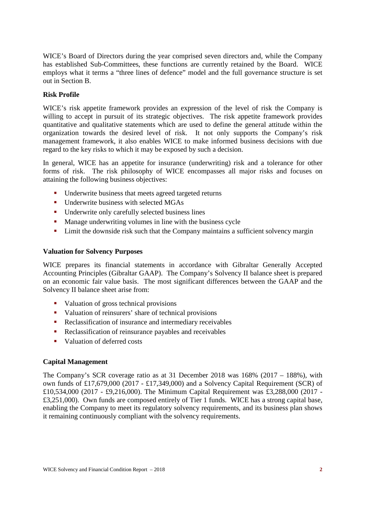WICE's Board of Directors during the year comprised seven directors and, while the Company has established Sub-Committees, these functions are currently retained by the Board. WICE employs what it terms a "three lines of defence" model and the full governance structure is set out in Section B.

#### **Risk Profile**

WICE's risk appetite framework provides an expression of the level of risk the Company is willing to accept in pursuit of its strategic objectives. The risk appetite framework provides quantitative and qualitative statements which are used to define the general attitude within the organization towards the desired level of risk. It not only supports the Company's risk management framework, it also enables WICE to make informed business decisions with due regard to the key risks to which it may be exposed by such a decision.

In general, WICE has an appetite for insurance (underwriting) risk and a tolerance for other forms of risk. The risk philosophy of WICE encompasses all major risks and focuses on attaining the following business objectives:

- Underwrite business that meets agreed targeted returns
- Underwrite business with selected MGAs
- Underwrite only carefully selected business lines
- **Manage underwriting volumes in line with the business cycle**
- **EXECUTE:** Limit the downside risk such that the Company maintains a sufficient solvency margin

#### **Valuation for Solvency Purposes**

WICE prepares its financial statements in accordance with Gibraltar Generally Accepted Accounting Principles (Gibraltar GAAP). The Company's Solvency II balance sheet is prepared on an economic fair value basis. The most significant differences between the GAAP and the Solvency II balance sheet arise from:

- Valuation of gross technical provisions
- valuation of reinsurers' share of technical provisions
- Reclassification of insurance and intermediary receivables
- Reclassification of reinsurance payables and receivables
- Valuation of deferred costs

#### **Capital Management**

The Company's SCR coverage ratio as at 31 December 2018 was 168% (2017 – 188%), with own funds of £17,679,000 (2017 - £17,349,000) and a Solvency Capital Requirement (SCR) of £10,534,000 (2017 - £9,216,000). The Minimum Capital Requirement was £3,288,000 (2017 - £3,251,000). Own funds are composed entirely of Tier 1 funds. WICE has a strong capital base, enabling the Company to meet its regulatory solvency requirements, and its business plan shows it remaining continuously compliant with the solvency requirements.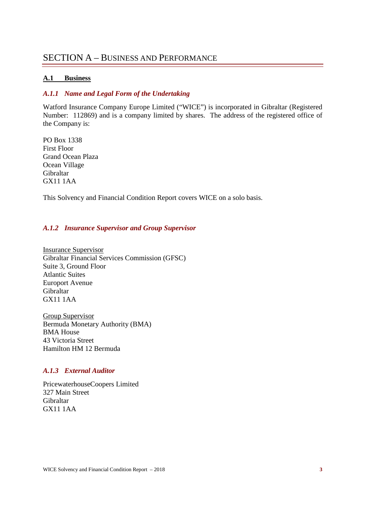## SECTION A – BUSINESS AND PERFORMANCE

#### **A.1 Business**

#### *A.1.1 Name and Legal Form of the Undertaking*

Watford Insurance Company Europe Limited ("WICE") is incorporated in Gibraltar (Registered Number: 112869) and is a company limited by shares. The address of the registered office of the Company is:

PO Box 1338 First Floor Grand Ocean Plaza Ocean Village Gibraltar GX11 1AA

This Solvency and Financial Condition Report covers WICE on a solo basis.

#### *A.1.2 Insurance Supervisor and Group Supervisor*

Insurance Supervisor Gibraltar Financial Services Commission (GFSC) Suite 3, Ground Floor Atlantic Suites Europort Avenue Gibraltar GX11 1AA

Group Supervisor Bermuda Monetary Authority (BMA) BMA House 43 Victoria Street Hamilton HM 12 Bermuda

#### *A.1.3 External Auditor*

PricewaterhouseCoopers Limited 327 Main Street Gibraltar GX11 1AA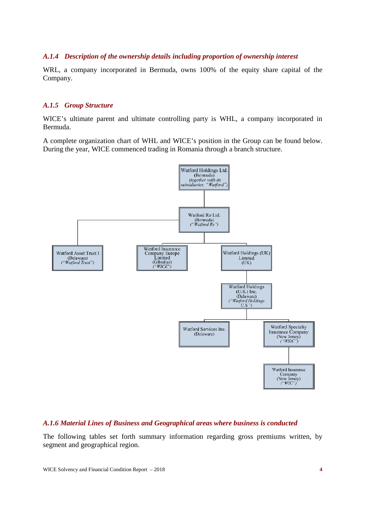#### *A.1.4 Description of the ownership details including proportion of ownership interest*

WRL, a company incorporated in Bermuda, owns 100% of the equity share capital of the Company.

#### *A.1.5 Group Structure*

WICE's ultimate parent and ultimate controlling party is WHL, a company incorporated in Bermuda.

A complete organization chart of WHL and WICE's position in the Group can be found below. During the year, WICE commenced trading in Romania through a branch structure.



#### *A.1.6 Material Lines of Business and Geographical areas where business is conducted*

The following tables set forth summary information regarding gross premiums written, by segment and geographical region.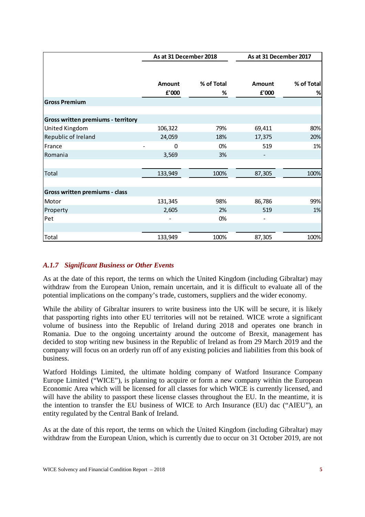|                                           | As at 31 December 2018 |            | As at 31 December 2017   |            |
|-------------------------------------------|------------------------|------------|--------------------------|------------|
|                                           |                        |            |                          |            |
|                                           | Amount                 | % of Total | Amount                   | % of Total |
|                                           | £'000                  | %          | £'000                    | %          |
| <b>Gross Premium</b>                      |                        |            |                          |            |
|                                           |                        |            |                          |            |
| <b>Gross written premiums - territory</b> |                        |            |                          |            |
| United Kingdom                            | 106,322                | 79%        | 69,411                   | 80%        |
| Republic of Ireland                       | 24,059                 | 18%        | 17,375                   | 20%        |
| France                                    | 0                      | 0%         | 519                      | 1%         |
| Romania                                   | 3,569                  | 3%         |                          |            |
|                                           |                        |            |                          |            |
| Total                                     | 133,949                | 100%       | 87,305                   | 100%       |
|                                           |                        |            |                          |            |
| Gross written premiums - class            |                        |            |                          |            |
| Motor                                     | 131,345                | 98%        | 86,786                   | 99%        |
| Property                                  | 2,605                  | 2%         | 519                      | 1%         |
| Pet                                       |                        | 0%         | $\overline{\phantom{a}}$ |            |
|                                           |                        |            |                          |            |
| Total                                     | 133,949                | 100%       | 87,305                   | 100%       |

## *A.1.7 Significant Business or Other Events*

As at the date of this report, the terms on which the United Kingdom (including Gibraltar) may withdraw from the European Union, remain uncertain, and it is difficult to evaluate all of the potential implications on the company's trade, customers, suppliers and the wider economy.

While the ability of Gibraltar insurers to write business into the UK will be secure, it is likely that passporting rights into other EU territories will not be retained. WICE wrote a significant volume of business into the Republic of Ireland during 2018 and operates one branch in Romania. Due to the ongoing uncertainty around the outcome of Brexit, management has decided to stop writing new business in the Republic of Ireland as from 29 March 2019 and the company will focus on an orderly run off of any existing policies and liabilities from this book of business.

Watford Holdings Limited, the ultimate holding company of Watford Insurance Company Europe Limited ("WICE"), is planning to acquire or form a new company within the European Economic Area which will be licensed for all classes for which WICE is currently licensed, and will have the ability to passport these license classes throughout the EU. In the meantime, it is the intention to transfer the EU business of WICE to Arch Insurance (EU) dac ("AIEU"), an entity regulated by the Central Bank of Ireland.

As at the date of this report, the terms on which the United Kingdom (including Gibraltar) may withdraw from the European Union, which is currently due to occur on 31 October 2019, are not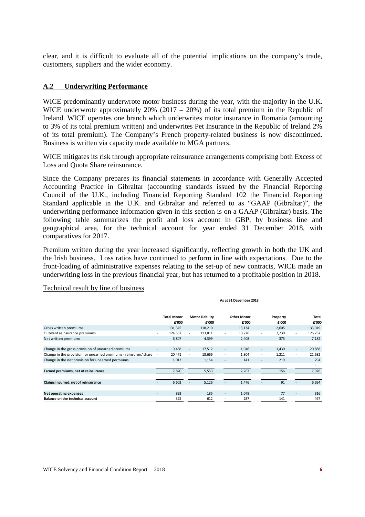clear, and it is difficult to evaluate all of the potential implications on the company's trade, customers, suppliers and the wider economy.

#### **A.2 Underwriting Performance**

WICE predominantly underwrote motor business during the year, with the majority in the U.K. WICE underwrote approximately 20% (2017 – 20%) of its total premium in the Republic of Ireland. WICE operates one branch which underwrites motor insurance in Romania (amounting to 3% of its total premium written) and underwrites Pet Insurance in the Republic of Ireland 2% of its total premium). The Company's French property-related business is now discontinued. Business is written via capacity made available to MGA partners.

WICE mitigates its risk through appropriate reinsurance arrangements comprising both Excess of Loss and Quota Share reinsurance.

Since the Company prepares its financial statements in accordance with Generally Accepted Accounting Practice in Gibraltar (accounting standards issued by the Financial Reporting Council of the U.K., including Financial Reporting Standard 102 the Financial Reporting Standard applicable in the U.K. and Gibraltar and referred to as "GAAP (Gibraltar)", the underwriting performance information given in this section is on a GAAP (Gibraltar) basis. The following table summarizes the profit and loss account in GBP, by business line and geographical area, for the technical account for year ended 31 December 2018, with comparatives for 2017.

Premium written during the year increased significantly, reflecting growth in both the UK and the Irish business. Loss ratios have continued to perform in line with expectations. Due to the front-loading of administrative expenses relating to the set-up of new contracts, WICE made an underwriting loss in the previous financial year, but has returned to a profitable position in 2018.

|                                                                   | As at 31 December 2018 |                             |                          |                                 |                          |                             |                          |                   |                          |                       |
|-------------------------------------------------------------------|------------------------|-----------------------------|--------------------------|---------------------------------|--------------------------|-----------------------------|--------------------------|-------------------|--------------------------|-----------------------|
|                                                                   |                        | <b>Total Motor</b><br>£'000 |                          | <b>Motor Liability</b><br>£'000 |                          | <b>Other Motor</b><br>£'000 |                          | Property<br>£'000 |                          | <b>Total</b><br>£'000 |
| Gross written premiums                                            |                        | 131,345                     |                          | 118,210                         |                          | 13,134                      |                          | 2,605             |                          | 133,949               |
| Outward reinsurance premiums                                      | ٠                      | 124,537                     |                          | 113,811                         | $\overline{\phantom{a}}$ | 10,726                      | $\overline{\phantom{a}}$ | 2,230             | ٠                        | 126,767               |
| Net written premiums                                              |                        | 6,807                       |                          | 4,399                           |                          | 2,408                       |                          | 375               |                          | 7,182                 |
|                                                                   |                        |                             |                          |                                 |                          |                             |                          |                   |                          |                       |
| Change in the gross provision of unearned premiums                | ٠                      | 19,458                      | $\overline{\phantom{a}}$ | 17,512                          | $\overline{\phantom{a}}$ | 1,946                       | $\overline{\phantom{a}}$ | 1,430             | $\overline{\phantom{a}}$ | 20,888                |
| Change in the provision for unearned premiums - reinsurers' share | $\sim$                 | 20,471                      | $\overline{\phantom{a}}$ | 18,666                          | $\overline{\phantom{a}}$ | 1,804                       | $\overline{\phantom{a}}$ | 1,211             | $\overline{\phantom{a}}$ | 21,682                |
| Change in the net provision for unearned permiums                 |                        | 1,013                       |                          | 1,154                           | $\overline{\phantom{a}}$ | 141                         | $\overline{\phantom{a}}$ | 219               |                          | 794                   |
|                                                                   |                        |                             |                          |                                 |                          |                             |                          |                   |                          | ۰.                    |
| Earned premiums, net of reinsurance                               |                        | 7,820                       |                          | 5,553                           |                          | 2,267                       |                          | 156               |                          | 7,976                 |
|                                                                   |                        |                             |                          |                                 |                          |                             |                          |                   |                          |                       |
| Claims incurred, net of reinsurance                               |                        | 6,602                       |                          | 5,126                           |                          | 1,476                       |                          | 91                |                          | 6,694                 |
|                                                                   |                        |                             |                          |                                 |                          |                             |                          |                   |                          |                       |
| Net operating expenses                                            |                        | 893                         |                          | 185                             |                          | 1,078                       |                          | 77                |                          | 816                   |
| Balance on the technical account                                  |                        | 325                         |                          | 612                             |                          | 287                         |                          | 141               |                          | 467                   |
|                                                                   |                        |                             |                          |                                 |                          |                             |                          |                   |                          |                       |

#### Technical result by line of business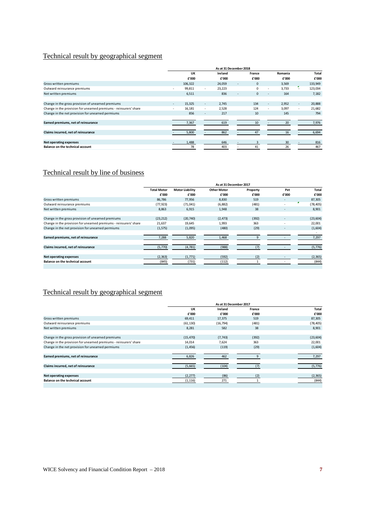## Technical result by geographical segment

|                                                                   | As at 31 December 2018   |         |        |         |                |              |                          |         |                          |              |
|-------------------------------------------------------------------|--------------------------|---------|--------|---------|----------------|--------------|--------------------------|---------|--------------------------|--------------|
|                                                                   |                          | UK      |        | Ireland |                | France       |                          | Romania |                          | <b>Total</b> |
|                                                                   |                          | £'000   |        | £'000   |                | £'000        |                          | £'000   |                          | £'000        |
| Gross written premiums                                            |                          | 106,322 |        | 24,059  | $\blacksquare$ | $\mathbf{0}$ |                          | 3,569   |                          | 133,949      |
| Outward reinsurance premiums                                      | ٠                        | 99,811  | ٠      | 23,223  |                | $\Omega$     | $\overline{\phantom{a}}$ | 3,733   | ٠                        | 123,034      |
| Net written premiums                                              |                          | 6,511   |        | 836     | $\blacksquare$ | $\Omega$     | $\overline{\phantom{a}}$ | 164     |                          | 7,182        |
|                                                                   |                          |         |        |         |                |              |                          |         |                          |              |
| Change in the gross provision of unearned premiums                | $\overline{\phantom{a}}$ | 15,325  | $\sim$ | 2.745   |                | 134          | $\overline{\phantom{a}}$ | 2,952   | $\overline{\phantom{a}}$ | 20,888       |
| Change in the provision for unearned premiums - reinsurers' share |                          | 16,181  | $\sim$ | 2,528   |                | 124          | $\sim$                   | 3,097   | $\sim$                   | 21,682       |
| Change in the net provision for unearned permiums                 |                          | 856     | $\sim$ | 217     |                | 10           |                          | 145     |                          | 794          |
|                                                                   |                          |         |        |         |                |              |                          |         |                          |              |
| Earned premiums, net of reinsurance                               |                          | 7,367   |        | 619     |                | 10           |                          | 20      |                          | 7,976        |
|                                                                   |                          |         |        |         |                |              |                          |         |                          |              |
| Claims incurred, net of reinsurance                               |                          | 5,800   |        | 862     |                | 47           |                          | 16      |                          | 6,694        |
|                                                                   |                          |         |        |         |                |              |                          |         |                          |              |
| <b>Net operating expenses</b>                                     |                          | 1,488   |        | 646     |                |              |                          | 30      |                          | 816          |
| Balance on the technical account                                  |                          | 78      |        | 403     |                | 41           |                          | 26      |                          | 467          |

## Technical result by line of business

|                                                                   | As at 31 December 2017 |                        |                    |              |                |           |  |
|-------------------------------------------------------------------|------------------------|------------------------|--------------------|--------------|----------------|-----------|--|
|                                                                   | <b>Total Motor</b>     | <b>Motor Liability</b> | <b>Other Motor</b> | Property     | Pet            | Total     |  |
|                                                                   | £'000                  | £'000                  | £'000              | £'000        | £'000          | £'000     |  |
| Gross written premiums                                            | 86,786                 | 77,956                 | 8,830              | 519          | $\overline{a}$ | 87,305    |  |
| Outward reinsurance premiums                                      | (77, 923)              | (71, 041)              | (6, 882)           | (481)        |                | (78, 405) |  |
| Net written premiums                                              | 8,863                  | 6,915                  | 1,948              | 38           |                | 8,901     |  |
|                                                                   |                        |                        |                    |              |                |           |  |
| Change in the gross provision of unearned premiums                | (23, 212)              | (20,740)               | (2, 473)           | (392)        |                | (23, 604) |  |
| Change in the provision for unearned premiums - reinsurers' share | 21,637                 | 19,645                 | 1,993              | 363          |                | 22,001    |  |
| Change in the net provision for unearned permiums                 | (1, 575)               | (1,095)                | (480)              | (29)         |                | (1,604)   |  |
|                                                                   |                        |                        |                    |              |                |           |  |
| Earned premiums, net of reinsurance                               | 7,288                  | 5,820                  | 1,468              | $\mathbf{q}$ |                | 7,297     |  |
|                                                                   |                        |                        |                    |              |                |           |  |
| Claims incurred, net of reinsurance                               | (5,770)                | (4, 781)               | (988)              | (7)          |                | (5, 776)  |  |
|                                                                   |                        |                        |                    |              |                |           |  |
| <b>Net operating expenses</b>                                     | (2, 363)               | (1, 771)               | (592)              | (2)          |                | (2, 365)  |  |
| <b>Balance on the technical account</b>                           | (845)                  | (731)                  | (112)              |              |                | (844)     |  |
|                                                                   |                        |                        |                    |              |                |           |  |

## Technical result by geographical segment

|                                                                   | As at 31 December 2017 |           |        |              |
|-------------------------------------------------------------------|------------------------|-----------|--------|--------------|
|                                                                   | UK                     | Ireland   | France | <b>Total</b> |
|                                                                   | £'000                  | £'000     | £'000  | £'000        |
| Gross written premiums                                            | 69,411                 | 17,375    | 519    | 87,305       |
| Outward reinsurance premiums                                      | (61, 130)              | (16, 794) | (481)  | (78, 405)    |
| Net written premiums                                              | 8,281                  | 582       | 38     | 8,901        |
|                                                                   |                        |           |        |              |
| Change in the gross provision of unearned premiums                | (15, 470)              | (7, 743)  | (392)  | (23, 604)    |
| Change in the provision for unearned premiums - reinsurers' share | 14,014                 | 7,624     | 363    | 22,001       |
| Change in the net provision for unearned permiums                 | (1, 456)               | (119)     | (29)   | (1,604)      |
| Earned premiums, net of reinsurance                               | 6,826                  | 462       |        | 7,297        |
| Claims incurred, net of reinsurance                               | (5,665)                | (104)     | (7)    | (5, 776)     |
|                                                                   |                        |           |        |              |
| Net operating expenses                                            | (2, 277)               | (86)      | (2)    | (2, 365)     |
| Balance on the technical account                                  | (1, 116)               | 271       |        | (844)        |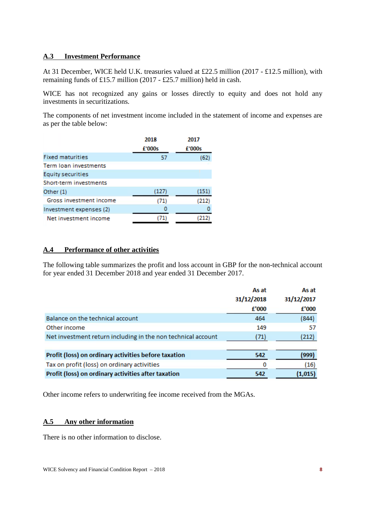## **A.3 Investment Performance**

At 31 December, WICE held U.K. treasuries valued at £22.5 million (2017 - £12.5 million), with remaining funds of £15.7 million (2017 - £25.7 million) held in cash.

WICE has not recognized any gains or losses directly to equity and does not hold any investments in securitizations.

The components of net investment income included in the statement of income and expenses are as per the table below:

|                         | 2018   | 2017   |
|-------------------------|--------|--------|
|                         | £'000s | £'000s |
| <b>Fixed maturities</b> | 57     | (62)   |
| Term Joan investments   |        |        |
| Equity securities       |        |        |
| Short-term investments  |        |        |
| Other (1)               | (127)  | (151)  |
| Gross investment income | (71)   | (212)  |
| Investment expenses (2) | 0      |        |
| Net investment income   |        |        |
|                         |        |        |

#### **A.4 Performance of other activities**

The following table summarizes the profit and loss account in GBP for the non-technical account for year ended 31 December 2018 and year ended 31 December 2017.

|                                                              | As at<br>31/12/2018 | As at<br>31/12/2017 |
|--------------------------------------------------------------|---------------------|---------------------|
|                                                              | £'000               | £'000               |
| Balance on the technical account                             | 464                 | (844)               |
| Other income                                                 | 149                 | 57                  |
| Net investment return including in the non technical account | (71)                | (212)               |
|                                                              |                     |                     |
| Profit (loss) on ordinary activities before taxation         | 542                 | (999)               |
| Tax on profit (loss) on ordinary activities                  | 0                   | (16)                |
| Profit (loss) on ordinary activities after taxation          | 542                 | (1,015)             |

Other income refers to underwriting fee income received from the MGAs.

#### **A.5 Any other information**

There is no other information to disclose.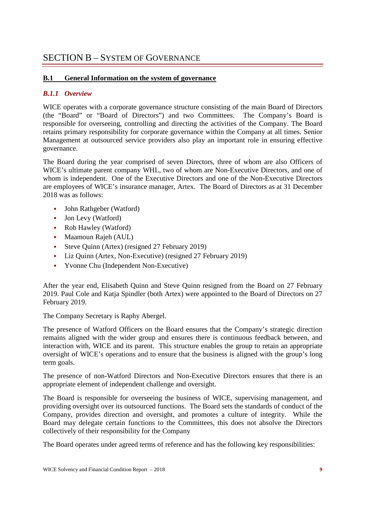## SECTION B – SYSTEM OF GOVERNANCE

## **B.1 General Information on the system of governance**

## *B.1.1 Overview*

WICE operates with a corporate governance structure consisting of the main Board of Directors (the "Board" or "Board of Directors") and two Committees. The Company's Board is responsible for overseeing, controlling and directing the activities of the Company. The Board retains primary responsibility for corporate governance within the Company at all times. Senior Management at outsourced service providers also play an important role in ensuring effective governance.

The Board during the year comprised of seven Directors, three of whom are also Officers of WICE's ultimate parent company WHL, two of whom are Non-Executive Directors, and one of whom is independent. One of the Executive Directors and one of the Non-Executive Directors are employees of WICE's insurance manager, Artex. The Board of Directors as at 31 December 2018 was as follows:

- John Rathgeber (Watford)
- Jon Levy (Watford)
- Rob Hawley (Watford)
- Maamoun Rajeh (AUL)
- Steve Quinn (Artex) (resigned 27 February 2019)
- Liz Quinn (Artex, Non-Executive) (resigned 27 February 2019)
- Yvonne Chu (Independent Non-Executive)

After the year end, Elisabeth Quinn and Steve Quinn resigned from the Board on 27 February 2019. Paul Cole and Katja Spindler (both Artex) were appointed to the Board of Directors on 27 February 2019.

The Company Secretary is Raphy Abergel.

The presence of Watford Officers on the Board ensures that the Company's strategic direction remains aligned with the wider group and ensures there is continuous feedback between, and interaction with, WICE and its parent. This structure enables the group to retain an appropriate oversight of WICE's operations and to ensure that the business is aligned with the group's long term goals.

The presence of non-Watford Directors and Non-Executive Directors ensures that there is an appropriate element of independent challenge and oversight.

The Board is responsible for overseeing the business of WICE, supervising management, and providing oversight over its outsourced functions. The Board sets the standards of conduct of the Company, provides direction and oversight, and promotes a culture of integrity. While the Board may delegate certain functions to the Committees, this does not absolve the Directors collectively of their responsibility for the Company

The Board operates under agreed terms of reference and has the following key responsibilities: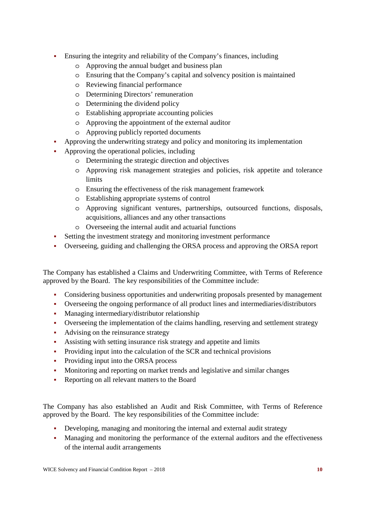- Ensuring the integrity and reliability of the Company's finances, including
	- o Approving the annual budget and business plan
	- o Ensuring that the Company's capital and solvency position is maintained
	- o Reviewing financial performance
	- o Determining Directors' remuneration
	- o Determining the dividend policy
	- o Establishing appropriate accounting policies
	- o Approving the appointment of the external auditor
	- o Approving publicly reported documents
- Approving the underwriting strategy and policy and monitoring its implementation
- Approving the operational policies, including
	- o Determining the strategic direction and objectives
	- o Approving risk management strategies and policies, risk appetite and tolerance limits
	- o Ensuring the effectiveness of the risk management framework
	- o Establishing appropriate systems of control
	- o Approving significant ventures, partnerships, outsourced functions, disposals, acquisitions, alliances and any other transactions
	- o Overseeing the internal audit and actuarial functions
- Setting the investment strategy and monitoring investment performance
- Overseeing, guiding and challenging the ORSA process and approving the ORSA report

The Company has established a Claims and Underwriting Committee, with Terms of Reference approved by the Board. The key responsibilities of the Committee include:

- Considering business opportunities and underwriting proposals presented by management
- Overseeing the ongoing performance of all product lines and intermediaries/distributors
- Managing intermediary/distributor relationship
- Overseeing the implementation of the claims handling, reserving and settlement strategy
- Advising on the reinsurance strategy
- Assisting with setting insurance risk strategy and appetite and limits
- Providing input into the calculation of the SCR and technical provisions
- Providing input into the ORSA process
- Monitoring and reporting on market trends and legislative and similar changes
- Reporting on all relevant matters to the Board

The Company has also established an Audit and Risk Committee, with Terms of Reference approved by the Board. The key responsibilities of the Committee include:

- Developing, managing and monitoring the internal and external audit strategy
- Managing and monitoring the performance of the external auditors and the effectiveness of the internal audit arrangements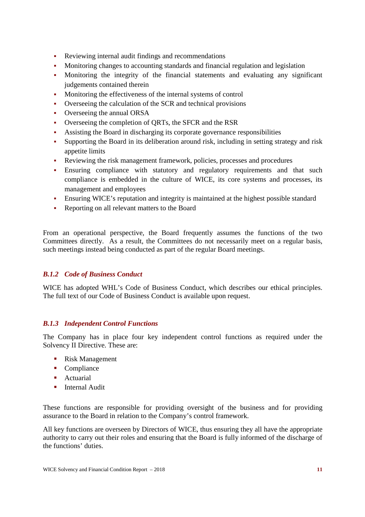- Reviewing internal audit findings and recommendations
- Monitoring changes to accounting standards and financial regulation and legislation
- Monitoring the integrity of the financial statements and evaluating any significant judgements contained therein
- Monitoring the effectiveness of the internal systems of control
- Overseeing the calculation of the SCR and technical provisions
- Overseeing the annual ORSA
- Overseeing the completion of QRTs, the SFCR and the RSR
- Assisting the Board in discharging its corporate governance responsibilities
- Supporting the Board in its deliberation around risk, including in setting strategy and risk appetite limits
- Reviewing the risk management framework, policies, processes and procedures
- Ensuring compliance with statutory and regulatory requirements and that such compliance is embedded in the culture of WICE, its core systems and processes, its management and employees
- Ensuring WICE's reputation and integrity is maintained at the highest possible standard
- Reporting on all relevant matters to the Board

From an operational perspective, the Board frequently assumes the functions of the two Committees directly. As a result, the Committees do not necessarily meet on a regular basis, such meetings instead being conducted as part of the regular Board meetings.

#### *B.1.2 Code of Business Conduct*

WICE has adopted WHL's Code of Business Conduct, which describes our ethical principles. The full text of our Code of Business Conduct is available upon request.

#### *B.1.3 Independent Control Functions*

The Company has in place four key independent control functions as required under the Solvency II Directive. These are:

- Risk Management
- Compliance
- **Actuarial**
- **Internal Audit**

These functions are responsible for providing oversight of the business and for providing assurance to the Board in relation to the Company's control framework.

All key functions are overseen by Directors of WICE, thus ensuring they all have the appropriate authority to carry out their roles and ensuring that the Board is fully informed of the discharge of the functions' duties.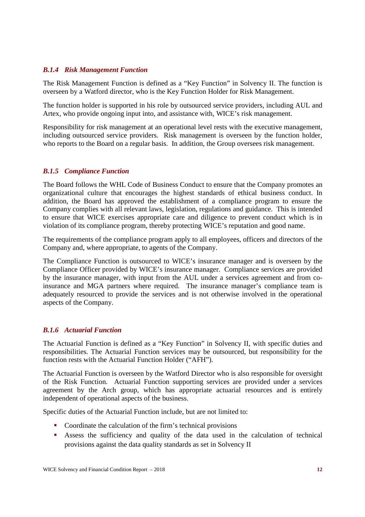#### *B.1.4 Risk Management Function*

The Risk Management Function is defined as a "Key Function" in Solvency II. The function is overseen by a Watford director, who is the Key Function Holder for Risk Management.

The function holder is supported in his role by outsourced service providers, including AUL and Artex, who provide ongoing input into, and assistance with, WICE's risk management.

Responsibility for risk management at an operational level rests with the executive management, including outsourced service providers. Risk management is overseen by the function holder, who reports to the Board on a regular basis. In addition, the Group oversees risk management.

#### *B.1.5 Compliance Function*

The Board follows the WHL Code of Business Conduct to ensure that the Company promotes an organizational culture that encourages the highest standards of ethical business conduct. In addition, the Board has approved the establishment of a compliance program to ensure the Company complies with all relevant laws, legislation, regulations and guidance. This is intended to ensure that WICE exercises appropriate care and diligence to prevent conduct which is in violation of its compliance program, thereby protecting WICE's reputation and good name.

The requirements of the compliance program apply to all employees, officers and directors of the Company and, where appropriate, to agents of the Company.

The Compliance Function is outsourced to WICE's insurance manager and is overseen by the Compliance Officer provided by WICE's insurance manager. Compliance services are provided by the insurance manager, with input from the AUL under a services agreement and from coinsurance and MGA partners where required. The insurance manager's compliance team is adequately resourced to provide the services and is not otherwise involved in the operational aspects of the Company.

#### *B.1.6 Actuarial Function*

The Actuarial Function is defined as a "Key Function" in Solvency II, with specific duties and responsibilities. The Actuarial Function services may be outsourced, but responsibility for the function rests with the Actuarial Function Holder ("AFH").

The Actuarial Function is overseen by the Watford Director who is also responsible for oversight of the Risk Function. Actuarial Function supporting services are provided under a services agreement by the Arch group, which has appropriate actuarial resources and is entirely independent of operational aspects of the business.

Specific duties of the Actuarial Function include, but are not limited to:

- Coordinate the calculation of the firm's technical provisions
- Assess the sufficiency and quality of the data used in the calculation of technical provisions against the data quality standards as set in Solvency II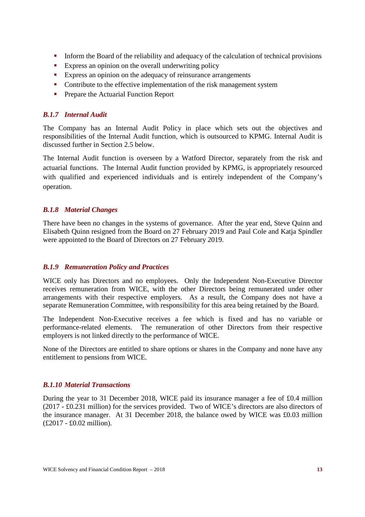- Inform the Board of the reliability and adequacy of the calculation of technical provisions
- **Express an opinion on the overall underwriting policy**
- Express an opinion on the adequacy of reinsurance arrangements
- Contribute to the effective implementation of the risk management system
- **Prepare the Actuarial Function Report**

## *B.1.7 Internal Audit*

The Company has an Internal Audit Policy in place which sets out the objectives and responsibilities of the Internal Audit function, which is outsourced to KPMG. Internal Audit is discussed further in Section 2.5 below.

The Internal Audit function is overseen by a Watford Director, separately from the risk and actuarial functions. The Internal Audit function provided by KPMG, is appropriately resourced with qualified and experienced individuals and is entirely independent of the Company's operation.

#### *B.1.8 Material Changes*

There have been no changes in the systems of governance. After the year end, Steve Quinn and Elisabeth Quinn resigned from the Board on 27 February 2019 and Paul Cole and Katja Spindler were appointed to the Board of Directors on 27 February 2019.

#### *B.1.9 Remuneration Policy and Practices*

WICE only has Directors and no employees. Only the Independent Non-Executive Director receives remuneration from WICE, with the other Directors being remunerated under other arrangements with their respective employers. As a result, the Company does not have a separate Remuneration Committee, with responsibility for this area being retained by the Board.

The Independent Non-Executive receives a fee which is fixed and has no variable or performance-related elements. The remuneration of other Directors from their respective employers is not linked directly to the performance of WICE.

None of the Directors are entitled to share options or shares in the Company and none have any entitlement to pensions from WICE.

#### *B.1.10 Material Transactions*

During the year to 31 December 2018, WICE paid its insurance manager a fee of £0.4 million (2017 - £0.231 million) for the services provided. Two of WICE's directors are also directors of the insurance manager. At 31 December 2018, the balance owed by WICE was £0.03 million (£2017 - £0.02 million).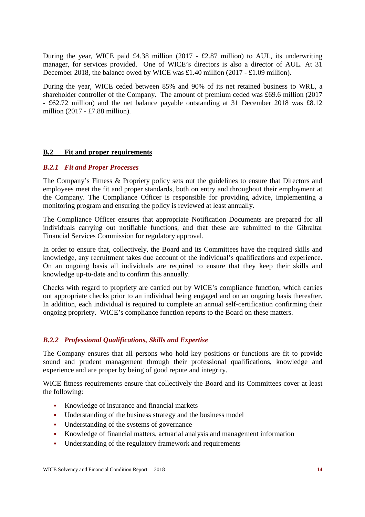During the year, WICE paid £4.38 million (2017 - £2.87 million) to AUL, its underwriting manager, for services provided. One of WICE's directors is also a director of AUL. At 31 December 2018, the balance owed by WICE was £1.40 million (2017 - £1.09 million).

During the year, WICE ceded between 85% and 90% of its net retained business to WRL, a shareholder controller of the Company. The amount of premium ceded was £69.6 million (2017 - £62.72 million) and the net balance payable outstanding at 31 December 2018 was £8.12 million (2017 - £7.88 million).

#### **B.2 Fit and proper requirements**

#### *B.2.1 Fit and Proper Processes*

The Company's Fitness & Propriety policy sets out the guidelines to ensure that Directors and employees meet the fit and proper standards, both on entry and throughout their employment at the Company. The Compliance Officer is responsible for providing advice, implementing a monitoring program and ensuring the policy is reviewed at least annually.

The Compliance Officer ensures that appropriate Notification Documents are prepared for all individuals carrying out notifiable functions, and that these are submitted to the Gibraltar Financial Services Commission for regulatory approval.

In order to ensure that, collectively, the Board and its Committees have the required skills and knowledge, any recruitment takes due account of the individual's qualifications and experience. On an ongoing basis all individuals are required to ensure that they keep their skills and knowledge up-to-date and to confirm this annually.

Checks with regard to propriety are carried out by WICE's compliance function, which carries out appropriate checks prior to an individual being engaged and on an ongoing basis thereafter. In addition, each individual is required to complete an annual self-certification confirming their ongoing propriety. WICE's compliance function reports to the Board on these matters.

#### *B.2.2 Professional Qualifications, Skills and Expertise*

The Company ensures that all persons who hold key positions or functions are fit to provide sound and prudent management through their professional qualifications, knowledge and experience and are proper by being of good repute and integrity.

WICE fitness requirements ensure that collectively the Board and its Committees cover at least the following:

- Knowledge of insurance and financial markets
- Understanding of the business strategy and the business model
- Understanding of the systems of governance
- Knowledge of financial matters, actuarial analysis and management information
- Understanding of the regulatory framework and requirements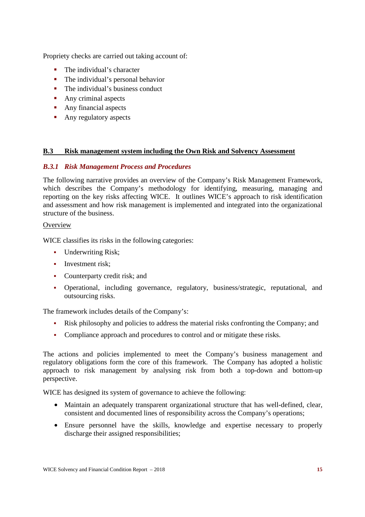Propriety checks are carried out taking account of:

- The individual's character
- The individual's personal behavior
- The individual's business conduct
- **Any criminal aspects**
- Any financial aspects
- Any regulatory aspects

#### **B.3 Risk management system including the Own Risk and Solvency Assessment**

#### *B.3.1 Risk Management Process and Procedures*

The following narrative provides an overview of the Company's Risk Management Framework, which describes the Company's methodology for identifying, measuring, managing and reporting on the key risks affecting WICE. It outlines WICE's approach to risk identification and assessment and how risk management is implemented and integrated into the organizational structure of the business.

## **Overview**

WICE classifies its risks in the following categories:

- Underwriting Risk;
- **Investment risk:**
- Counterparty credit risk; and
- Operational, including governance, regulatory, business/strategic, reputational, and outsourcing risks.

The framework includes details of the Company's:

- Risk philosophy and policies to address the material risks confronting the Company; and
- Compliance approach and procedures to control and or mitigate these risks.

The actions and policies implemented to meet the Company's business management and regulatory obligations form the core of this framework. The Company has adopted a holistic approach to risk management by analysing risk from both a top-down and bottom-up perspective.

WICE has designed its system of governance to achieve the following:

- Maintain an adequately transparent organizational structure that has well-defined, clear, consistent and documented lines of responsibility across the Company's operations;
- Ensure personnel have the skills, knowledge and expertise necessary to properly discharge their assigned responsibilities;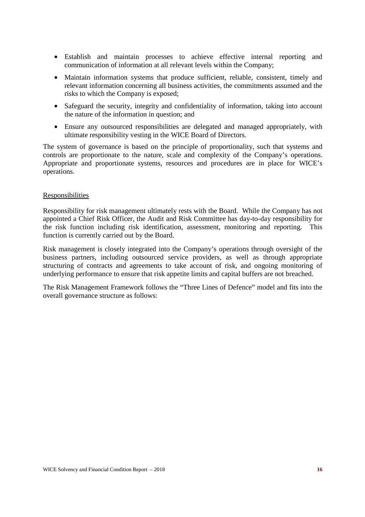- Establish and maintain processes to achieve effective internal reporting and communication of information at all relevant levels within the Company;
- Maintain information systems that produce sufficient, reliable, consistent, timely and relevant information concerning all business activities, the commitments assumed and the risks to which the Company is exposed;
- Safeguard the security, integrity and confidentiality of information, taking into account the nature of the information in question; and
- Ensure any outsourced responsibilities are delegated and managed appropriately, with ultimate responsibility vesting in the WICE Board of Directors.

The system of governance is based on the principle of proportionality, such that systems and controls are proportionate to the nature, scale and complexity of the Company's operations. Appropriate and proportionate systems, resources and procedures are in place for WICE's operations.

#### Responsibilities

Responsibility for risk management ultimately rests with the Board. While the Company has not appointed a Chief Risk Officer, the Audit and Risk Committee has day-to-day responsibility for the risk function including risk identification, assessment, monitoring and reporting. This function is currently carried out by the Board.

Risk management is closely integrated into the Company's operations through oversight of the business partners, including outsourced service providers, as well as through appropriate structuring of contracts and agreements to take account of risk, and ongoing monitoring of underlying performance to ensure that risk appetite limits and capital buffers are not breached.

The Risk Management Framework follows the "Three Lines of Defence" model and fits into the overall governance structure as follows: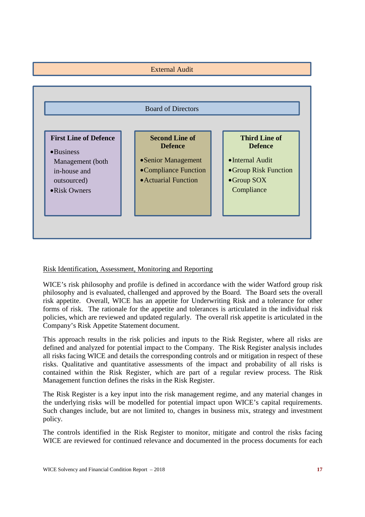

## Risk Identification, Assessment, Monitoring and Reporting

WICE's risk philosophy and profile is defined in accordance with the wider Watford group risk philosophy and is evaluated, challenged and approved by the Board. The Board sets the overall risk appetite. Overall, WICE has an appetite for Underwriting Risk and a tolerance for other forms of risk. The rationale for the appetite and tolerances is articulated in the individual risk policies, which are reviewed and updated regularly. The overall risk appetite is articulated in the Company's Risk Appetite Statement document.

This approach results in the risk policies and inputs to the Risk Register, where all risks are defined and analyzed for potential impact to the Company. The Risk Register analysis includes all risks facing WICE and details the corresponding controls and or mitigation in respect of these risks. Qualitative and quantitative assessments of the impact and probability of all risks is contained within the Risk Register, which are part of a regular review process. The Risk Management function defines the risks in the Risk Register.

The Risk Register is a key input into the risk management regime, and any material changes in the underlying risks will be modelled for potential impact upon WICE's capital requirements. Such changes include, but are not limited to, changes in business mix, strategy and investment policy.

The controls identified in the Risk Register to monitor, mitigate and control the risks facing WICE are reviewed for continued relevance and documented in the process documents for each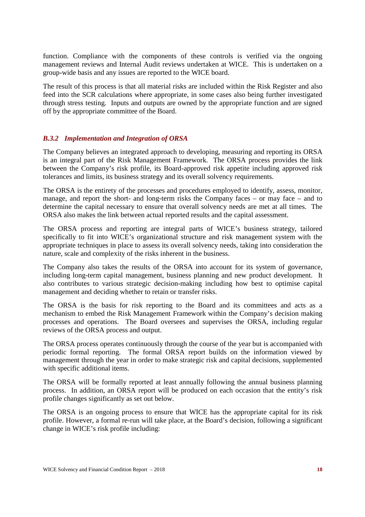function. Compliance with the components of these controls is verified via the ongoing management reviews and Internal Audit reviews undertaken at WICE. This is undertaken on a group-wide basis and any issues are reported to the WICE board.

The result of this process is that all material risks are included within the Risk Register and also feed into the SCR calculations where appropriate, in some cases also being further investigated through stress testing. Inputs and outputs are owned by the appropriate function and are signed off by the appropriate committee of the Board.

#### *B.3.2 Implementation and Integration of ORSA*

The Company believes an integrated approach to developing, measuring and reporting its ORSA is an integral part of the Risk Management Framework. The ORSA process provides the link between the Company's risk profile, its Board-approved risk appetite including approved risk tolerances and limits, its business strategy and its overall solvency requirements.

The ORSA is the entirety of the processes and procedures employed to identify, assess, monitor, manage, and report the short- and long-term risks the Company faces – or may face – and to determine the capital necessary to ensure that overall solvency needs are met at all times. The ORSA also makes the link between actual reported results and the capital assessment.

The ORSA process and reporting are integral parts of WICE's business strategy, tailored specifically to fit into WICE's organizational structure and risk management system with the appropriate techniques in place to assess its overall solvency needs, taking into consideration the nature, scale and complexity of the risks inherent in the business.

The Company also takes the results of the ORSA into account for its system of governance, including long-term capital management, business planning and new product development. It also contributes to various strategic decision-making including how best to optimise capital management and deciding whether to retain or transfer risks.

The ORSA is the basis for risk reporting to the Board and its committees and acts as a mechanism to embed the Risk Management Framework within the Company's decision making processes and operations. The Board oversees and supervises the ORSA, including regular reviews of the ORSA process and output.

The ORSA process operates continuously through the course of the year but is accompanied with periodic formal reporting. The formal ORSA report builds on the information viewed by management through the year in order to make strategic risk and capital decisions, supplemented with specific additional items.

The ORSA will be formally reported at least annually following the annual business planning process. In addition, an ORSA report will be produced on each occasion that the entity's risk profile changes significantly as set out below.

The ORSA is an ongoing process to ensure that WICE has the appropriate capital for its risk profile. However, a formal re-run will take place, at the Board's decision, following a significant change in WICE's risk profile including: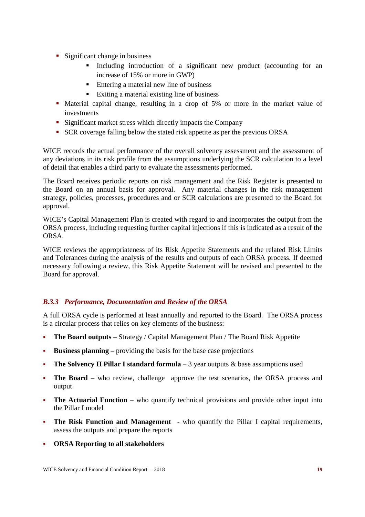- Significant change in business
	- Including introduction of a significant new product (accounting for an increase of 15% or more in GWP)
	- Entering a material new line of business
	- Exiting a material existing line of business
- Material capital change, resulting in a drop of 5% or more in the market value of investments
- **Significant market stress which directly impacts the Company**
- SCR coverage falling below the stated risk appetite as per the previous ORSA

WICE records the actual performance of the overall solvency assessment and the assessment of any deviations in its risk profile from the assumptions underlying the SCR calculation to a level of detail that enables a third party to evaluate the assessments performed.

The Board receives periodic reports on risk management and the Risk Register is presented to the Board on an annual basis for approval. Any material changes in the risk management strategy, policies, processes, procedures and or SCR calculations are presented to the Board for approval.

WICE's Capital Management Plan is created with regard to and incorporates the output from the ORSA process, including requesting further capital injections if this is indicated as a result of the ORSA.

WICE reviews the appropriateness of its Risk Appetite Statements and the related Risk Limits and Tolerances during the analysis of the results and outputs of each ORSA process. If deemed necessary following a review, this Risk Appetite Statement will be revised and presented to the Board for approval.

## *B.3.3 Performance, Documentation and Review of the ORSA*

A full ORSA cycle is performed at least annually and reported to the Board. The ORSA process is a circular process that relies on key elements of the business:

- **The Board outputs**  Strategy / Capital Management Plan / The Board Risk Appetite
- **Business planning** providing the basis for the base case projections
- **The Solvency II Pillar I standard formula** 3 year outputs & base assumptions used
- **The Board**  who review, challenge approve the test scenarios, the ORSA process and output
- **The Actuarial Function**  who quantify technical provisions and provide other input into the Pillar I model
- **The Risk Function and Management**  who quantify the Pillar I capital requirements, assess the outputs and prepare the reports
- **ORSA Reporting to all stakeholders**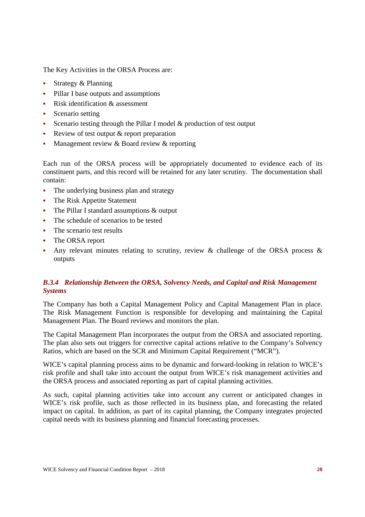The Key Activities in the ORSA Process are:

- Strategy & Planning
- Pillar I base outputs and assumptions
- Risk identification  $&$  assessment
- Scenario setting
- Scenario testing through the Pillar I model & production of test output
- Review of test output  $&$  report preparation
- Management review  $&$  Board review  $&$  reporting

Each run of the ORSA process will be appropriately documented to evidence each of its constituent parts, and this record will be retained for any later scrutiny. The documentation shall contain:

- The underlying business plan and strategy
- The Risk Appetite Statement
- The Pillar I standard assumptions & output
- The schedule of scenarios to be tested
- The scenario test results
- The ORSA report
- Any relevant minutes relating to scrutiny, review & challenge of the ORSA process & outputs

## *B.3.4 Relationship Between the ORSA, Solvency Needs, and Capital and Risk Management Systems*

The Company has both a Capital Management Policy and Capital Management Plan in place. The Risk Management Function is responsible for developing and maintaining the Capital Management Plan. The Board reviews and monitors the plan.

The Capital Management Plan incorporates the output from the ORSA and associated reporting. The plan also sets out triggers for corrective capital actions relative to the Company's Solvency Ratios, which are based on the SCR and Minimum Capital Requirement ("MCR").

WICE's capital planning process aims to be dynamic and forward-looking in relation to WICE's risk profile and shall take into account the output from WICE's risk management activities and the ORSA process and associated reporting as part of capital planning activities.

As such, capital planning activities take into account any current or anticipated changes in WICE's risk profile, such as those reflected in its business plan, and forecasting the related impact on capital. In addition, as part of its capital planning, the Company integrates projected capital needs with its business planning and financial forecasting processes.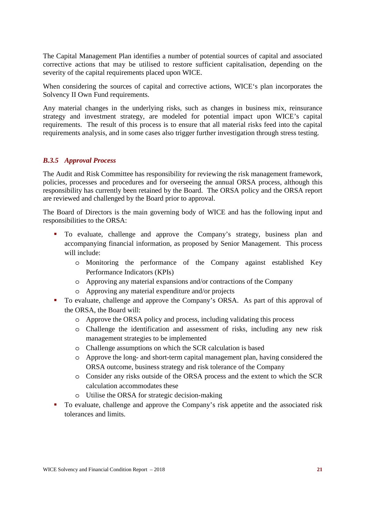The Capital Management Plan identifies a number of potential sources of capital and associated corrective actions that may be utilised to restore sufficient capitalisation, depending on the severity of the capital requirements placed upon WICE.

When considering the sources of capital and corrective actions, WICE's plan incorporates the Solvency II Own Fund requirements.

Any material changes in the underlying risks, such as changes in business mix, reinsurance strategy and investment strategy, are modeled for potential impact upon WICE's capital requirements. The result of this process is to ensure that all material risks feed into the capital requirements analysis, and in some cases also trigger further investigation through stress testing.

#### *B.3.5 Approval Process*

The Audit and Risk Committee has responsibility for reviewing the risk management framework, policies, processes and procedures and for overseeing the annual ORSA process, although this responsibility has currently been retained by the Board. The ORSA policy and the ORSA report are reviewed and challenged by the Board prior to approval.

The Board of Directors is the main governing body of WICE and has the following input and responsibilities to the ORSA:

- To evaluate, challenge and approve the Company's strategy, business plan and accompanying financial information, as proposed by Senior Management. This process will include:
	- o Monitoring the performance of the Company against established Key Performance Indicators (KPIs)
	- o Approving any material expansions and/or contractions of the Company
	- o Approving any material expenditure and/or projects
- To evaluate, challenge and approve the Company's ORSA. As part of this approval of the ORSA, the Board will:
	- o Approve the ORSA policy and process, including validating this process
	- o Challenge the identification and assessment of risks, including any new risk management strategies to be implemented
	- o Challenge assumptions on which the SCR calculation is based
	- o Approve the long- and short-term capital management plan, having considered the ORSA outcome, business strategy and risk tolerance of the Company
	- o Consider any risks outside of the ORSA process and the extent to which the SCR calculation accommodates these
	- o Utilise the ORSA for strategic decision-making
- To evaluate, challenge and approve the Company's risk appetite and the associated risk tolerances and limits.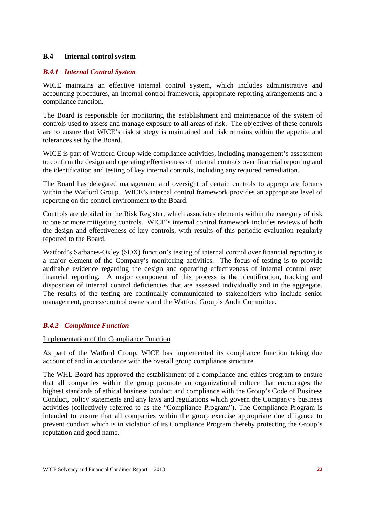#### **B.4 Internal control system**

#### *B.4.1 Internal Control System*

WICE maintains an effective internal control system, which includes administrative and accounting procedures, an internal control framework, appropriate reporting arrangements and a compliance function.

The Board is responsible for monitoring the establishment and maintenance of the system of controls used to assess and manage exposure to all areas of risk. The objectives of these controls are to ensure that WICE's risk strategy is maintained and risk remains within the appetite and tolerances set by the Board.

WICE is part of Watford Group-wide compliance activities, including management's assessment to confirm the design and operating effectiveness of internal controls over financial reporting and the identification and testing of key internal controls, including any required remediation.

The Board has delegated management and oversight of certain controls to appropriate forums within the Watford Group. WICE's internal control framework provides an appropriate level of reporting on the control environment to the Board.

Controls are detailed in the Risk Register, which associates elements within the category of risk to one or more mitigating controls. WICE's internal control framework includes reviews of both the design and effectiveness of key controls, with results of this periodic evaluation regularly reported to the Board.

Watford's Sarbanes-Oxley (SOX) function's testing of internal control over financial reporting is a major element of the Company's monitoring activities. The focus of testing is to provide auditable evidence regarding the design and operating effectiveness of internal control over financial reporting. A major component of this process is the identification, tracking and disposition of internal control deficiencies that are assessed individually and in the aggregate. The results of the testing are continually communicated to stakeholders who include senior management, process/control owners and the Watford Group's Audit Committee.

## *B.4.2 Compliance Function*

#### Implementation of the Compliance Function

As part of the Watford Group, WICE has implemented its compliance function taking due account of and in accordance with the overall group compliance structure.

The WHL Board has approved the establishment of a compliance and ethics program to ensure that all companies within the group promote an organizational culture that encourages the highest standards of ethical business conduct and compliance with the Group's Code of Business Conduct, policy statements and any laws and regulations which govern the Company's business activities (collectively referred to as the "Compliance Program"). The Compliance Program is intended to ensure that all companies within the group exercise appropriate due diligence to prevent conduct which is in violation of its Compliance Program thereby protecting the Group's reputation and good name.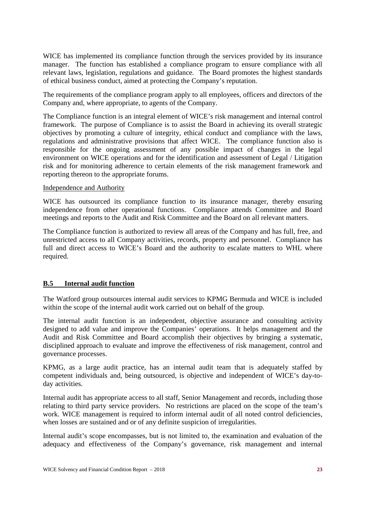WICE has implemented its compliance function through the services provided by its insurance manager. The function has established a compliance program to ensure compliance with all relevant laws, legislation, regulations and guidance. The Board promotes the highest standards of ethical business conduct, aimed at protecting the Company's reputation.

The requirements of the compliance program apply to all employees, officers and directors of the Company and, where appropriate, to agents of the Company.

The Compliance function is an integral element of WICE's risk management and internal control framework. The purpose of Compliance is to assist the Board in achieving its overall strategic objectives by promoting a culture of integrity, ethical conduct and compliance with the laws, regulations and administrative provisions that affect WICE. The compliance function also is responsible for the ongoing assessment of any possible impact of changes in the legal environment on WICE operations and for the identification and assessment of Legal / Litigation risk and for monitoring adherence to certain elements of the risk management framework and reporting thereon to the appropriate forums.

#### Independence and Authority

WICE has outsourced its compliance function to its insurance manager, thereby ensuring independence from other operational functions. Compliance attends Committee and Board meetings and reports to the Audit and Risk Committee and the Board on all relevant matters.

The Compliance function is authorized to review all areas of the Company and has full, free, and unrestricted access to all Company activities, records, property and personnel. Compliance has full and direct access to WICE's Board and the authority to escalate matters to WHL where required.

#### **B.5 Internal audit function**

The Watford group outsources internal audit services to KPMG Bermuda and WICE is included within the scope of the internal audit work carried out on behalf of the group.

The internal audit function is an independent, objective assurance and consulting activity designed to add value and improve the Companies' operations. It helps management and the Audit and Risk Committee and Board accomplish their objectives by bringing a systematic, disciplined approach to evaluate and improve the effectiveness of risk management, control and governance processes.

KPMG, as a large audit practice, has an internal audit team that is adequately staffed by competent individuals and, being outsourced, is objective and independent of WICE's day-today activities.

Internal audit has appropriate access to all staff, Senior Management and records, including those relating to third party service providers. No restrictions are placed on the scope of the team's work. WICE management is required to inform internal audit of all noted control deficiencies, when losses are sustained and or of any definite suspicion of irregularities.

Internal audit's scope encompasses, but is not limited to, the examination and evaluation of the adequacy and effectiveness of the Company's governance, risk management and internal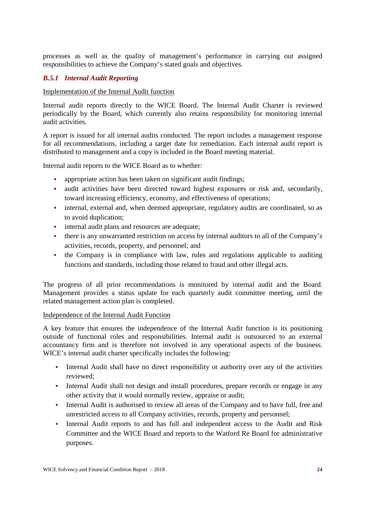processes as well as the quality of management's performance in carrying out assigned responsibilities to achieve the Company's stated goals and objectives.

## *B.5.1 Internal Audit Reporting*

#### Implementation of the Internal Audit function

Internal audit reports directly to the WICE Board. The Internal Audit Charter is reviewed periodically by the Board, which currently also retains responsibility for monitoring internal audit activities.

A report is issued for all internal audits conducted. The report includes a management response for all recommendations, including a target date for remediation. Each internal audit report is distributed to management and a copy is included in the Board meeting material.

Internal audit reports to the WICE Board as to whether:

- appropriate action has been taken on significant audit findings;
- audit activities have been directed toward highest exposures or risk and, secondarily, toward increasing efficiency, economy, and effectiveness of operations;
- internal, external and, when deemed appropriate, regulatory audits are coordinated, so as to avoid duplication;
- internal audit plans and resources are adequate;
- there is any unwarranted restriction on access by internal auditors to all of the Company's activities, records, property, and personnel; and
- the Company is in compliance with law, rules and regulations applicable to auditing functions and standards, including those related to fraud and other illegal acts.

The progress of all prior recommendations is monitored by internal audit and the Board. Management provides a status update for each quarterly audit committee meeting, until the related management action plan is completed.

#### Independence of the Internal Audit Function

A key feature that ensures the independence of the Internal Audit function is its positioning outside of functional roles and responsibilities. Internal audit is outsourced to an external accountancy firm and is therefore not involved in any operational aspects of the business. WICE's internal audit charter specifically includes the following:

- Internal Audit shall have no direct responsibility or authority over any of the activities reviewed;
- Internal Audit shall not design and install procedures, prepare records or engage in any other activity that it would normally review, appraise or audit;
- Internal Audit is authorised to review all areas of the Company and to have full, free and unrestricted access to all Company activities, records, property and personnel;
- Internal Audit reports to and has full and independent access to the Audit and Risk Committee and the WICE Board and reports to the Watford Re Board for administrative purposes.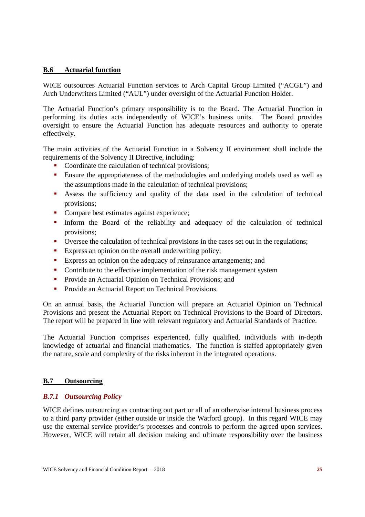#### **B.6 Actuarial function**

WICE outsources Actuarial Function services to Arch Capital Group Limited ("ACGL") and Arch Underwriters Limited ("AUL") under oversight of the Actuarial Function Holder.

The Actuarial Function's primary responsibility is to the Board. The Actuarial Function in performing its duties acts independently of WICE's business units. The Board provides oversight to ensure the Actuarial Function has adequate resources and authority to operate effectively.

The main activities of the Actuarial Function in a Solvency II environment shall include the requirements of the Solvency II Directive, including:

- Coordinate the calculation of technical provisions;
- Ensure the appropriateness of the methodologies and underlying models used as well as the assumptions made in the calculation of technical provisions;
- Assess the sufficiency and quality of the data used in the calculation of technical provisions;
- Compare best estimates against experience;
- Inform the Board of the reliability and adequacy of the calculation of technical provisions;
- Oversee the calculation of technical provisions in the cases set out in the regulations;
- Express an opinion on the overall underwriting policy;
- **Express an opinion on the adequacy of reinsurance arrangements; and**
- Contribute to the effective implementation of the risk management system
- **Provide an Actuarial Opinion on Technical Provisions; and**
- **•** Provide an Actuarial Report on Technical Provisions.

On an annual basis, the Actuarial Function will prepare an Actuarial Opinion on Technical Provisions and present the Actuarial Report on Technical Provisions to the Board of Directors. The report will be prepared in line with relevant regulatory and Actuarial Standards of Practice.

The Actuarial Function comprises experienced, fully qualified, individuals with in-depth knowledge of actuarial and financial mathematics. The function is staffed appropriately given the nature, scale and complexity of the risks inherent in the integrated operations.

#### **B.7 Outsourcing**

#### *B.7.1 Outsourcing Policy*

WICE defines outsourcing as contracting out part or all of an otherwise internal business process to a third party provider (either outside or inside the Watford group). In this regard WICE may use the external service provider's processes and controls to perform the agreed upon services. However, WICE will retain all decision making and ultimate responsibility over the business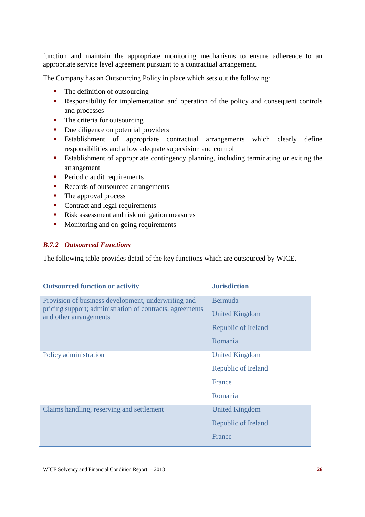function and maintain the appropriate monitoring mechanisms to ensure adherence to an appropriate service level agreement pursuant to a contractual arrangement.

The Company has an Outsourcing Policy in place which sets out the following:

- The definition of outsourcing
- Responsibility for implementation and operation of the policy and consequent controls and processes
- The criteria for outsourcing
- Due diligence on potential providers
- Establishment of appropriate contractual arrangements which clearly define responsibilities and allow adequate supervision and control
- Establishment of appropriate contingency planning, including terminating or exiting the arrangement
- **Periodic audit requirements**
- Records of outsourced arrangements
- The approval process
- Contract and legal requirements
- Risk assessment and risk mitigation measures
- Monitoring and on-going requirements

#### *B.7.2 Outsourced Functions*

The following table provides detail of the key functions which are outsourced by WICE.

| <b>Outsourced function or activity</b>                                             | <b>Jurisdiction</b>   |
|------------------------------------------------------------------------------------|-----------------------|
| Provision of business development, underwriting and                                | Bermuda               |
| pricing support; administration of contracts, agreements<br>and other arrangements | <b>United Kingdom</b> |
|                                                                                    | Republic of Ireland   |
|                                                                                    | Romania               |
| Policy administration                                                              | <b>United Kingdom</b> |
|                                                                                    | Republic of Ireland   |
|                                                                                    | <b>France</b>         |
|                                                                                    | Romania               |
| Claims handling, reserving and settlement                                          | <b>United Kingdom</b> |
|                                                                                    | Republic of Ireland   |
|                                                                                    | France                |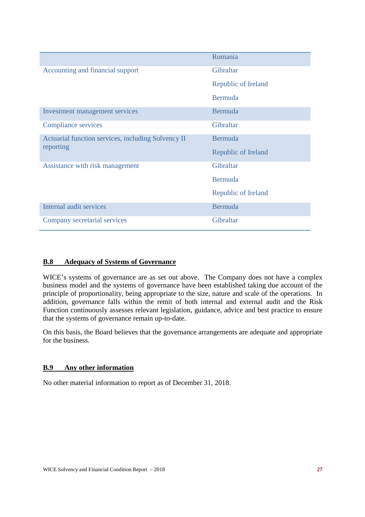|                                                    | Romania             |
|----------------------------------------------------|---------------------|
| Accounting and financial support                   | Gibraltar           |
|                                                    | Republic of Ireland |
|                                                    | Bermuda             |
| Investment management services                     | Bermuda             |
| <b>Compliance services</b>                         | Gibraltar           |
| Actuarial function services, including Solvency II | Bermuda             |
| reporting                                          | Republic of Ireland |
| Assistance with risk management                    | Gibraltar           |
|                                                    | Bermuda             |
|                                                    | Republic of Ireland |
| Internal audit services                            | Bermuda             |
| Company secretarial services                       | Gibraltar           |

#### **B.8 Adequacy of Systems of Governance**

WICE's systems of governance are as set out above. The Company does not have a complex business model and the systems of governance have been established taking due account of the principle of proportionality, being appropriate to the size, nature and scale of the operations. In addition, governance falls within the remit of both internal and external audit and the Risk Function continuously assesses relevant legislation, guidance, advice and best practice to ensure that the systems of governance remain up-to-date.

On this basis, the Board believes that the governance arrangements are adequate and appropriate for the business.

#### **B.9 Any other information**

No other material information to report as of December 31, 2018.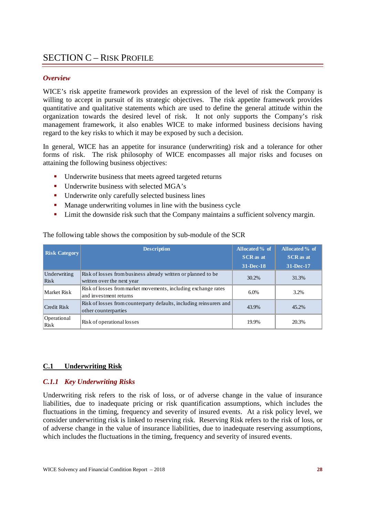## SECTION C – RISK PROFILE

#### *Overview*

WICE's risk appetite framework provides an expression of the level of risk the Company is willing to accept in pursuit of its strategic objectives. The risk appetite framework provides quantitative and qualitative statements which are used to define the general attitude within the organization towards the desired level of risk. It not only supports the Company's risk management framework, it also enables WICE to make informed business decisions having regard to the key risks to which it may be exposed by such a decision.

In general, WICE has an appetite for insurance (underwriting) risk and a tolerance for other forms of risk. The risk philosophy of WICE encompasses all major risks and focuses on attaining the following business objectives:

- Underwrite business that meets agreed targeted returns
- Underwrite business with selected MGA's
- Underwrite only carefully selected business lines
- **Manage underwriting volumes in line with the business cycle**
- **EXECUTE:** Limit the downside risk such that the Company maintains a sufficient solvency margin.

| <b>Risk Category</b> | <b>Description</b>                                                                          | Allocated % of<br><b>SCR</b> as at | Allocated % of<br><b>SCR</b> as at |
|----------------------|---------------------------------------------------------------------------------------------|------------------------------------|------------------------------------|
|                      |                                                                                             | 31-Dec-18                          | 31-Dec-17                          |
| Underwriting<br>Risk | Risk of losses from business already written or planned to be<br>written over the next year | 30.2%                              | 31.3%                              |
| Market Risk          | Risk of losses from market movements, including exchange rates<br>and investment returns    | 6.0%                               | 3.2%                               |
| Credit Risk          | Risk of losses from counterparty defaults, including reinsurers and<br>other counterparties | 43.9%                              | 45.2%                              |
| Operational<br>Risk  | Risk of operational losses                                                                  | 19.9%                              | 20.3%                              |

The following table shows the composition by sub-module of the SCR

#### **C.1 Underwriting Risk**

#### *C.1.1 Key Underwriting Risks*

Underwriting risk refers to the risk of loss, or of adverse change in the value of insurance liabilities, due to inadequate pricing or risk quantification assumptions, which includes the fluctuations in the timing, frequency and severity of insured events. At a risk policy level, we consider underwriting risk is linked to reserving risk. Reserving Risk refers to the risk of loss, or of adverse change in the value of insurance liabilities, due to inadequate reserving assumptions, which includes the fluctuations in the timing, frequency and severity of insured events.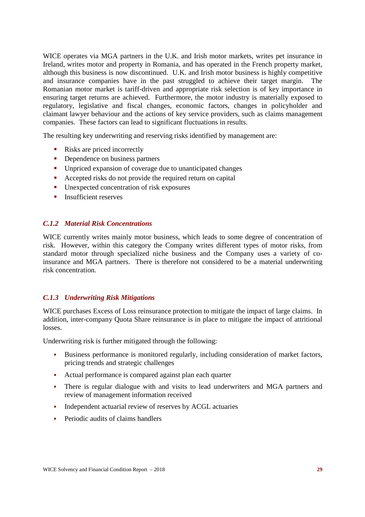WICE operates via MGA partners in the U.K. and Irish motor markets, writes pet insurance in Ireland, writes motor and property in Romania, and has operated in the French property market, although this business is now discontinued. U.K. and Irish motor business is highly competitive and insurance companies have in the past struggled to achieve their target margin. The Romanian motor market is tariff-driven and appropriate risk selection is of key importance in ensuring target returns are achieved. Furthermore, the motor industry is materially exposed to regulatory, legislative and fiscal changes, economic factors, changes in policyholder and claimant lawyer behaviour and the actions of key service providers, such as claims management companies. These factors can lead to significant fluctuations in results.

The resulting key underwriting and reserving risks identified by management are:

- Risks are priced incorrectly
- Dependence on business partners
- Unpriced expansion of coverage due to unanticipated changes
- Accepted risks do not provide the required return on capital
- Unexpected concentration of risk exposures
- $\blacksquare$  Insufficient reserves

#### *C.1.2 Material Risk Concentrations*

WICE currently writes mainly motor business, which leads to some degree of concentration of risk. However, within this category the Company writes different types of motor risks, from standard motor through specialized niche business and the Company uses a variety of coinsurance and MGA partners. There is therefore not considered to be a material underwriting risk concentration.

#### *C.1.3 Underwriting Risk Mitigations*

WICE purchases Excess of Loss reinsurance protection to mitigate the impact of large claims. In addition, inter-company Quota Share reinsurance is in place to mitigate the impact of attritional losses.

Underwriting risk is further mitigated through the following:

- Business performance is monitored regularly, including consideration of market factors, pricing trends and strategic challenges
- Actual performance is compared against plan each quarter
- There is regular dialogue with and visits to lead underwriters and MGA partners and review of management information received
- Independent actuarial review of reserves by ACGL actuaries
- **Periodic audits of claims handlers**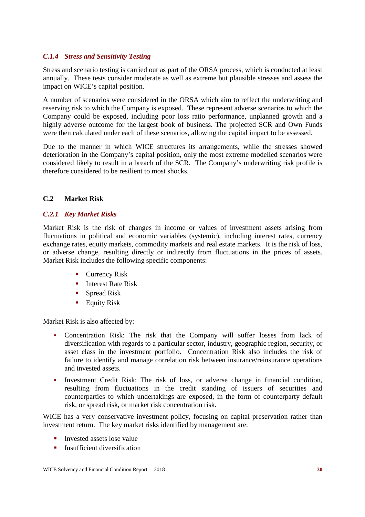## *C.1.4 Stress and Sensitivity Testing*

Stress and scenario testing is carried out as part of the ORSA process, which is conducted at least annually. These tests consider moderate as well as extreme but plausible stresses and assess the impact on WICE's capital position.

A number of scenarios were considered in the ORSA which aim to reflect the underwriting and reserving risk to which the Company is exposed. These represent adverse scenarios to which the Company could be exposed, including poor loss ratio performance, unplanned growth and a highly adverse outcome for the largest book of business. The projected SCR and Own Funds were then calculated under each of these scenarios, allowing the capital impact to be assessed.

Due to the manner in which WICE structures its arrangements, while the stresses showed deterioration in the Company's capital position, only the most extreme modelled scenarios were considered likely to result in a breach of the SCR. The Company's underwriting risk profile is therefore considered to be resilient to most shocks.

#### **C.2 Market Risk**

#### *C.2.1 Key Market Risks*

Market Risk is the risk of changes in income or values of investment assets arising from fluctuations in political and economic variables (systemic), including interest rates, currency exchange rates, equity markets, commodity markets and real estate markets. It is the risk of loss, or adverse change, resulting directly or indirectly from fluctuations in the prices of assets. Market Risk includes the following specific components:

- Currency Risk
- **Interest Rate Risk**
- Spread Risk
- **Equity Risk**

Market Risk is also affected by:

- Concentration Risk: The risk that the Company will suffer losses from lack of diversification with regards to a particular sector, industry, geographic region, security, or asset class in the investment portfolio. Concentration Risk also includes the risk of failure to identify and manage correlation risk between insurance/reinsurance operations and invested assets.
- Investment Credit Risk: The risk of loss, or adverse change in financial condition, resulting from fluctuations in the credit standing of issuers of securities and counterparties to which undertakings are exposed, in the form of counterparty default risk, or spread risk, or market risk concentration risk.

WICE has a very conservative investment policy, focusing on capital preservation rather than investment return. The key market risks identified by management are:

- Invested assets lose value
- $\blacksquare$  Insufficient diversification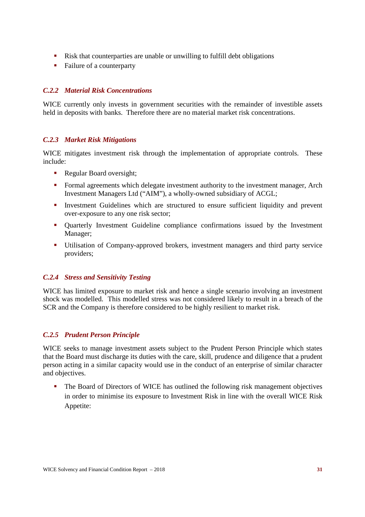- Risk that counterparties are unable or unwilling to fulfill debt obligations
- Failure of a counterparty

#### *C.2.2 Material Risk Concentrations*

WICE currently only invests in government securities with the remainder of investible assets held in deposits with banks. Therefore there are no material market risk concentrations.

#### *C.2.3 Market Risk Mitigations*

WICE mitigates investment risk through the implementation of appropriate controls. These include:

- Regular Board oversight;
- Formal agreements which delegate investment authority to the investment manager, Arch Investment Managers Ltd ("AIM"), a wholly-owned subsidiary of ACGL;
- Investment Guidelines which are structured to ensure sufficient liquidity and prevent over-exposure to any one risk sector;
- Quarterly Investment Guideline compliance confirmations issued by the Investment Manager;
- Utilisation of Company-approved brokers, investment managers and third party service providers;

#### *C.2.4 Stress and Sensitivity Testing*

WICE has limited exposure to market risk and hence a single scenario involving an investment shock was modelled. This modelled stress was not considered likely to result in a breach of the SCR and the Company is therefore considered to be highly resilient to market risk.

#### *C.2.5 Prudent Person Principle*

WICE seeks to manage investment assets subject to the Prudent Person Principle which states that the Board must discharge its duties with the care, skill, prudence and diligence that a prudent person acting in a similar capacity would use in the conduct of an enterprise of similar character and objectives.

 The Board of Directors of WICE has outlined the following risk management objectives in order to minimise its exposure to Investment Risk in line with the overall WICE Risk Appetite: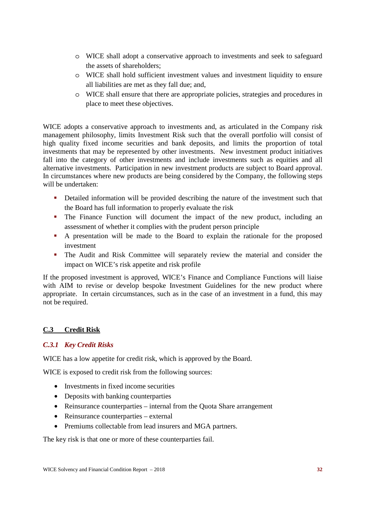- o WICE shall adopt a conservative approach to investments and seek to safeguard the assets of shareholders;
- o WICE shall hold sufficient investment values and investment liquidity to ensure all liabilities are met as they fall due; and,
- o WICE shall ensure that there are appropriate policies, strategies and procedures in place to meet these objectives.

WICE adopts a conservative approach to investments and, as articulated in the Company risk management philosophy, limits Investment Risk such that the overall portfolio will consist of high quality fixed income securities and bank deposits, and limits the proportion of total investments that may be represented by other investments. New investment product initiatives fall into the category of other investments and include investments such as equities and all alternative investments. Participation in new investment products are subject to Board approval. In circumstances where new products are being considered by the Company, the following steps will be undertaken:

- Detailed information will be provided describing the nature of the investment such that the Board has full information to properly evaluate the risk
- The Finance Function will document the impact of the new product, including an assessment of whether it complies with the prudent person principle
- A presentation will be made to the Board to explain the rationale for the proposed investment
- The Audit and Risk Committee will separately review the material and consider the impact on WICE's risk appetite and risk profile

If the proposed investment is approved, WICE's Finance and Compliance Functions will liaise with AIM to revise or develop bespoke Investment Guidelines for the new product where appropriate. In certain circumstances, such as in the case of an investment in a fund, this may not be required.

## **C.3 Credit Risk**

## *C.3.1 Key Credit Risks*

WICE has a low appetite for credit risk, which is approved by the Board.

WICE is exposed to credit risk from the following sources:

- Investments in fixed income securities
- Deposits with banking counterparties
- Reinsurance counterparties internal from the Quota Share arrangement
- Reinsurance counterparties external
- Premiums collectable from lead insurers and MGA partners.

The key risk is that one or more of these counterparties fail.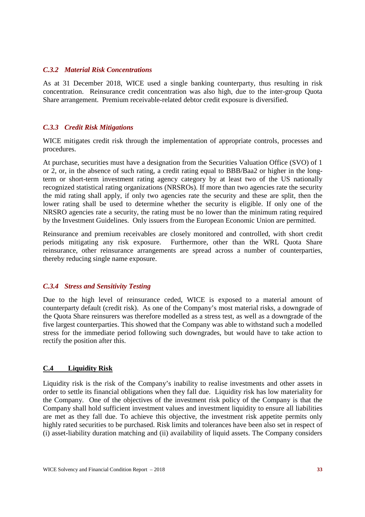#### *C.3.2 Material Risk Concentrations*

As at 31 December 2018, WICE used a single banking counterparty, thus resulting in risk concentration. Reinsurance credit concentration was also high, due to the inter-group Quota Share arrangement. Premium receivable-related debtor credit exposure is diversified.

#### *C.3.3 Credit Risk Mitigations*

WICE mitigates credit risk through the implementation of appropriate controls, processes and procedures.

At purchase, securities must have a designation from the Securities Valuation Office (SVO) of 1 or 2, or, in the absence of such rating, a credit rating equal to BBB/Baa2 or higher in the longterm or short-term investment rating agency category by at least two of the US nationally recognized statistical rating organizations (NRSROs). If more than two agencies rate the security the mid rating shall apply, if only two agencies rate the security and these are split, then the lower rating shall be used to determine whether the security is eligible. If only one of the NRSRO agencies rate a security, the rating must be no lower than the minimum rating required by the Investment Guidelines. Only issuers from the European Economic Union are permitted.

Reinsurance and premium receivables are closely monitored and controlled, with short credit periods mitigating any risk exposure. Furthermore, other than the WRL Quota Share reinsurance, other reinsurance arrangements are spread across a number of counterparties, thereby reducing single name exposure.

#### *C.3.4 Stress and Sensitivity Testing*

Due to the high level of reinsurance ceded, WICE is exposed to a material amount of counterparty default (credit risk). As one of the Company's most material risks, a downgrade of the Quota Share reinsurers was therefore modelled as a stress test, as well as a downgrade of the five largest counterparties. This showed that the Company was able to withstand such a modelled stress for the immediate period following such downgrades, but would have to take action to rectify the position after this.

#### **C.4 Liquidity Risk**

Liquidity risk is the risk of the Company's inability to realise investments and other assets in order to settle its financial obligations when they fall due. Liquidity risk has low materiality for the Company. One of the objectives of the investment risk policy of the Company is that the Company shall hold sufficient investment values and investment liquidity to ensure all liabilities are met as they fall due. To achieve this objective, the investment risk appetite permits only highly rated securities to be purchased. Risk limits and tolerances have been also set in respect of (i) asset-liability duration matching and (ii) availability of liquid assets. The Company considers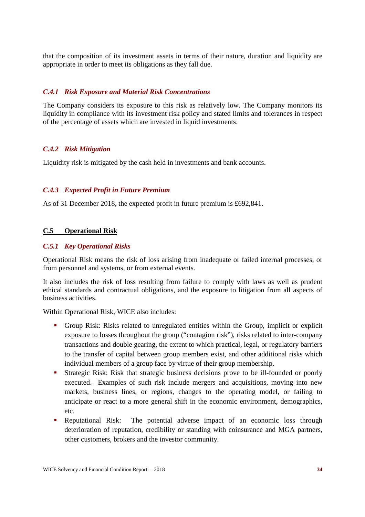that the composition of its investment assets in terms of their nature, duration and liquidity are appropriate in order to meet its obligations as they fall due.

#### *C.4.1 Risk Exposure and Material Risk Concentrations*

The Company considers its exposure to this risk as relatively low. The Company monitors its liquidity in compliance with its investment risk policy and stated limits and tolerances in respect of the percentage of assets which are invested in liquid investments.

#### *C.4.2 Risk Mitigation*

Liquidity risk is mitigated by the cash held in investments and bank accounts.

#### *C.4.3 Expected Profit in Future Premium*

As of 31 December 2018, the expected profit in future premium is £692,841.

#### **C.5 Operational Risk**

#### *C.5.1 Key Operational Risks*

Operational Risk means the risk of loss arising from inadequate or failed internal processes, or from personnel and systems, or from external events.

It also includes the risk of loss resulting from failure to comply with laws as well as prudent ethical standards and contractual obligations, and the exposure to litigation from all aspects of business activities.

Within Operational Risk, WICE also includes:

- Group Risk: Risks related to unregulated entities within the Group, implicit or explicit exposure to losses throughout the group ("contagion risk"), risks related to inter-company transactions and double gearing, the extent to which practical, legal, or regulatory barriers to the transfer of capital between group members exist, and other additional risks which individual members of a group face by virtue of their group membership.
- Strategic Risk: Risk that strategic business decisions prove to be ill-founded or poorly executed. Examples of such risk include mergers and acquisitions, moving into new markets, business lines, or regions, changes to the operating model, or failing to anticipate or react to a more general shift in the economic environment, demographics, etc.
- **Reputational Risk:** The potential adverse impact of an economic loss through deterioration of reputation, credibility or standing with coinsurance and MGA partners, other customers, brokers and the investor community.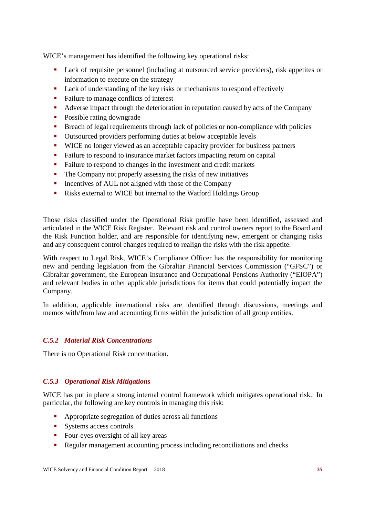WICE's management has identified the following key operational risks:

- Lack of requisite personnel (including at outsourced service providers), risk appetites or information to execute on the strategy
- **Lack of understanding of the key risks or mechanisms to respond effectively**
- Failure to manage conflicts of interest
- Adverse impact through the deterioration in reputation caused by acts of the Company
- Possible rating downgrade
- Breach of legal requirements through lack of policies or non-compliance with policies
- Outsourced providers performing duties at below acceptable levels
- WICE no longer viewed as an acceptable capacity provider for business partners
- Failure to respond to insurance market factors impacting return on capital
- Failure to respond to changes in the investment and credit markets
- The Company not properly assessing the risks of new initiatives
- Incentives of AUL not aligned with those of the Company
- Risks external to WICE but internal to the Watford Holdings Group

Those risks classified under the Operational Risk profile have been identified, assessed and articulated in the WICE Risk Register. Relevant risk and control owners report to the Board and the Risk Function holder, and are responsible for identifying new, emergent or changing risks and any consequent control changes required to realign the risks with the risk appetite.

With respect to Legal Risk, WICE's Compliance Officer has the responsibility for monitoring new and pending legislation from the Gibraltar Financial Services Commission ("GFSC") or Gibraltar government, the European Insurance and Occupational Pensions Authority ("EIOPA") and relevant bodies in other applicable jurisdictions for items that could potentially impact the Company.

In addition, applicable international risks are identified through discussions, meetings and memos with/from law and accounting firms within the jurisdiction of all group entities.

## *C.5.2 Material Risk Concentrations*

There is no Operational Risk concentration.

## *C.5.3 Operational Risk Mitigations*

WICE has put in place a strong internal control framework which mitigates operational risk. In particular, the following are key controls in managing this risk:

- **Appropriate segregation of duties across all functions**
- Systems access controls
- Four-eves oversight of all key areas
- Regular management accounting process including reconciliations and checks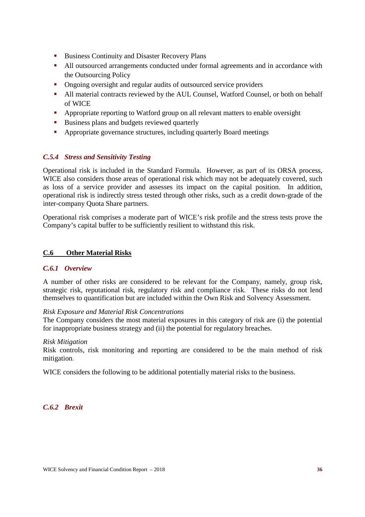- Business Continuity and Disaster Recovery Plans
- All outsourced arrangements conducted under formal agreements and in accordance with the Outsourcing Policy
- Ongoing oversight and regular audits of outsourced service providers
- All material contracts reviewed by the AUL Counsel, Watford Counsel, or both on behalf of WICE
- Appropriate reporting to Watford group on all relevant matters to enable oversight
- Business plans and budgets reviewed quarterly
- Appropriate governance structures, including quarterly Board meetings

#### *C.5.4 Stress and Sensitivity Testing*

Operational risk is included in the Standard Formula. However, as part of its ORSA process, WICE also considers those areas of operational risk which may not be adequately covered, such as loss of a service provider and assesses its impact on the capital position. In addition, operational risk is indirectly stress tested through other risks, such as a credit down-grade of the inter-company Quota Share partners.

Operational risk comprises a moderate part of WICE's risk profile and the stress tests prove the Company's capital buffer to be sufficiently resilient to withstand this risk.

#### **C.6 Other Material Risks**

#### *C.6.1 Overview*

A number of other risks are considered to be relevant for the Company, namely, group risk, strategic risk, reputational risk, regulatory risk and compliance risk. These risks do not lend themselves to quantification but are included within the Own Risk and Solvency Assessment.

#### *Risk Exposure and Material Risk Concentrations*

The Company considers the most material exposures in this category of risk are (i) the potential for inappropriate business strategy and (ii) the potential for regulatory breaches.

#### *Risk Mitigation*

Risk controls, risk monitoring and reporting are considered to be the main method of risk mitigation.

WICE considers the following to be additional potentially material risks to the business.

#### *C.6.2 Brexit*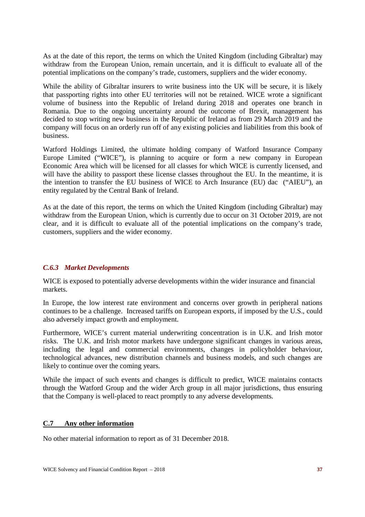As at the date of this report, the terms on which the United Kingdom (including Gibraltar) may withdraw from the European Union, remain uncertain, and it is difficult to evaluate all of the potential implications on the company's trade, customers, suppliers and the wider economy.

While the ability of Gibraltar insurers to write business into the UK will be secure, it is likely that passporting rights into other EU territories will not be retained. WICE wrote a significant volume of business into the Republic of Ireland during 2018 and operates one branch in Romania. Due to the ongoing uncertainty around the outcome of Brexit, management has decided to stop writing new business in the Republic of Ireland as from 29 March 2019 and the company will focus on an orderly run off of any existing policies and liabilities from this book of business.

Watford Holdings Limited, the ultimate holding company of Watford Insurance Company Europe Limited ("WICE"), is planning to acquire or form a new company in European Economic Area which will be licensed for all classes for which WICE is currently licensed, and will have the ability to passport these license classes throughout the EU. In the meantime, it is the intention to transfer the EU business of WICE to Arch Insurance (EU) dac ("AIEU"), an entity regulated by the Central Bank of Ireland.

As at the date of this report, the terms on which the United Kingdom (including Gibraltar) may withdraw from the European Union, which is currently due to occur on 31 October 2019, are not clear, and it is difficult to evaluate all of the potential implications on the company's trade, customers, suppliers and the wider economy.

#### *C.6.3 Market Developments*

WICE is exposed to potentially adverse developments within the wider insurance and financial markets.

In Europe, the low interest rate environment and concerns over growth in peripheral nations continues to be a challenge. Increased tariffs on European exports, if imposed by the U.S., could also adversely impact growth and employment.

Furthermore, WICE's current material underwriting concentration is in U.K. and Irish motor risks. The U.K. and Irish motor markets have undergone significant changes in various areas, including the legal and commercial environments, changes in policyholder behaviour, technological advances, new distribution channels and business models, and such changes are likely to continue over the coming years.

While the impact of such events and changes is difficult to predict, WICE maintains contacts through the Watford Group and the wider Arch group in all major jurisdictions, thus ensuring that the Company is well-placed to react promptly to any adverse developments.

#### **C.7 Any other information**

No other material information to report as of 31 December 2018.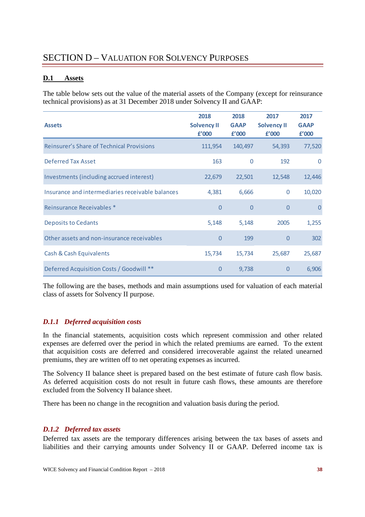## SECTION D – VALUATION FOR SOLVENCY PURPOSES

#### **D.1 Assets**

The table below sets out the value of the material assets of the Company (except for reinsurance technical provisions) as at 31 December 2018 under Solvency II and GAAP:

| <b>Assets</b>                                    | 2018<br><b>Solvency II</b><br>f'000 | 2018<br><b>GAAP</b><br>f'000 | 2017<br><b>Solvency II</b><br>f'000 | 2017<br><b>GAAP</b><br>£'000 |
|--------------------------------------------------|-------------------------------------|------------------------------|-------------------------------------|------------------------------|
| <b>Reinsurer's Share of Technical Provisions</b> | 111,954                             | 140,497                      | 54,393                              | 77,520                       |
| Deferred Tax Asset                               | 163                                 | $\Omega$                     | 192                                 | $\Omega$                     |
| Investments (including accrued interest)         | 22,679                              | 22,501                       | 12,548                              | 12,446                       |
| Insurance and intermediaries receivable balances | 4,381                               | 6,666                        | $\mathbf{0}$                        | 10,020                       |
| Reinsurance Receivables *                        | $\overline{0}$                      | $\Omega$                     | $\overline{0}$                      | $\Omega$                     |
| <b>Deposits to Cedants</b>                       | 5,148                               | 5,148                        | 2005                                | 1,255                        |
| Other assets and non-insurance receivables       | $\overline{0}$                      | 199                          | $\overline{0}$                      | 302                          |
| Cash & Cash Equivalents                          | 15,734                              | 15,734                       | 25,687                              | 25,687                       |
| Deferred Acquisition Costs / Goodwill **         | $\overline{0}$                      | 9,738                        | $\overline{0}$                      | 6,906                        |

The following are the bases, methods and main assumptions used for valuation of each material class of assets for Solvency II purpose.

#### *D.1.1 Deferred acquisition costs*

In the financial statements, acquisition costs which represent commission and other related expenses are deferred over the period in which the related premiums are earned. To the extent that acquisition costs are deferred and considered irrecoverable against the related unearned premiums, they are written off to net operating expenses as incurred.

The Solvency II balance sheet is prepared based on the best estimate of future cash flow basis. As deferred acquisition costs do not result in future cash flows, these amounts are therefore excluded from the Solvency II balance sheet.

There has been no change in the recognition and valuation basis during the period.

#### *D.1.2 Deferred tax assets*

Deferred tax assets are the temporary differences arising between the tax bases of assets and liabilities and their carrying amounts under Solvency II or GAAP. Deferred income tax is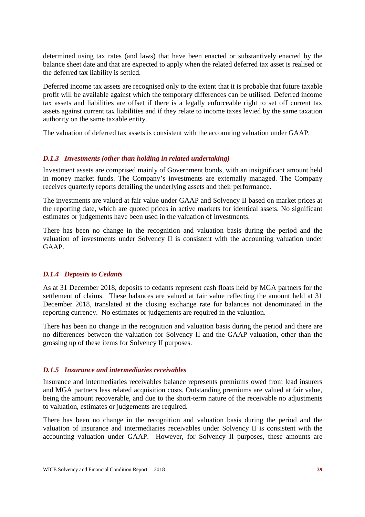determined using tax rates (and laws) that have been enacted or substantively enacted by the balance sheet date and that are expected to apply when the related deferred tax asset is realised or the deferred tax liability is settled.

Deferred income tax assets are recognised only to the extent that it is probable that future taxable profit will be available against which the temporary differences can be utilised. Deferred income tax assets and liabilities are offset if there is a legally enforceable right to set off current tax assets against current tax liabilities and if they relate to income taxes levied by the same taxation authority on the same taxable entity.

The valuation of deferred tax assets is consistent with the accounting valuation under GAAP.

#### *D.1.3 Investments (other than holding in related undertaking)*

Investment assets are comprised mainly of Government bonds, with an insignificant amount held in money market funds. The Company's investments are externally managed. The Company receives quarterly reports detailing the underlying assets and their performance.

The investments are valued at fair value under GAAP and Solvency II based on market prices at the reporting date, which are quoted prices in active markets for identical assets. No significant estimates or judgements have been used in the valuation of investments.

There has been no change in the recognition and valuation basis during the period and the valuation of investments under Solvency II is consistent with the accounting valuation under GAAP.

#### *D.1.4 Deposits to Cedants*

As at 31 December 2018, deposits to cedants represent cash floats held by MGA partners for the settlement of claims. These balances are valued at fair value reflecting the amount held at 31 December 2018, translated at the closing exchange rate for balances not denominated in the reporting currency. No estimates or judgements are required in the valuation.

There has been no change in the recognition and valuation basis during the period and there are no differences between the valuation for Solvency II and the GAAP valuation, other than the grossing up of these items for Solvency II purposes.

#### *D.1.5 Insurance and intermediaries receivables*

Insurance and intermediaries receivables balance represents premiums owed from lead insurers and MGA partners less related acquisition costs. Outstanding premiums are valued at fair value, being the amount recoverable, and due to the short-term nature of the receivable no adjustments to valuation, estimates or judgements are required.

There has been no change in the recognition and valuation basis during the period and the valuation of insurance and intermediaries receivables under Solvency II is consistent with the accounting valuation under GAAP. However, for Solvency II purposes, these amounts are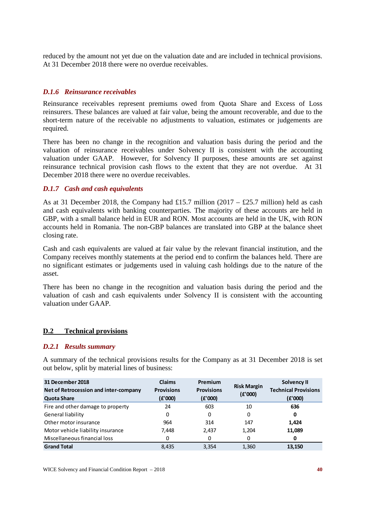reduced by the amount not yet due on the valuation date and are included in technical provisions. At 31 December 2018 there were no overdue receivables.

#### *D.1.6 Reinsurance receivables*

Reinsurance receivables represent premiums owed from Quota Share and Excess of Loss reinsurers. These balances are valued at fair value, being the amount recoverable, and due to the short-term nature of the receivable no adjustments to valuation, estimates or judgements are required.

There has been no change in the recognition and valuation basis during the period and the valuation of reinsurance receivables under Solvency II is consistent with the accounting valuation under GAAP. However, for Solvency II purposes, these amounts are set against reinsurance technical provision cash flows to the extent that they are not overdue. At 31 December 2018 there were no overdue receivables.

#### *D.1.7 Cash and cash equivalents*

As at 31 December 2018, the Company had £15.7 million  $(2017 - \text{\textsterling}25.7 \text{ million})$  held as cash and cash equivalents with banking counterparties. The majority of these accounts are held in GBP, with a small balance held in EUR and RON. Most accounts are held in the UK, with RON accounts held in Romania. The non-GBP balances are translated into GBP at the balance sheet closing rate.

Cash and cash equivalents are valued at fair value by the relevant financial institution, and the Company receives monthly statements at the period end to confirm the balances held. There are no significant estimates or judgements used in valuing cash holdings due to the nature of the asset.

There has been no change in the recognition and valuation basis during the period and the valuation of cash and cash equivalents under Solvency II is consistent with the accounting valuation under GAAP.

#### **D.2 Technical provisions**

#### *D.2.1 Results summary*

A summary of the technical provisions results for the Company as at 31 December 2018 is set out below, split by material lines of business:

| 31 December 2018<br>Net of Retrocession and inter-company<br><b>Quota Share</b> | <b>Claims</b><br><b>Provisions</b><br>(E'000) | Premium<br><b>Provisions</b><br>(E'000) | <b>Risk Margin</b><br>(f'000) | Solvency II<br><b>Technical Provisions</b><br>(E'000) |
|---------------------------------------------------------------------------------|-----------------------------------------------|-----------------------------------------|-------------------------------|-------------------------------------------------------|
| Fire and other damage to property                                               | 24                                            | 603                                     | 10                            | 636                                                   |
| General liability                                                               | 0                                             | 0                                       | 0                             | 0                                                     |
| Other motor insurance                                                           | 964                                           | 314                                     | 147                           | 1,424                                                 |
| Motor vehicle liability insurance                                               | 7.448                                         | 2,437                                   | 1,204                         | 11,089                                                |
| Miscellaneous financial loss                                                    | 0                                             | 0                                       | 0                             | 0                                                     |
| <b>Grand Total</b>                                                              | 8.435                                         | 3,354                                   | 1,360                         | 13.150                                                |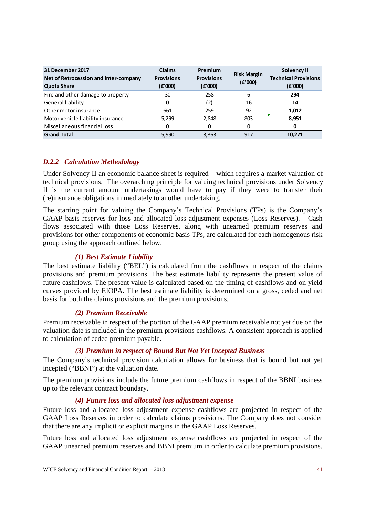| 31 December 2017<br>Net of Retrocession and inter-company<br><b>Quota Share</b> | <b>Claims</b><br><b>Provisions</b><br>(E'000) | Premium<br><b>Provisions</b><br>(E'000) | <b>Risk Margin</b><br>(E'000) | <b>Solvency II</b><br><b>Technical Provisions</b><br>(E'000) |
|---------------------------------------------------------------------------------|-----------------------------------------------|-----------------------------------------|-------------------------------|--------------------------------------------------------------|
| Fire and other damage to property                                               | 30                                            | 258                                     | 6                             | 294                                                          |
| General liability                                                               | 0                                             | (2)                                     | 16                            | 14                                                           |
| Other motor insurance                                                           | 661                                           | 259                                     | 92                            | 1,012                                                        |
| Motor vehicle liability insurance                                               | 5,299                                         | 2,848                                   | 803                           | Г<br>8,951                                                   |
| Miscellaneous financial loss                                                    | 0                                             | 0                                       | 0                             | 0                                                            |
| <b>Grand Total</b>                                                              | 5.990                                         | 3,363                                   | 917                           | 10.271                                                       |

#### *D.2.2 Calculation Methodology*

Under Solvency II an economic balance sheet is required – which requires a market valuation of technical provisions. The overarching principle for valuing technical provisions under Solvency II is the current amount undertakings would have to pay if they were to transfer their (re)insurance obligations immediately to another undertaking.

The starting point for valuing the Company's Technical Provisions (TPs) is the Company's GAAP basis reserves for loss and allocated loss adjustment expenses (Loss Reserves). Cash flows associated with those Loss Reserves, along with unearned premium reserves and provisions for other components of economic basis TPs, are calculated for each homogenous risk group using the approach outlined below.

#### *(1) Best Estimate Liability*

The best estimate liability ("BEL") is calculated from the cashflows in respect of the claims provisions and premium provisions. The best estimate liability represents the present value of future cashflows. The present value is calculated based on the timing of cashflows and on yield curves provided by EIOPA. The best estimate liability is determined on a gross, ceded and net basis for both the claims provisions and the premium provisions.

#### *(2) Premium Receivable*

Premium receivable in respect of the portion of the GAAP premium receivable not yet due on the valuation date is included in the premium provisions cashflows. A consistent approach is applied to calculation of ceded premium payable.

#### *(3) Premium in respect of Bound But Not Yet Incepted Business*

The Company's technical provision calculation allows for business that is bound but not yet incepted ("BBNI") at the valuation date.

The premium provisions include the future premium cashflows in respect of the BBNI business up to the relevant contract boundary.

#### *(4) Future loss and allocated loss adjustment expense*

Future loss and allocated loss adjustment expense cashflows are projected in respect of the GAAP Loss Reserves in order to calculate claims provisions. The Company does not consider that there are any implicit or explicit margins in the GAAP Loss Reserves.

Future loss and allocated loss adjustment expense cashflows are projected in respect of the GAAP unearned premium reserves and BBNI premium in order to calculate premium provisions.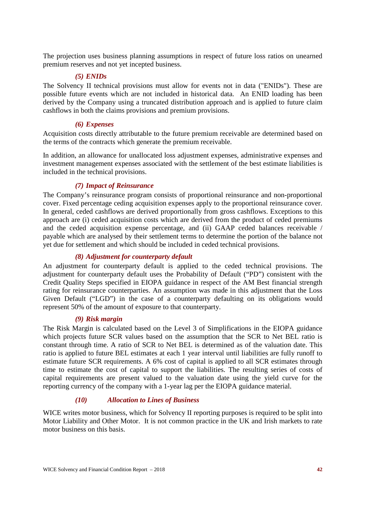The projection uses business planning assumptions in respect of future loss ratios on unearned premium reserves and not yet incepted business.

## *(5) ENIDs*

The Solvency II technical provisions must allow for events not in data ("ENIDs"). These are possible future events which are not included in historical data. An ENID loading has been derived by the Company using a truncated distribution approach and is applied to future claim cashflows in both the claims provisions and premium provisions.

#### *(6) Expenses*

Acquisition costs directly attributable to the future premium receivable are determined based on the terms of the contracts which generate the premium receivable.

In addition, an allowance for unallocated loss adjustment expenses, administrative expenses and investment management expenses associated with the settlement of the best estimate liabilities is included in the technical provisions.

#### *(7) Impact of Reinsurance*

The Company's reinsurance program consists of proportional reinsurance and non-proportional cover. Fixed percentage ceding acquisition expenses apply to the proportional reinsurance cover. In general, ceded cashflows are derived proportionally from gross cashflows. Exceptions to this approach are (i) ceded acquisition costs which are derived from the product of ceded premiums and the ceded acquisition expense percentage, and (ii) GAAP ceded balances receivable / payable which are analysed by their settlement terms to determine the portion of the balance not yet due for settlement and which should be included in ceded technical provisions.

#### *(8) Adjustment for counterparty default*

An adjustment for counterparty default is applied to the ceded technical provisions. The adjustment for counterparty default uses the Probability of Default ("PD") consistent with the Credit Quality Steps specified in EIOPA guidance in respect of the AM Best financial strength rating for reinsurance counterparties. An assumption was made in this adjustment that the Loss Given Default ("LGD") in the case of a counterparty defaulting on its obligations would represent 50% of the amount of exposure to that counterparty.

#### *(9) Risk margin*

The Risk Margin is calculated based on the Level 3 of Simplifications in the EIOPA guidance which projects future SCR values based on the assumption that the SCR to Net BEL ratio is constant through time. A ratio of SCR to Net BEL is determined as of the valuation date. This ratio is applied to future BEL estimates at each 1 year interval until liabilities are fully runoff to estimate future SCR requirements. A 6% cost of capital is applied to all SCR estimates through time to estimate the cost of capital to support the liabilities. The resulting series of costs of capital requirements are present valued to the valuation date using the yield curve for the reporting currency of the company with a 1-year lag per the EIOPA guidance material.

#### *(10) Allocation to Lines of Business*

WICE writes motor business, which for Solvency II reporting purposes is required to be split into Motor Liability and Other Motor. It is not common practice in the UK and Irish markets to rate motor business on this basis.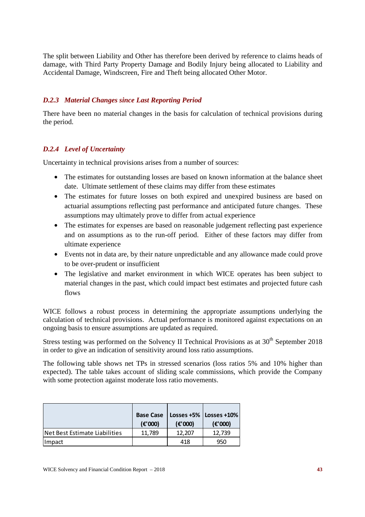The split between Liability and Other has therefore been derived by reference to claims heads of damage, with Third Party Property Damage and Bodily Injury being allocated to Liability and Accidental Damage, Windscreen, Fire and Theft being allocated Other Motor.

#### *D.2.3 Material Changes since Last Reporting Period*

There have been no material changes in the basis for calculation of technical provisions during the period.

#### *D.2.4 Level of Uncertainty*

Uncertainty in technical provisions arises from a number of sources:

- The estimates for outstanding losses are based on known information at the balance sheet date. Ultimate settlement of these claims may differ from these estimates
- The estimates for future losses on both expired and unexpired business are based on actuarial assumptions reflecting past performance and anticipated future changes. These assumptions may ultimately prove to differ from actual experience
- The estimates for expenses are based on reasonable judgement reflecting past experience and on assumptions as to the run-off period. Either of these factors may differ from ultimate experience
- Events not in data are, by their nature unpredictable and any allowance made could prove to be over-prudent or insufficient
- The legislative and market environment in which WICE operates has been subject to material changes in the past, which could impact best estimates and projected future cash flows

WICE follows a robust process in determining the appropriate assumptions underlying the calculation of technical provisions. Actual performance is monitored against expectations on an ongoing basis to ensure assumptions are updated as required.

Stress testing was performed on the Solvency II Technical Provisions as at  $30<sup>th</sup>$  September 2018 in order to give an indication of sensitivity around loss ratio assumptions.

The following table shows net TPs in stressed scenarios (loss ratios 5% and 10% higher than expected). The table takes account of sliding scale commissions, which provide the Company with some protection against moderate loss ratio movements.

|                               | <b>Base Case</b><br>(E'000) | $(\epsilon$ '000) | Losses +5%   Losses +10%<br>(E'000) |
|-------------------------------|-----------------------------|-------------------|-------------------------------------|
| Net Best Estimate Liabilities | 11.789                      | 12.207            | 12.739                              |
| <b>Impact</b>                 |                             | 418               | 950                                 |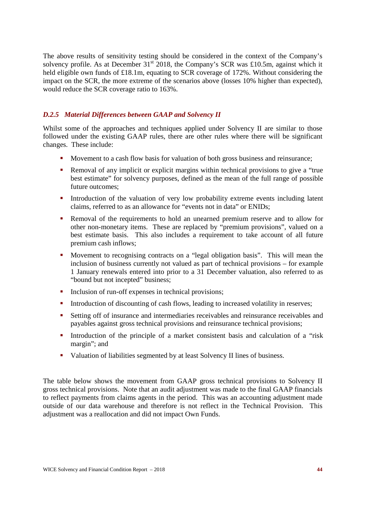The above results of sensitivity testing should be considered in the context of the Company's solvency profile. As at December  $31<sup>st</sup>$  2018, the Company's SCR was £10.5m, against which it held eligible own funds of £18.1m, equating to SCR coverage of 172%. Without considering the impact on the SCR, the more extreme of the scenarios above (losses 10% higher than expected), would reduce the SCR coverage ratio to 163%.

## *D.2.5 Material Differences between GAAP and Solvency II*

Whilst some of the approaches and techniques applied under Solvency II are similar to those followed under the existing GAAP rules, there are other rules where there will be significant changes. These include:

- Movement to a cash flow basis for valuation of both gross business and reinsurance;
- Removal of any implicit or explicit margins within technical provisions to give a "true best estimate" for solvency purposes, defined as the mean of the full range of possible future outcomes;
- Introduction of the valuation of very low probability extreme events including latent claims, referred to as an allowance for "events not in data" or ENIDs;
- Removal of the requirements to hold an unearned premium reserve and to allow for other non-monetary items. These are replaced by "premium provisions", valued on a best estimate basis. This also includes a requirement to take account of all future premium cash inflows;
- Movement to recognising contracts on a "legal obligation basis". This will mean the inclusion of business currently not valued as part of technical provisions – for example 1 January renewals entered into prior to a 31 December valuation, also referred to as "bound but not incepted" business;
- Inclusion of run-off expenses in technical provisions;
- Introduction of discounting of cash flows, leading to increased volatility in reserves;
- Setting off of insurance and intermediaries receivables and reinsurance receivables and payables against gross technical provisions and reinsurance technical provisions;
- Introduction of the principle of a market consistent basis and calculation of a "risk" margin"; and
- Valuation of liabilities segmented by at least Solvency II lines of business.

The table below shows the movement from GAAP gross technical provisions to Solvency II gross technical provisions. Note that an audit adjustment was made to the final GAAP financials to reflect payments from claims agents in the period. This was an accounting adjustment made outside of our data warehouse and therefore is not reflect in the Technical Provision. This adjustment was a reallocation and did not impact Own Funds.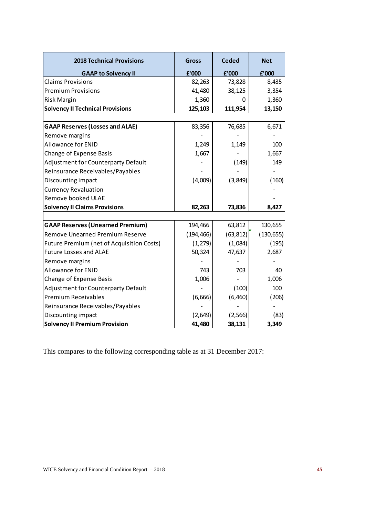| <b>2018 Technical Provisions</b>                 | <b>Gross</b> | <b>Ceded</b> | <b>Net</b> |
|--------------------------------------------------|--------------|--------------|------------|
| <b>GAAP to Solvency II</b>                       | £'000        | f'000        | £'000      |
| <b>Claims Provisions</b>                         | 82,263       | 73,828       | 8,435      |
| <b>Premium Provisions</b>                        | 41,480       | 38,125       | 3,354      |
| Risk Margin                                      | 1,360        |              | 1,360      |
| <b>Solvency II Technical Provisions</b>          | 125,103      | 111,954      | 13,150     |
|                                                  |              |              |            |
| <b>GAAP Reserves (Losses and ALAE)</b>           | 83,356       | 76,685       | 6,671      |
| Remove margins                                   |              |              |            |
| <b>Allowance for ENID</b>                        | 1,249        | 1,149        | 100        |
| <b>Change of Expense Basis</b>                   | 1,667        |              | 1,667      |
| Adjustment for Counterparty Default              |              | (149)        | 149        |
| Reinsurance Receivables/Payables                 |              |              |            |
| Discounting impact                               | (4,009)      | (3, 849)     | (160)      |
| <b>Currency Revaluation</b>                      |              |              |            |
| Remove booked ULAE                               |              |              |            |
| <b>Solvency II Claims Provisions</b>             | 82,263       | 73,836       | 8,427      |
|                                                  |              |              |            |
| <b>GAAP Reserves (Unearned Premium)</b>          | 194,466      | 63,812       | 130,655    |
| <b>Remove Unearned Premium Reserve</b>           | (194, 466)   | (63, 812)    | (130, 655) |
| <b>Future Premium (net of Acquisition Costs)</b> | (1, 279)     | (1,084)      | (195)      |
| <b>Future Losses and ALAE</b>                    | 50,324       | 47,637       | 2,687      |
| Remove margins                                   |              |              |            |
| <b>Allowance for ENID</b>                        | 743          | 703          | 40         |
| <b>Change of Expense Basis</b>                   | 1,006        |              | 1,006      |
| Adjustment for Counterparty Default              |              | (100)        | 100        |
| <b>Premium Receivables</b>                       | (6,666)      | (6, 460)     | (206)      |
| Reinsurance Receivables/Payables                 |              |              |            |
| Discounting impact                               | (2,649)      | (2, 566)     | (83)       |
| <b>Solvency II Premium Provision</b>             | 41,480       | 38,131       | 3,349      |

This compares to the following corresponding table as at 31 December 2017: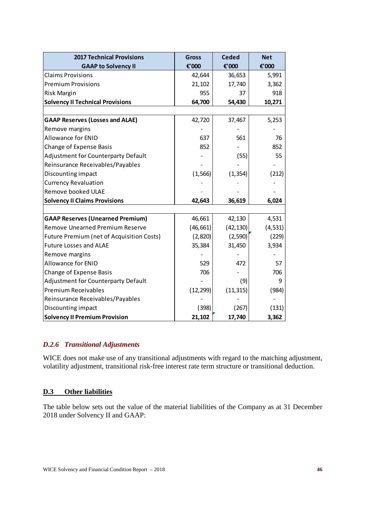| <b>2017 Technical Provisions</b>                 | <b>Gross</b> | <b>Ceded</b> | <b>Net</b> |
|--------------------------------------------------|--------------|--------------|------------|
| <b>GAAP to Solvency II</b>                       | €'000        | €'000        | €'000      |
| <b>Claims Provisions</b>                         | 42,644       | 36,653       | 5,991      |
| <b>Premium Provisions</b>                        | 21,102       | 17,740       | 3,362      |
| Risk Margin                                      | 955          | 37           | 918        |
| <b>Solvency II Technical Provisions</b>          | 64,700       | 54,430       | 10,271     |
|                                                  |              |              |            |
| <b>GAAP Reserves (Losses and ALAE)</b>           | 42,720       | 37,467       | 5,253      |
| Remove margins                                   |              |              |            |
| <b>Allowance for ENID</b>                        | 637          | 561          | 76         |
| <b>Change of Expense Basis</b>                   | 852          |              | 852        |
| Adjustment for Counterparty Default              |              | (55)         | 55         |
| Reinsurance Receivables/Payables                 |              |              |            |
| Discounting impact                               | (1, 566)     | (1, 354)     | (212)      |
| <b>Currency Revaluation</b>                      |              |              |            |
| Remove booked ULAE                               |              |              |            |
| <b>Solvency II Claims Provisions</b>             | 42,643       | 36,619       | 6,024      |
|                                                  |              |              |            |
| <b>GAAP Reserves (Unearned Premium)</b>          | 46,661       | 42,130       | 4,531      |
| <b>Remove Unearned Premium Reserve</b>           | (46, 661)    | (42, 130)    | (4, 531)   |
| <b>Future Premium (net of Acquisition Costs)</b> | (2,820)      | (2,590)      | (229)      |
| <b>Future Losses and ALAE</b>                    | 35,384       | 31,450       | 3,934      |
| Remove margins                                   |              |              |            |
| <b>Allowance for ENID</b>                        | 529          | 472          | 57         |
| Change of Expense Basis                          | 706          |              | 706        |
| Adjustment for Counterparty Default              |              | (9)          | 9          |
| <b>Premium Receivables</b>                       | (12, 299)    | (11, 315)    | (984)      |
| Reinsurance Receivables/Payables                 |              |              |            |
| Discounting impact                               | (398)        | (267)        | (131)      |
| <b>Solvency II Premium Provision</b>             | 21,102       | 17,740       | 3,362      |

## *D.2.6 Transitional Adjustments*

WICE does not make use of any transitional adjustments with regard to the matching adjustment, volatility adjustment, transitional risk-free interest rate term structure or transitional deduction.

#### **D.3 Other liabilities**

The table below sets out the value of the material liabilities of the Company as at 31 December 2018 under Solvency II and GAAP: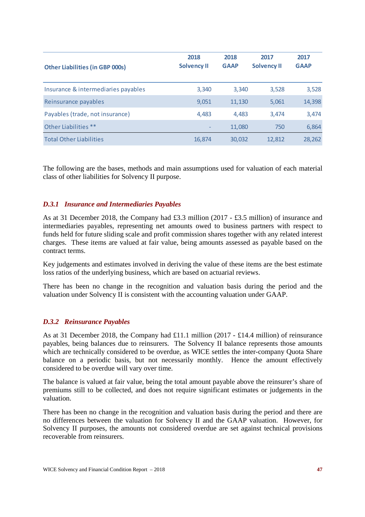| <b>Other Liabilities (in GBP 000s)</b> | 2018<br><b>Solvency II</b> | 2018<br><b>GAAP</b> | 2017<br><b>Solvency II</b> | 2017<br><b>GAAP</b> |
|----------------------------------------|----------------------------|---------------------|----------------------------|---------------------|
| Insurance & intermediaries payables    | 3,340                      | 3,340               | 3,528                      | 3,528               |
| Reinsurance payables                   | 9,051                      | 11,130              | 5,061                      | 14,398              |
| Payables (trade, not insurance)        | 4,483                      | 4.483               | 3.474                      | 3,474               |
| Other Liabilities **                   |                            | 11,080              | 750                        | 6,864               |
| <b>Total Other Liabilities</b>         | 16,874                     | 30,032              | 12.812                     | 28,262              |

The following are the bases, methods and main assumptions used for valuation of each material class of other liabilities for Solvency II purpose.

#### *D.3.1 Insurance and Intermediaries Payables*

As at 31 December 2018, the Company had £3.3 million (2017 - £3.5 million) of insurance and intermediaries payables, representing net amounts owed to business partners with respect to funds held for future sliding scale and profit commission shares together with any related interest charges. These items are valued at fair value, being amounts assessed as payable based on the contract terms.

Key judgements and estimates involved in deriving the value of these items are the best estimate loss ratios of the underlying business, which are based on actuarial reviews.

There has been no change in the recognition and valuation basis during the period and the valuation under Solvency II is consistent with the accounting valuation under GAAP.

#### *D.3.2 Reinsurance Payables*

As at 31 December 2018, the Company had £11.1 million (2017 - £14.4 million) of reinsurance payables, being balances due to reinsurers. The Solvency II balance represents those amounts which are technically considered to be overdue, as WICE settles the inter-company Quota Share balance on a periodic basis, but not necessarily monthly. Hence the amount effectively considered to be overdue will vary over time.

The balance is valued at fair value, being the total amount payable above the reinsurer's share of premiums still to be collected, and does not require significant estimates or judgements in the valuation.

There has been no change in the recognition and valuation basis during the period and there are no differences between the valuation for Solvency II and the GAAP valuation. However, for Solvency II purposes, the amounts not considered overdue are set against technical provisions recoverable from reinsurers.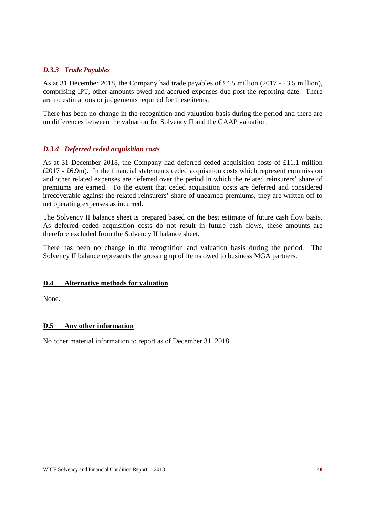#### *D.3.3 Trade Payables*

As at 31 December 2018, the Company had trade payables of £4.5 million (2017 - £3.5 million), comprising IPT, other amounts owed and accrued expenses due post the reporting date. There are no estimations or judgements required for these items.

There has been no change in the recognition and valuation basis during the period and there are no differences between the valuation for Solvency II and the GAAP valuation.

#### *D.3.4 Deferred ceded acquisition costs*

As at 31 December 2018, the Company had deferred ceded acquisition costs of £11.1 million (2017 - £6.9m). In the financial statements ceded acquisition costs which represent commission and other related expenses are deferred over the period in which the related reinsurers' share of premiums are earned. To the extent that ceded acquisition costs are deferred and considered irrecoverable against the related reinsurers' share of unearned premiums, they are written off to net operating expenses as incurred.

The Solvency II balance sheet is prepared based on the best estimate of future cash flow basis. As deferred ceded acquisition costs do not result in future cash flows, these amounts are therefore excluded from the Solvency II balance sheet.

There has been no change in the recognition and valuation basis during the period. The Solvency II balance represents the grossing up of items owed to business MGA partners.

#### **D.4 Alternative methods for valuation**

None.

#### **D.5 Any other information**

No other material information to report as of December 31, 2018.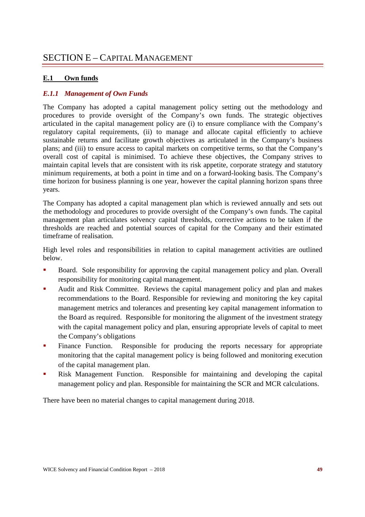## **E.1 Own funds**

## *E.1.1 Management of Own Funds*

The Company has adopted a capital management policy setting out the methodology and procedures to provide oversight of the Company's own funds. The strategic objectives articulated in the capital management policy are (i) to ensure compliance with the Company's regulatory capital requirements, (ii) to manage and allocate capital efficiently to achieve sustainable returns and facilitate growth objectives as articulated in the Company's business plans; and (iii) to ensure access to capital markets on competitive terms, so that the Company's overall cost of capital is minimised. To achieve these objectives, the Company strives to maintain capital levels that are consistent with its risk appetite, corporate strategy and statutory minimum requirements, at both a point in time and on a forward-looking basis. The Company's time horizon for business planning is one year, however the capital planning horizon spans three years.

The Company has adopted a capital management plan which is reviewed annually and sets out the methodology and procedures to provide oversight of the Company's own funds. The capital management plan articulates solvency capital thresholds, corrective actions to be taken if the thresholds are reached and potential sources of capital for the Company and their estimated timeframe of realisation.

High level roles and responsibilities in relation to capital management activities are outlined below.

- Board. Sole responsibility for approving the capital management policy and plan. Overall responsibility for monitoring capital management.
- Audit and Risk Committee. Reviews the capital management policy and plan and makes recommendations to the Board. Responsible for reviewing and monitoring the key capital management metrics and tolerances and presenting key capital management information to the Board as required. Responsible for monitoring the alignment of the investment strategy with the capital management policy and plan, ensuring appropriate levels of capital to meet the Company's obligations
- Finance Function. Responsible for producing the reports necessary for appropriate monitoring that the capital management policy is being followed and monitoring execution of the capital management plan.
- Risk Management Function. Responsible for maintaining and developing the capital management policy and plan. Responsible for maintaining the SCR and MCR calculations.

There have been no material changes to capital management during 2018.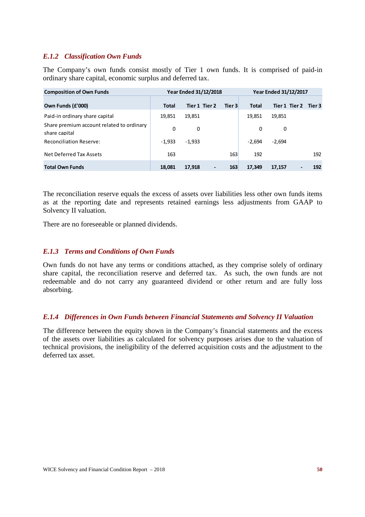### *E.1.2 Classification Own Funds*

The Company's own funds consist mostly of Tier 1 own funds. It is comprised of paid-in ordinary share capital, economic surplus and deferred tax.

| <b>Composition of Own Funds</b>                            |              | <b>Year Ended 31/12/2018</b> |        |              | <b>Year Ended 31/12/2017</b> |        |
|------------------------------------------------------------|--------------|------------------------------|--------|--------------|------------------------------|--------|
| Own Funds (£'000)                                          | <b>Total</b> | Tier 1 Tier 2                | Tier 3 | <b>Total</b> | Tier 1 Tier 2                | Tier 3 |
| Paid-in ordinary share capital                             | 19,851       | 19,851                       |        | 19,851       | 19,851                       |        |
| Share premium account related to ordinary<br>share capital | 0            | 0                            |        | 0            | 0                            |        |
| <b>Reconciliation Reserve:</b>                             | $-1,933$     | $-1,933$                     |        | $-2.694$     | $-2,694$                     |        |
| Net Deferred Tax Assets                                    | 163          |                              | 163    | 192          |                              | 192    |
| <b>Total Own Funds</b>                                     | 18,081       | 17,918<br>$\blacksquare$     | 163    | 17,349       | 17,157                       | 192    |

The reconciliation reserve equals the excess of assets over liabilities less other own funds items as at the reporting date and represents retained earnings less adjustments from GAAP to Solvency II valuation.

There are no foreseeable or planned dividends.

#### *E.1.3 Terms and Conditions of Own Funds*

Own funds do not have any terms or conditions attached, as they comprise solely of ordinary share capital, the reconciliation reserve and deferred tax. As such, the own funds are not redeemable and do not carry any guaranteed dividend or other return and are fully loss absorbing.

#### *E.1.4 Differences in Own Funds between Financial Statements and Solvency II Valuation*

The difference between the equity shown in the Company's financial statements and the excess of the assets over liabilities as calculated for solvency purposes arises due to the valuation of technical provisions, the ineligibility of the deferred acquisition costs and the adjustment to the deferred tax asset.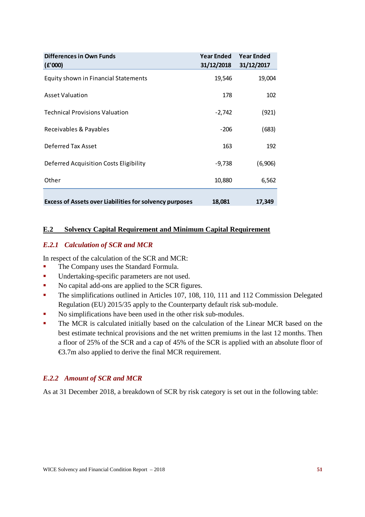| Differences in Own Funds<br>(E'000)                            | <b>Year Ended</b><br>31/12/2018 | <b>Year Ended</b><br>31/12/2017 |
|----------------------------------------------------------------|---------------------------------|---------------------------------|
| Equity shown in Financial Statements                           | 19,546                          | 19,004                          |
| <b>Asset Valuation</b>                                         | 178                             | 102                             |
| <b>Technical Provisions Valuation</b>                          | $-2,742$                        | (921)                           |
| Receivables & Payables                                         | $-206$                          | (683)                           |
| Deferred Tax Asset                                             | 163                             | 192                             |
| Deferred Acquisition Costs Eligibility                         | $-9,738$                        | (6,906)                         |
| Other                                                          | 10,880                          | 6,562                           |
| <b>Excess of Assets over Liabilities for solvency purposes</b> | 18,081                          | 17,349                          |

## **E.2 Solvency Capital Requirement and Minimum Capital Requirement**

#### *E.2.1 Calculation of SCR and MCR*

In respect of the calculation of the SCR and MCR:

- **The Company uses the Standard Formula.**
- **Indertaking-specific parameters are not used.**
- No capital add-ons are applied to the SCR figures.
- The simplifications outlined in Articles 107, 108, 110, 111 and 112 Commission Delegated Regulation (EU) 2015/35 apply to the Counterparty default risk sub-module.
- No simplifications have been used in the other risk sub-modules.
- The MCR is calculated initially based on the calculation of the Linear MCR based on the best estimate technical provisions and the net written premiums in the last 12 months. Then a floor of 25% of the SCR and a cap of 45% of the SCR is applied with an absolute floor of €3.7m also applied to derive the final MCR requirement.

## *E.2.2 Amount of SCR and MCR*

As at 31 December 2018, a breakdown of SCR by risk category is set out in the following table: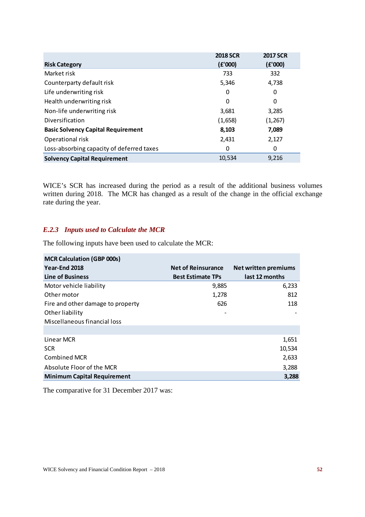|                                           | <b>2018 SCR</b> | <b>2017 SCR</b> |
|-------------------------------------------|-----------------|-----------------|
| <b>Risk Category</b>                      | (E'000)         | (E'000)         |
| Market risk                               | 733             | 332             |
| Counterparty default risk                 | 5,346           | 4,738           |
| Life underwriting risk                    | 0               | 0               |
| Health underwriting risk                  | 0               | 0               |
| Non-life underwriting risk                | 3,681           | 3,285           |
| Diversification                           | (1,658)         | (1, 267)        |
| <b>Basic Solvency Capital Requirement</b> | 8,103           | 7,089           |
| Operational risk                          | 2,431           | 2,127           |
| Loss-absorbing capacity of deferred taxes | 0               | 0               |
| <b>Solvency Capital Requirement</b>       | 10,534          | 9,216           |

WICE's SCR has increased during the period as a result of the additional business volumes written during 2018. The MCR has changed as a result of the change in the official exchange rate during the year.

### *E.2.3 Inputs used to Calculate the MCR*

The following inputs have been used to calculate the MCR:

| <b>MCR Calculation (GBP 000s)</b>  |                           |                             |
|------------------------------------|---------------------------|-----------------------------|
| Year-End 2018                      | <b>Net of Reinsurance</b> | <b>Net written premiums</b> |
| Line of Business                   | <b>Best Estimate TPs</b>  | last 12 months              |
| Motor vehicle liability            | 9,885                     | 6,233                       |
| Other motor                        | 1,278                     | 812                         |
| Fire and other damage to property  | 626                       | 118                         |
| Other liability                    |                           |                             |
| Miscellaneous financial loss       |                           |                             |
|                                    |                           |                             |
| Linear MCR                         |                           | 1,651                       |
| <b>SCR</b>                         |                           | 10,534                      |
| Combined MCR                       |                           | 2,633                       |
| Absolute Floor of the MCR          |                           | 3,288                       |
| <b>Minimum Capital Requirement</b> |                           | 3,288                       |

The comparative for 31 December 2017 was: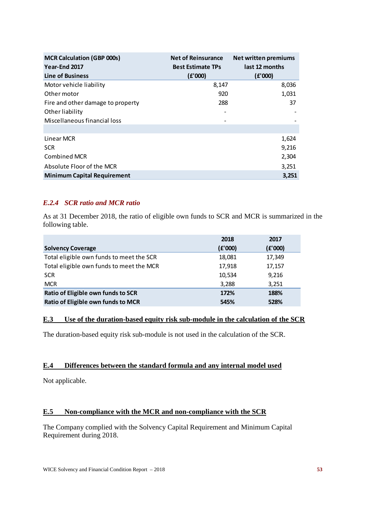| <b>MCR Calculation (GBP 000s)</b><br>Year-End 2017 | <b>Net of Reinsurance</b><br><b>Best Estimate TPs</b> | <b>Net written premiums</b><br>last 12 months |
|----------------------------------------------------|-------------------------------------------------------|-----------------------------------------------|
| Line of Business                                   | (E'000)                                               | (E'000)                                       |
| Motor vehicle liability                            | 8,147                                                 | 8,036                                         |
| Other motor                                        | 920                                                   | 1,031                                         |
| Fire and other damage to property                  | 288                                                   | 37                                            |
| Other liability                                    |                                                       |                                               |
| Miscellaneous financial loss                       |                                                       |                                               |
|                                                    |                                                       |                                               |
| Linear MCR                                         |                                                       | 1,624                                         |
| <b>SCR</b>                                         |                                                       | 9,216                                         |
| Combined MCR                                       |                                                       | 2,304                                         |
| Absolute Floor of the MCR                          |                                                       | 3,251                                         |
| <b>Minimum Capital Requirement</b>                 |                                                       | 3,251                                         |

## *E.2.4 SCR ratio and MCR ratio*

As at 31 December 2018, the ratio of eligible own funds to SCR and MCR is summarized in the following table.

|                                          | 2018    | 2017    |
|------------------------------------------|---------|---------|
| <b>Solvency Coverage</b>                 | (E'000) | (E'000) |
| Total eligible own funds to meet the SCR | 18,081  | 17,349  |
| Total eligible own funds to meet the MCR | 17,918  | 17,157  |
| <b>SCR</b>                               | 10,534  | 9,216   |
| <b>MCR</b>                               | 3,288   | 3,251   |
| Ratio of Eligible own funds to SCR       | 172%    | 188%    |
| Ratio of Eligible own funds to MCR       | 545%    | 528%    |

#### **E.3 Use of the duration-based equity risk sub-module in the calculation of the SCR**

The duration-based equity risk sub-module is not used in the calculation of the SCR.

#### **E.4 Differences between the standard formula and any internal model used**

Not applicable.

#### **E.5 Non-compliance with the MCR and non-compliance with the SCR**

The Company complied with the Solvency Capital Requirement and Minimum Capital Requirement during 2018.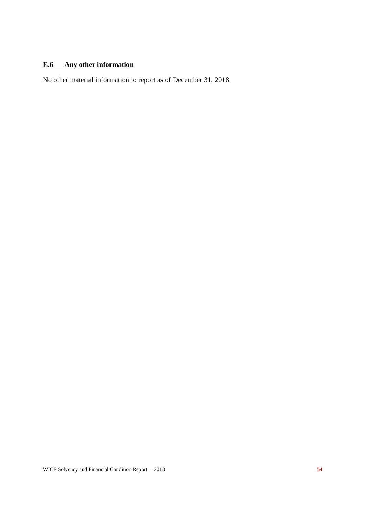## **E.6 Any other information**

No other material information to report as of December 31, 2018.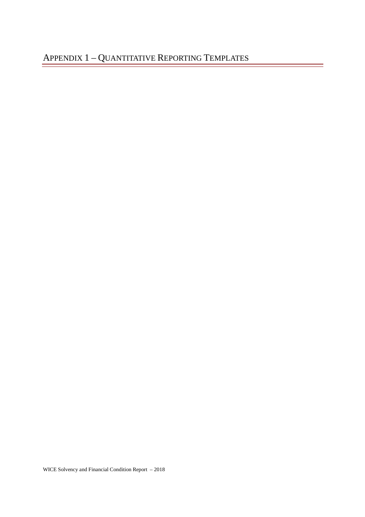WICE Solvency and Financial Condition Report – 2018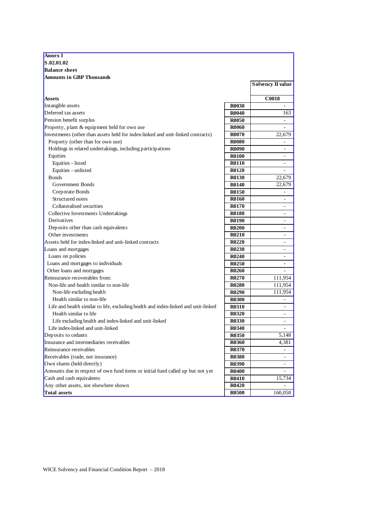| <b>Annex I</b>                                                                     |              |                          |
|------------------------------------------------------------------------------------|--------------|--------------------------|
| S.02.01.02                                                                         |              |                          |
| <b>Balance sheet</b>                                                               |              |                          |
| <b>Amounts in GBP Thousands</b>                                                    |              |                          |
|                                                                                    |              | <b>Solvency II value</b> |
| <b>Assets</b>                                                                      |              | <b>C0010</b>             |
| Intangible assets                                                                  | <b>R0030</b> |                          |
| Deferred tax assets                                                                | <b>R0040</b> | 163                      |
| Pension benefit surplus                                                            | <b>R0050</b> | $\overline{\phantom{a}}$ |
| Property, plant & equipment held for own use                                       | <b>R0060</b> | $\overline{\phantom{0}}$ |
| Investments (other than assets held for index-linked and unit-linked contracts)    | <b>R0070</b> | 22,679                   |
| Property (other than for own use)                                                  | <b>R0080</b> |                          |
| Holdings in related undertakings, including participations                         | <b>R0090</b> | -                        |
| Equities                                                                           | <b>R0100</b> |                          |
| Equities - listed                                                                  | <b>R0110</b> |                          |
| Equities - unlisted                                                                | <b>R0120</b> |                          |
| <b>Bonds</b>                                                                       | <b>R0130</b> | 22,679                   |
| Government Bonds                                                                   | <b>R0140</b> | 22,679                   |
| Corporate Bonds                                                                    | <b>R0150</b> |                          |
| Structured notes                                                                   | <b>R0160</b> |                          |
| Collateralised securities                                                          | <b>R0170</b> |                          |
| Collective Investments Undertakings                                                | <b>R0180</b> |                          |
| <b>Derivatives</b>                                                                 | <b>R0190</b> |                          |
| Deposits other than cash equivalents                                               | <b>R0200</b> |                          |
| Other investments                                                                  | <b>R0210</b> |                          |
| Assets held for index-linked and unit-linked contracts                             | <b>R0220</b> |                          |
| Loans and mortgages                                                                | <b>R0230</b> | $\overline{\phantom{0}}$ |
| Loans on policies                                                                  | <b>R0240</b> | Ξ.                       |
| Loans and mortgages to individuals                                                 | <b>R0250</b> | $\overline{\phantom{a}}$ |
| Other loans and mortgages                                                          | <b>R0260</b> |                          |
| Reinsurance recoverables from:                                                     | <b>R0270</b> | 111,954                  |
| Non-life and health similar to non-life                                            | <b>R0280</b> | 111,954                  |
| Non-life excluding health                                                          | <b>R0290</b> | 111,954                  |
| Health similar to non-life                                                         | <b>R0300</b> |                          |
| Life and health similar to life, excluding health and index-linked and unit-linked | <b>R0310</b> |                          |
| Health similar to life                                                             | <b>R0320</b> |                          |
| Life excluding health and index-linked and unit-linked                             | <b>R0330</b> |                          |
| Life index-linked and unit-linked                                                  | <b>R0340</b> | $\overline{\phantom{0}}$ |
| Deposits to cedants                                                                | <b>R0350</b> | 5,148                    |
| Insurance and intermediaries receivables                                           | <b>R0360</b> | 4,381                    |
| Reinsurance receivables                                                            | <b>R0370</b> |                          |
| Receivables (trade, not insurance)                                                 | <b>R0380</b> |                          |
| Own shares (held directly)                                                         | <b>R0390</b> |                          |
| Amounts due in respect of own fund items or initial fund called up but not yet     | <b>R0400</b> |                          |
| Cash and cash equivalents                                                          | <b>R0410</b> | 15,734                   |
| Any other assets, not elsewhere shown                                              | <b>R0420</b> |                          |
| Total assets                                                                       | <b>R0500</b> | 160,058                  |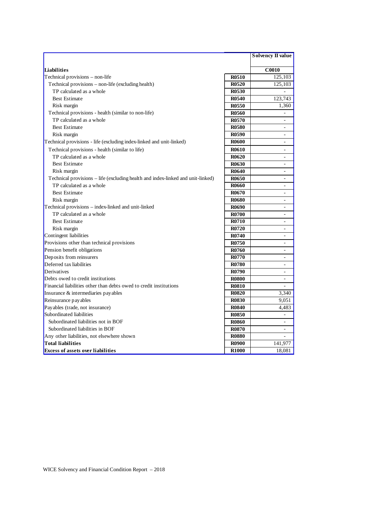|                                                                                 |              | <b>Solvency II value</b> |
|---------------------------------------------------------------------------------|--------------|--------------------------|
|                                                                                 |              |                          |
| Liabilities                                                                     |              | $\overline{C0010}$       |
| Technical provisions - non-life                                                 | <b>R0510</b> | 125,103                  |
| Technical provisions - non-life (excluding health)                              | <b>R0520</b> | 125,103                  |
| TP calculated as a whole                                                        | <b>R0530</b> | ÷                        |
| <b>Best Estimate</b>                                                            | <b>R0540</b> | 123,743                  |
| Risk margin                                                                     | <b>R0550</b> | 1,360                    |
| Technical provisions - health (similar to non-life)                             | <b>R0560</b> |                          |
| TP calculated as a whole                                                        | <b>R0570</b> | $\sim$                   |
| <b>Best Estimate</b>                                                            | <b>R0580</b> |                          |
| Risk margin                                                                     | <b>R0590</b> | $\overline{a}$           |
| Technical provisions - life (excluding index-linked and unit-linked)            | <b>R0600</b> | $\blacksquare$           |
| Technical provisions - health (similar to life)                                 | <b>R0610</b> |                          |
| TP calculated as a whole                                                        | <b>R0620</b> | $\overline{a}$           |
| <b>Best Estimate</b>                                                            | <b>R0630</b> |                          |
| Risk margin                                                                     | R0640        |                          |
| Technical provisions – life (excluding health and index-linked and unit-linked) | <b>R0650</b> | $\blacksquare$           |
| TP calculated as a whole                                                        | <b>R0660</b> |                          |
| <b>Best Estimate</b>                                                            | <b>R0670</b> | $\equiv$                 |
| Risk margin                                                                     | <b>R0680</b> | $\equiv$                 |
| Technical provisions - index-linked and unit-linked                             | <b>R0690</b> | ÷.                       |
| TP calculated as a whole                                                        | <b>R0700</b> | $\equiv$                 |
| <b>Best Estimate</b>                                                            | <b>R0710</b> | ٠                        |
| Risk margin                                                                     | R0720        |                          |
| Contingent liabilities                                                          | R0740        | ÷.                       |
| Provisions other than technical provisions                                      | <b>R0750</b> |                          |
| Pension benefit obligations                                                     | <b>R0760</b> | $\overline{a}$           |
| Deposits from reinsurers                                                        | <b>R0770</b> |                          |
| Deferred tax liabilities                                                        | <b>R0780</b> |                          |
| Derivatives                                                                     | <b>R0790</b> | $\blacksquare$           |
| Debts owed to credit institutions                                               | <b>R0800</b> | $\blacksquare$           |
| Financial liabilities other than debts owed to credit institutions              | <b>R0810</b> | $\blacksquare$           |
| Insurance & intermediaries payables                                             | <b>R0820</b> | 3,340                    |
| Reinsurance pay ables                                                           | <b>R0830</b> | 9,051                    |
| Payables (trade, not insurance)                                                 | <b>R0840</b> | 4,483                    |
| Subordinated liabilities                                                        | <b>R0850</b> |                          |
| Subordinated liabilities not in BOF                                             | <b>R0860</b> |                          |
| Subordinated liabilities in BOF                                                 | <b>R0870</b> | $\blacksquare$           |
| Any other liabilities, not elsewhere shown                                      | <b>R0880</b> |                          |
| <b>Total liabilities</b>                                                        | <b>R0900</b> | 141,977                  |
| <b>Excess of assets over liabilities</b>                                        | <b>R1000</b> | 18,081                   |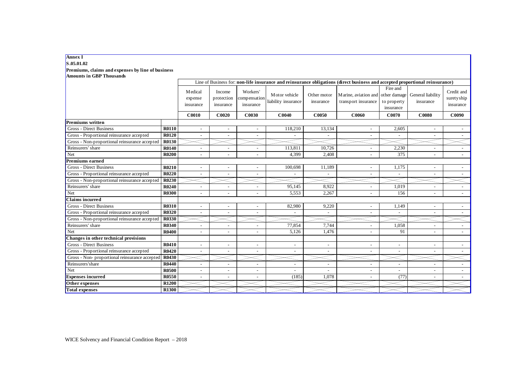#### **Annex I**

#### **S.05.01.02**

**Premiums, claims and expenses by line of business Amounts in GBP Thousands**

|                                                |              | Line of Business for: non-life insurance and reinsurance obligations (direct business and accepted proportional reinsurance) |                                   |                                       |                                      |                          |                                                          |                                      |                                |                                       |
|------------------------------------------------|--------------|------------------------------------------------------------------------------------------------------------------------------|-----------------------------------|---------------------------------------|--------------------------------------|--------------------------|----------------------------------------------------------|--------------------------------------|--------------------------------|---------------------------------------|
|                                                |              | <b>M</b> edical<br>expense<br>insurance                                                                                      | Income<br>protection<br>insurance | Workers'<br>compensation<br>insurance | Motor vehicle<br>liability insurance | Other motor<br>insurance | Marine, aviation and other damage<br>transport insurance | Fire and<br>to property<br>insurance | General liability<br>insurance | Credit and<br>suretyship<br>insurance |
|                                                |              | <b>C0010</b>                                                                                                                 | C0020                             | <b>C0030</b>                          | C0040                                | C0050                    | C0060                                                    | <b>C0070</b>                         | <b>C0080</b>                   | C0090                                 |
| <b>Premiums written</b>                        |              |                                                                                                                              |                                   |                                       |                                      |                          |                                                          |                                      |                                |                                       |
| <b>Gross - Direct Business</b>                 | R0110        | $\overline{\phantom{a}}$                                                                                                     | $\overline{\phantom{a}}$          |                                       | 118,210                              | 13,134                   | $\overline{\phantom{a}}$                                 | 2,605                                | $\overline{\phantom{a}}$       |                                       |
| Gross - Proportional reinsurance accepted      | R0120        |                                                                                                                              |                                   |                                       |                                      |                          |                                                          |                                      |                                |                                       |
| Gross - Non-proportional reinsurance accepted  | R0130        |                                                                                                                              |                                   |                                       |                                      |                          |                                                          |                                      |                                |                                       |
| Reinsurers' share                              | <b>R0140</b> |                                                                                                                              |                                   |                                       | 113,811                              | 10,726                   |                                                          | 2,230                                |                                |                                       |
| Net                                            | <b>R0200</b> |                                                                                                                              | $\overline{a}$                    |                                       | 4,399                                | 2,408                    |                                                          | 375                                  | $\overline{\phantom{a}}$       |                                       |
| <b>Premiums earned</b>                         |              |                                                                                                                              |                                   |                                       |                                      |                          |                                                          |                                      |                                |                                       |
| Gross - Direct Business                        | R0210        |                                                                                                                              | $\overline{a}$                    |                                       | 100,698                              | 11,189                   |                                                          | 1.175                                |                                |                                       |
| Gross - Proportional reinsurance accepted      | R0220        |                                                                                                                              |                                   |                                       |                                      |                          |                                                          |                                      |                                |                                       |
| Gross - Non-proportional reinsurance accepted  | R0230        |                                                                                                                              |                                   |                                       |                                      |                          |                                                          |                                      |                                |                                       |
| Reinsurers' share                              | R0240        |                                                                                                                              |                                   |                                       | 95,145                               | 8,922                    |                                                          | 1,019                                |                                |                                       |
| Net                                            | <b>R0300</b> |                                                                                                                              | $\overline{a}$                    |                                       | 5,553                                | 2,267                    |                                                          | 156                                  |                                |                                       |
| <b>Claims incurred</b>                         |              |                                                                                                                              |                                   |                                       |                                      |                          |                                                          |                                      |                                |                                       |
| <b>Gross - Direct Business</b>                 | <b>R0310</b> |                                                                                                                              | $\overline{a}$                    |                                       | 82,980                               | 9,220                    |                                                          | 1,149                                |                                |                                       |
| Gross - Proportional reinsurance accepted      | <b>R0320</b> |                                                                                                                              |                                   |                                       |                                      |                          |                                                          |                                      |                                |                                       |
| Gross - Non-proportional reinsurance accepted  | R0330        |                                                                                                                              |                                   |                                       |                                      |                          |                                                          |                                      |                                |                                       |
| Reinsurers' share                              | R0340        | $\overline{\phantom{a}}$                                                                                                     | $\overline{\phantom{a}}$          |                                       | 77,854                               | 7.744                    |                                                          | 1,058                                | $\overline{\phantom{a}}$       |                                       |
| Net                                            | <b>R0400</b> |                                                                                                                              | $\overline{a}$                    |                                       | 5,126                                | 1,476                    |                                                          | 91                                   |                                |                                       |
| Changes in other technical provisions          |              |                                                                                                                              |                                   |                                       |                                      |                          |                                                          |                                      |                                |                                       |
| Gross - Direct Business                        | R0410        |                                                                                                                              | $\overline{\phantom{a}}$          |                                       | $\overline{\phantom{a}}$             | $\overline{a}$           |                                                          | $\overline{\phantom{a}}$             | $\overline{\phantom{a}}$       |                                       |
| Gross - Proportional reinsurance accepted      | R0420        |                                                                                                                              | $\overline{a}$                    |                                       | $\overline{a}$                       | $\overline{a}$           |                                                          | $\overline{a}$                       |                                |                                       |
| Gross - Non- proportional reinsurance accepted | R0430        |                                                                                                                              |                                   |                                       |                                      |                          |                                                          |                                      |                                |                                       |
| Reinsurers'share                               | <b>R0440</b> |                                                                                                                              | ÷,                                |                                       |                                      |                          |                                                          |                                      |                                |                                       |
| Net                                            | <b>R0500</b> |                                                                                                                              |                                   |                                       |                                      |                          |                                                          |                                      |                                |                                       |
| <b>Expenses incurred</b>                       | <b>R0550</b> |                                                                                                                              | $\overline{a}$                    |                                       | (185)                                | 1,078                    |                                                          | (77)                                 |                                |                                       |
| Other expenses                                 | R1200        |                                                                                                                              |                                   |                                       |                                      |                          |                                                          |                                      |                                |                                       |
| <b>Total expenses</b>                          | R1300        |                                                                                                                              |                                   |                                       |                                      |                          |                                                          |                                      |                                |                                       |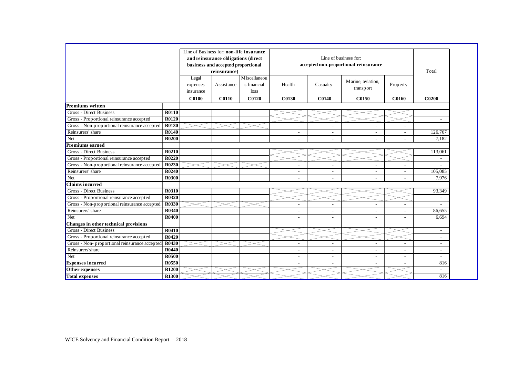|                                                |              | Line of Business for: non-life insurance |                                    |               |        | Line of business for: |                                       |                          |                          |
|------------------------------------------------|--------------|------------------------------------------|------------------------------------|---------------|--------|-----------------------|---------------------------------------|--------------------------|--------------------------|
|                                                |              | and reinsurance obligations (direct      |                                    |               |        |                       |                                       |                          |                          |
|                                                |              |                                          | business and accepted proportional |               |        |                       | accepted non-proportional reinsurance |                          |                          |
|                                                |              |                                          | reinsurance)                       |               |        |                       |                                       |                          | Total                    |
|                                                |              | Legal                                    |                                    | M iscellaneou |        |                       | Marine, aviation,                     |                          |                          |
|                                                |              | expenses                                 | Assistance                         | s financial   | Health | Casualty              | transport                             | Property                 |                          |
|                                                |              | insurance                                |                                    | loss          |        |                       |                                       |                          |                          |
|                                                |              | <b>C0100</b>                             | <b>C0110</b>                       | <b>C0120</b>  | C0130  | <b>C0140</b>          | C0150                                 | C0160                    | C <sub>0200</sub>        |
| <b>Premiums written</b>                        |              |                                          |                                    |               |        |                       |                                       |                          |                          |
| <b>Gross - Direct Business</b>                 | <b>R0110</b> |                                          |                                    |               |        |                       |                                       |                          |                          |
| Gross - Proportional reinsurance accepted      | R0120        |                                          |                                    |               |        |                       |                                       |                          |                          |
| Gross - Non-proportional reinsurance accepted  | <b>R0130</b> |                                          |                                    |               |        | ٠                     |                                       | $\overline{\phantom{a}}$ |                          |
| Reinsurers' share                              | <b>R0140</b> |                                          |                                    |               |        | ٠                     |                                       | $\overline{\phantom{a}}$ | 126,767                  |
| Net                                            | <b>R0200</b> |                                          |                                    |               |        |                       |                                       |                          | 7,182                    |
| <b>Premiums earned</b>                         |              |                                          |                                    |               |        |                       |                                       |                          |                          |
| <b>Gross - Direct Business</b>                 | R0210        |                                          |                                    |               |        |                       |                                       |                          | 113,061                  |
| Gross - Proportional reinsurance accepted      | R0220        |                                          |                                    |               |        |                       |                                       |                          |                          |
| Gross - Non-proportional reinsurance accepted  | <b>R0230</b> |                                          |                                    |               |        |                       |                                       |                          |                          |
| Reinsurers' share                              | R0240        |                                          |                                    |               |        |                       |                                       |                          | 105,085                  |
| Net                                            | <b>R0300</b> |                                          |                                    |               |        |                       |                                       |                          | 7,976                    |
| <b>Claims incurred</b>                         |              |                                          |                                    |               |        |                       |                                       |                          |                          |
| <b>Gross - Direct Business</b>                 | <b>R0310</b> |                                          |                                    |               |        |                       |                                       |                          | 93,349                   |
| Gross - Proportional reinsurance accepted      | <b>R0320</b> |                                          |                                    |               |        |                       |                                       |                          |                          |
| Gross - Non-proportional reinsurance accepted  | <b>R0330</b> |                                          |                                    |               |        |                       |                                       |                          |                          |
| Reinsurers' share                              | R0340        |                                          |                                    |               |        |                       |                                       |                          | 86.655                   |
| Net                                            | <b>R0400</b> |                                          |                                    |               |        | ÷,                    |                                       | $\overline{\phantom{a}}$ | 6,694                    |
| Changes in other technical provisions          |              |                                          |                                    |               |        |                       |                                       |                          |                          |
| <b>Gross - Direct Business</b>                 | <b>R0410</b> |                                          |                                    |               |        |                       |                                       |                          |                          |
| Gross - Proportional reinsurance accepted      | R0420        |                                          |                                    |               |        |                       |                                       |                          | $\overline{\phantom{a}}$ |
| Gross - Non- proportional reinsurance accepted | R0430        |                                          |                                    |               |        |                       |                                       |                          | $\overline{\phantom{a}}$ |
| Reinsurers'share                               | R0440        |                                          |                                    |               |        | ٠                     |                                       |                          | $\overline{\phantom{a}}$ |
| Net                                            | <b>R0500</b> |                                          |                                    |               |        |                       |                                       |                          | $\sim$                   |
| <b>Expenses</b> incurred                       | R0550        |                                          |                                    |               |        |                       |                                       |                          | 816                      |
| Other expenses                                 | <b>R1200</b> |                                          |                                    |               |        |                       |                                       |                          | $\sim$                   |
| <b>Total expenses</b>                          | R1300        |                                          |                                    |               |        |                       |                                       |                          | 816                      |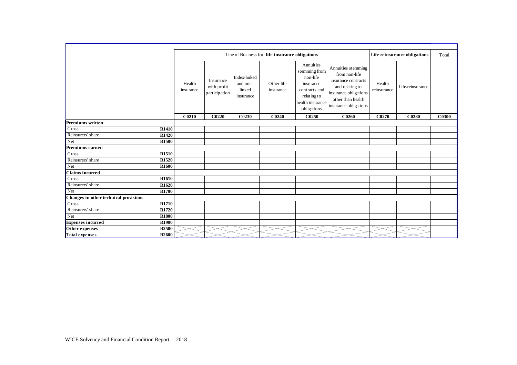|                                       |                   |                     | Line of Business for: life insurance obligations<br>Life reinsurance obligations |                                                  |                         |                                                                                                                        |                                                                                                                                                      |                       |                  |              |
|---------------------------------------|-------------------|---------------------|----------------------------------------------------------------------------------|--------------------------------------------------|-------------------------|------------------------------------------------------------------------------------------------------------------------|------------------------------------------------------------------------------------------------------------------------------------------------------|-----------------------|------------------|--------------|
|                                       |                   | Health<br>insurance | Insurance<br>with profit<br>participation                                        | Index-linked<br>and unit-<br>linked<br>insurance | Other life<br>insurance | Annuities<br>stemming from<br>non-life<br>insurance<br>contracts and<br>relating to<br>health insurance<br>obligations | Annuities stemming<br>from non-life<br>insurance contracts<br>and relating to<br>insurance obligations<br>other than health<br>insurance obligations | Health<br>reinsurance | Life-reinsurance |              |
|                                       |                   | C0210               | <b>C0220</b>                                                                     | C0230                                            | C0240                   | C0250                                                                                                                  | C0260                                                                                                                                                | C0270                 | C0280            | <b>C0300</b> |
| <b>Premiums</b> written               |                   |                     |                                                                                  |                                                  |                         |                                                                                                                        |                                                                                                                                                      |                       |                  |              |
| Gross                                 | <b>R1410</b>      |                     |                                                                                  |                                                  |                         |                                                                                                                        |                                                                                                                                                      |                       |                  |              |
| Reinsurers' share                     | <b>R1420</b>      |                     |                                                                                  |                                                  |                         |                                                                                                                        |                                                                                                                                                      |                       |                  |              |
| Net                                   | <b>R1500</b>      |                     |                                                                                  |                                                  |                         |                                                                                                                        |                                                                                                                                                      |                       |                  |              |
| <b>Premiums earned</b>                |                   |                     |                                                                                  |                                                  |                         |                                                                                                                        |                                                                                                                                                      |                       |                  |              |
| Gross                                 | <b>R1510</b>      |                     |                                                                                  |                                                  |                         |                                                                                                                        |                                                                                                                                                      |                       |                  |              |
| Reinsurers' share                     | <b>R1520</b>      |                     |                                                                                  |                                                  |                         |                                                                                                                        |                                                                                                                                                      |                       |                  |              |
| Net                                   | <b>R1600</b>      |                     |                                                                                  |                                                  |                         |                                                                                                                        |                                                                                                                                                      |                       |                  |              |
| <b>Claims incurred</b>                |                   |                     |                                                                                  |                                                  |                         |                                                                                                                        |                                                                                                                                                      |                       |                  |              |
| Gross                                 | <b>R1610</b>      |                     |                                                                                  |                                                  |                         |                                                                                                                        |                                                                                                                                                      |                       |                  |              |
| Reinsurers' share                     | R <sub>1620</sub> |                     |                                                                                  |                                                  |                         |                                                                                                                        |                                                                                                                                                      |                       |                  |              |
| Net                                   | <b>R1700</b>      |                     |                                                                                  |                                                  |                         |                                                                                                                        |                                                                                                                                                      |                       |                  |              |
| Changes in other technical provisions |                   |                     |                                                                                  |                                                  |                         |                                                                                                                        |                                                                                                                                                      |                       |                  |              |
| Gross                                 | <b>R1710</b>      |                     |                                                                                  |                                                  |                         |                                                                                                                        |                                                                                                                                                      |                       |                  |              |
| Reinsurers' share                     | <b>R1720</b>      |                     |                                                                                  |                                                  |                         |                                                                                                                        |                                                                                                                                                      |                       |                  |              |
| Net                                   | <b>R1800</b>      |                     |                                                                                  |                                                  |                         |                                                                                                                        |                                                                                                                                                      |                       |                  |              |
| <b>Expenses</b> incurred              | <b>R1900</b>      |                     |                                                                                  |                                                  |                         |                                                                                                                        |                                                                                                                                                      |                       |                  |              |
| Other expenses                        | <b>R2500</b>      |                     |                                                                                  |                                                  |                         |                                                                                                                        |                                                                                                                                                      |                       |                  |              |
| <b>Total expenses</b>                 | <b>R2600</b>      |                     |                                                                                  |                                                  |                         |                                                                                                                        |                                                                                                                                                      |                       |                  |              |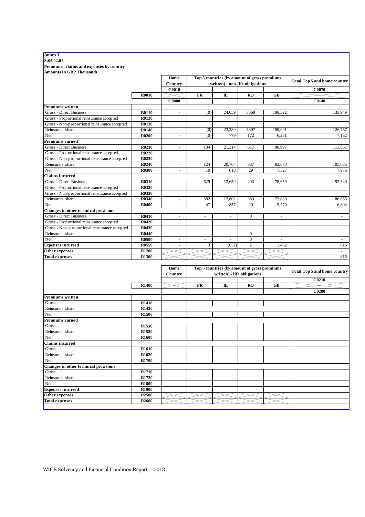#### **Annex I**

**S.05.02.01**

**Premiums, claims and expenses by country**

| <b>Amounts in GBP Thousands</b>                |                   |                          |                          |                                              |                             |                          |                                     |
|------------------------------------------------|-------------------|--------------------------|--------------------------|----------------------------------------------|-----------------------------|--------------------------|-------------------------------------|
|                                                |                   | Home                     |                          | Top 5 countries (by amount of gross premiums |                             |                          | <b>Total Top 5 and home country</b> |
|                                                |                   | Country                  |                          | written) - non-life obligations              |                             |                          |                                     |
|                                                |                   | <b>C0010</b>             |                          |                                              |                             |                          | C0070                               |
|                                                | <b>R0010</b>      |                          | FR                       | IE                                           | <b>RO</b>                   | GB                       |                                     |
|                                                |                   | <b>C0080</b>             |                          |                                              |                             |                          | C0140                               |
| <b>Premiums written</b>                        |                   |                          |                          |                                              |                             |                          |                                     |
| <b>Gross - Direct Business</b>                 | <b>R0110</b>      | $\sim$                   | (0)                      | 24,059                                       | 3569                        | 106,322                  | 133,949                             |
| Gross - Proportional reinsurance accepted      | R0120             |                          |                          |                                              |                             |                          |                                     |
| Gross - Non-proportional reinsurance accepted  | R0130             |                          |                          |                                              |                             |                          |                                     |
| Reinsurers' share                              | R0140             | $\overline{\phantom{a}}$ | (0)                      | 23,280                                       | 3397                        | 100,091                  | 126,767                             |
| Net                                            | <b>R0200</b>      | $\sim$                   | (0)                      | 779                                          | 172                         | 6,231                    | 7,182                               |
| Premiums earned                                |                   |                          |                          |                                              |                             |                          |                                     |
| <b>Gross - Direct Business</b>                 | <b>R0210</b>      | $\sim$                   | 134                      | 21,314                                       | 617                         | 90,997                   | 113,061                             |
| Gross - Proportional reinsurance accepted      | <b>R0220</b>      |                          |                          |                                              |                             |                          |                                     |
|                                                | R0230             |                          |                          |                                              |                             |                          |                                     |
| Gross - Non-proportional reinsurance accepted  |                   |                          |                          |                                              |                             |                          |                                     |
| Reinsurers' share                              | R0240             | $\overline{\phantom{a}}$ | 124                      | 20,704                                       | 587                         | 83,670                   | 105,085                             |
| Net                                            | <b>R0300</b>      | $\sim$                   | 10                       | 610                                          | 29                          | 7,327                    | 7,976                               |
| <b>Claims incurred</b>                         |                   |                          |                          |                                              |                             |                          |                                     |
| <b>Gross - Direct Business</b>                 | <b>R0310</b>      | $\sim$                   | 629                      | 13,659                                       | 403                         | 78,659                   | 93,349                              |
| Gross - Proportional reinsurance accepted      | <b>R0320</b>      |                          |                          |                                              |                             |                          |                                     |
| Gross - Non-proportional reinsurance accepted  | R0330             |                          |                          |                                              |                             |                          |                                     |
| Reinsurers' share                              | R0340             |                          | 582                      | 12,802                                       | 383                         | 72,889                   | 86,655                              |
| Net                                            | <b>R0400</b>      | ä,                       | 47                       | 857                                          | 20                          | 5,770                    | 6,694                               |
| Changes in other technical provisions          |                   |                          |                          |                                              |                             |                          |                                     |
| Gross - Direct Business                        | <b>R0410</b>      | $\overline{\phantom{a}}$ | $\overline{\phantom{a}}$ | $\overline{\phantom{a}}$                     | $\boldsymbol{0}$            | $\overline{\phantom{a}}$ | $\omega$                            |
| Gross - Proportional reinsurance accepted      | <b>R0420</b>      |                          |                          |                                              |                             |                          |                                     |
| Gross - Non- proportional reinsurance accepted | <b>R0430</b>      |                          |                          |                                              |                             |                          |                                     |
| Reinsurers' share                              | R0440             | $\sim$                   | ä,                       | $\sim$                                       | $\boldsymbol{0}$            | $\overline{\phantom{a}}$ | $\overline{\phantom{a}}$            |
| Net                                            | <b>R0500</b>      | $\sim$                   | $\sim$                   | $\overline{a}$                               | $\boldsymbol{0}$            | ÷.                       | ÷.                                  |
| <b>Expenses incurred</b>                       | <b>R0550</b>      |                          | 3                        | (652)                                        | $\overline{2}$              | 1,462                    | 816                                 |
| Other expenses                                 | <b>R1200</b>      |                          |                          |                                              |                             |                          |                                     |
| <b>Total expenses</b>                          | R1300             |                          |                          |                                              |                             |                          | 816                                 |
|                                                |                   |                          |                          |                                              |                             |                          |                                     |
|                                                |                   | Home                     |                          | Top 5 countries (by amount of gross premiums |                             |                          | <b>Total Top 5 and home country</b> |
|                                                |                   | Country                  |                          |                                              | written) - life obligations |                          |                                     |
|                                                |                   |                          |                          |                                              |                             |                          | C0210                               |
|                                                | R1400             |                          | FR                       | IE                                           | <b>RO</b>                   | <b>GB</b>                |                                     |
|                                                |                   |                          |                          |                                              |                             |                          | C0280                               |
| <b>Premiums</b> written                        |                   |                          |                          |                                              |                             |                          |                                     |
| Gross                                          | <b>R1410</b>      |                          |                          |                                              |                             |                          |                                     |
| Reinsurers' share                              | R1420             |                          |                          |                                              |                             |                          |                                     |
| Net                                            | R <sub>1500</sub> |                          |                          |                                              |                             |                          |                                     |
| Premiums earned                                |                   |                          |                          |                                              |                             |                          |                                     |
| Gross                                          | R <sub>1510</sub> |                          |                          |                                              |                             |                          |                                     |
| Reinsurers' share                              | R1520             |                          |                          |                                              |                             |                          |                                     |
| Net                                            | <b>R1600</b>      |                          |                          |                                              |                             |                          |                                     |
| <b>Claims incurred</b>                         |                   |                          |                          |                                              |                             |                          |                                     |
| Gross                                          | R <sub>1610</sub> |                          |                          |                                              |                             |                          |                                     |
| Reinsurers' share                              | R <sub>1620</sub> |                          |                          |                                              |                             |                          |                                     |
| Net                                            | R1700             |                          |                          |                                              |                             |                          |                                     |
| Changes in other technical provisions          |                   |                          |                          |                                              |                             |                          |                                     |
| Gross                                          | R <sub>1710</sub> |                          |                          |                                              |                             |                          |                                     |
| Reinsurers' share                              | R1720             |                          |                          |                                              |                             |                          |                                     |
| Net                                            | R <sub>1800</sub> |                          |                          |                                              |                             |                          |                                     |
| <b>Expenses incurred</b>                       | R <sub>1900</sub> |                          |                          |                                              |                             |                          |                                     |
| Other expenses                                 | R <sub>2500</sub> |                          |                          |                                              |                             |                          |                                     |
| <b>Total expenses</b>                          | R <sub>2600</sub> |                          |                          |                                              |                             |                          |                                     |
|                                                |                   |                          |                          |                                              |                             |                          |                                     |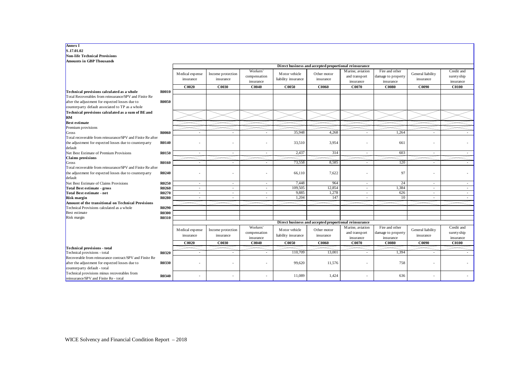| S.17.01.02                                                                                                                                 |              |                              |                                |                                       |                                      |                                                       |                                                |                                                   |                                |                                        |
|--------------------------------------------------------------------------------------------------------------------------------------------|--------------|------------------------------|--------------------------------|---------------------------------------|--------------------------------------|-------------------------------------------------------|------------------------------------------------|---------------------------------------------------|--------------------------------|----------------------------------------|
| <b>Non-life Technical Provisions</b>                                                                                                       |              |                              |                                |                                       |                                      |                                                       |                                                |                                                   |                                |                                        |
| <b>Amounts in GBP Thousands</b>                                                                                                            |              |                              |                                |                                       |                                      |                                                       |                                                |                                                   |                                |                                        |
|                                                                                                                                            |              |                              |                                |                                       |                                      | Direct business and accepted proportional reinsurance |                                                |                                                   |                                |                                        |
|                                                                                                                                            |              | Medical expense<br>insurance | Income protection<br>insurance | Workers'<br>compensation<br>insurance | Motor vehicle<br>liability insurance | Other motor<br>insurance                              | Marine, aviation<br>and transport<br>insurance | Fire and other<br>damage to property<br>insurance | General liability<br>insurance | Credit and<br>surety ship<br>insurance |
|                                                                                                                                            |              | C0020                        | C0030                          | C0040                                 | C0050                                | <b>C0060</b>                                          | C0070                                          | <b>C0080</b>                                      | C0090                          | <b>C0100</b>                           |
| Technical provisions calculated as a whole                                                                                                 | <b>R0010</b> |                              |                                |                                       |                                      |                                                       |                                                |                                                   |                                |                                        |
| Total Recoverables from reinsurance/SPV and Finite Re                                                                                      |              |                              |                                |                                       |                                      |                                                       |                                                |                                                   |                                |                                        |
| after the adjustment for expected losses due to                                                                                            | <b>R0050</b> |                              |                                |                                       |                                      |                                                       |                                                |                                                   |                                |                                        |
| counterparty default associated to TP as a whole                                                                                           |              |                              |                                |                                       |                                      |                                                       |                                                |                                                   |                                |                                        |
| Technical provisions calculated as a sum of BE and                                                                                         |              |                              |                                |                                       |                                      |                                                       |                                                |                                                   |                                |                                        |
| <b>RM</b>                                                                                                                                  |              |                              |                                |                                       |                                      |                                                       |                                                |                                                   |                                |                                        |
| <b>Best estimate</b>                                                                                                                       |              |                              |                                |                                       |                                      |                                                       |                                                |                                                   |                                |                                        |
| Premium provisions                                                                                                                         |              |                              |                                |                                       |                                      |                                                       |                                                |                                                   |                                |                                        |
| Gross                                                                                                                                      | <b>R0060</b> | $\overline{a}$               |                                |                                       | 35.948                               | 4.268                                                 |                                                | 1.264                                             |                                |                                        |
| Total recoverable from reinsurance/SPV and Finite Re after                                                                                 |              |                              |                                |                                       |                                      |                                                       |                                                |                                                   |                                |                                        |
| the adjustment for expected losses due to counterparty<br>default                                                                          | <b>R0140</b> |                              |                                |                                       | 33,510                               | 3,954                                                 |                                                | 661                                               |                                |                                        |
| Net Best Estimate of Premium Provisions                                                                                                    | R0150        |                              |                                |                                       | 2,437                                | 314                                                   |                                                | 603                                               |                                |                                        |
| Claims provisions                                                                                                                          |              |                              |                                |                                       |                                      |                                                       |                                                |                                                   |                                |                                        |
| Gross                                                                                                                                      | <b>R0160</b> | $\blacksquare$               | $\overline{\phantom{a}}$       |                                       | 73,558                               | 8,585                                                 |                                                | 120                                               |                                |                                        |
| Total recoverable from reinsurance/SPV and Finite Re after<br>the adjustment for expected losses due to counterparty<br>default            | R0240        |                              |                                |                                       | 66,110                               | 7,622                                                 | ٠                                              | 97                                                | ÷,                             |                                        |
| Net Best Estimate of Claims Provisions                                                                                                     | R0250        | $\sim$                       | $\sim$                         | $\sim$                                | 7,448                                | 964                                                   | $\sim$                                         | 24                                                | $\sim$                         | $\sim$                                 |
| <b>Total Best estimate - gross</b>                                                                                                         | R0260        | $\overline{a}$               | $\sim$                         | $\overline{\phantom{a}}$              | 109,505                              | 12,854                                                | $\overline{\phantom{a}}$                       | 1,384                                             | $\overline{\phantom{a}}$       | $\sim$                                 |
| Total Best estimate - net                                                                                                                  | R0270        | $\sim$                       | $\sim$                         | $\sim$                                | 9,885                                | 1,278                                                 | $\sim$                                         | 626                                               | $\sim$                         | $\sim$                                 |
| <b>Risk margin</b>                                                                                                                         | <b>R0280</b> | $\overline{a}$               | $\sim$                         | ÷.                                    | 1,204                                | 147                                                   | $\sim$                                         | 10                                                | $\sim$                         | $\sim$                                 |
| <b>Amount of the transitional on Technical Provisions</b>                                                                                  |              |                              |                                |                                       |                                      |                                                       |                                                |                                                   |                                |                                        |
| Technical Provisions calculated as a whole                                                                                                 | R0290        |                              |                                |                                       |                                      |                                                       |                                                |                                                   |                                |                                        |
| Best estimate                                                                                                                              | <b>R0300</b> |                              |                                |                                       |                                      |                                                       |                                                |                                                   |                                |                                        |
| Risk margin                                                                                                                                | <b>R0310</b> |                              |                                |                                       |                                      |                                                       |                                                |                                                   |                                |                                        |
|                                                                                                                                            |              |                              |                                |                                       |                                      | Direct business and accepted proportional reinsurance |                                                |                                                   |                                |                                        |
|                                                                                                                                            |              | Medical expense<br>insurance | Income protection<br>insurance | Workers'<br>compensation<br>insurance | Motor vehicle<br>liability insurance | Other motor<br>insurance                              | Marine, aviation<br>and transport<br>insurance | Fire and other<br>damage to property<br>insurance | General liability<br>insurance | Credit and<br>suretyship<br>insurance  |
|                                                                                                                                            |              | <b>C0020</b>                 | C0030                          | CO040                                 | C0050                                | C0060                                                 | C0070                                          | <b>C0080</b>                                      | C0090                          | <b>C0100</b>                           |
| <b>Technical provisions - total</b>                                                                                                        |              |                              |                                |                                       |                                      |                                                       |                                                |                                                   |                                |                                        |
| Technical provisions - total                                                                                                               | R0320        | ä,                           | $\sim$                         |                                       | 110,709                              | 13,001                                                |                                                | 1.394                                             |                                |                                        |
| Recoverable from reinsurance contract/SPV and Finite Re<br>after the adjustment for expected losses due to<br>counterparty default - total | R0330        |                              |                                |                                       | 99,620                               | 11,576                                                |                                                | 758                                               |                                |                                        |
| Technical provisions minus recoverables from<br>reinsurance/SPV and Finite Re - total                                                      | R0340        |                              |                                |                                       | 11,089                               | 1,424                                                 |                                                | 636                                               |                                |                                        |

┓

**Annex I**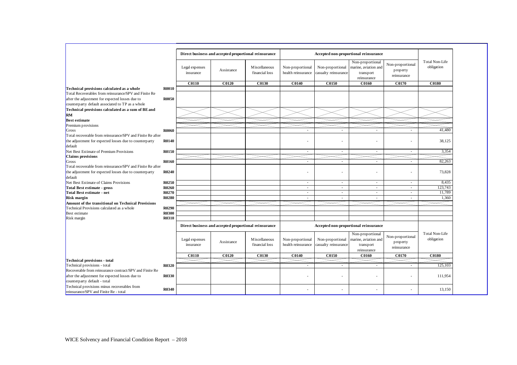|                                                                                                                                                                                        |                             | Direct business and accepted proportional reinsurance |                                   |                                        |                                          |                                                                      |                                             |                              |
|----------------------------------------------------------------------------------------------------------------------------------------------------------------------------------------|-----------------------------|-------------------------------------------------------|-----------------------------------|----------------------------------------|------------------------------------------|----------------------------------------------------------------------|---------------------------------------------|------------------------------|
|                                                                                                                                                                                        | Legal expenses<br>insurance | Assistance                                            | M is cellaneous<br>financial loss | Non-proportional<br>health reinsurance | Non-proportional<br>casualty reinsurance | Non-proportional<br>marine, aviation and<br>transport<br>reinsurance | Non-proportional<br>property<br>reinsurance | Total Non-Life<br>obligation |
|                                                                                                                                                                                        | C <sub>0110</sub>           | C <sub>0120</sub>                                     | C0130                             | C0140                                  | C0150                                    | C0160                                                                | C0170                                       | <b>C0180</b>                 |
| <b>R0010</b><br>Technical provisions calculated as a whole<br>Total Recoverables from reinsurance/SPV and Finite Re<br>after the adjustment for expected losses due to<br><b>R0050</b> |                             |                                                       |                                   |                                        |                                          |                                                                      |                                             |                              |
| counterparty default associated to TP as a whole<br>Technical provisions calculated as a sum of BE and<br><b>RM</b>                                                                    |                             |                                                       |                                   |                                        |                                          |                                                                      |                                             |                              |
| <b>Best estimate</b>                                                                                                                                                                   |                             |                                                       |                                   |                                        |                                          |                                                                      |                                             |                              |
| Premium provisions                                                                                                                                                                     |                             |                                                       |                                   |                                        |                                          |                                                                      |                                             |                              |
| R0060<br>Gross                                                                                                                                                                         |                             |                                                       |                                   |                                        |                                          |                                                                      |                                             | 41,480                       |
| Total recoverable from reinsurance/SPV and Finite Re after<br>the adjustment for expected losses due to counterparty<br><b>R0140</b><br>default                                        |                             |                                                       |                                   |                                        | ٠                                        |                                                                      |                                             | 38,125                       |
| Net Best Estimate of Premium Provisions<br><b>R0150</b>                                                                                                                                |                             |                                                       |                                   | $\sim$                                 | $\sim$                                   | $\sim$                                                               | $\sim$                                      | 3,354                        |
| <b>Claims</b> provisions                                                                                                                                                               |                             |                                                       |                                   |                                        |                                          |                                                                      |                                             |                              |
| R0160<br>Gross                                                                                                                                                                         |                             |                                                       |                                   |                                        | ÷.                                       |                                                                      | $\sim$                                      | 82,263                       |
| Total recoverable from reinsurance/SPV and Finite Re after                                                                                                                             |                             |                                                       |                                   |                                        |                                          |                                                                      |                                             |                              |
| <b>R0240</b><br>the adjustment for expected losses due to counterparty<br>default                                                                                                      |                             |                                                       |                                   | ٠                                      | ٠                                        |                                                                      |                                             | 73,828                       |
| Net Best Estimate of Claims Provisions<br>R0250                                                                                                                                        |                             |                                                       |                                   | $\sim$                                 | ×.                                       | $\sim$                                                               | ×.                                          | 8,435                        |
| <b>Total Best estimate - gross</b><br><b>R0260</b>                                                                                                                                     |                             |                                                       |                                   | $\sim$                                 | $\sim$                                   | $\sim$                                                               | $\sim$                                      | 123,743                      |
| <b>R0270</b><br>Total Best estimate - net                                                                                                                                              |                             |                                                       |                                   | ٠                                      | ٠                                        | $\sim$                                                               | $\sim$                                      | 11,789                       |
| <b>R0280</b><br><b>Risk margin</b>                                                                                                                                                     |                             |                                                       |                                   |                                        |                                          |                                                                      |                                             | 1,360                        |
| Amount of the transitional on Technical Provisions                                                                                                                                     |                             |                                                       |                                   |                                        |                                          |                                                                      |                                             |                              |
| Technical Provisions calculated as a whole<br>R0290                                                                                                                                    |                             |                                                       |                                   |                                        |                                          |                                                                      |                                             |                              |
| <b>R0300</b><br>Best estimate                                                                                                                                                          |                             |                                                       |                                   |                                        |                                          |                                                                      |                                             |                              |
| Risk margin<br>R0310                                                                                                                                                                   |                             |                                                       |                                   |                                        |                                          |                                                                      |                                             |                              |
|                                                                                                                                                                                        |                             | Direct business and accepted proportional reinsurance |                                   |                                        |                                          | Accepted non-proportional reinsurance                                |                                             |                              |
|                                                                                                                                                                                        | Legal expenses<br>insurance | Assistance                                            | M is cellaneous<br>financial loss | Non-proportional<br>health reinsurance | Non-proportional<br>casualty reinsurance | Non-proportional<br>marine, aviation and<br>transport<br>reinsurance | Non-proportional<br>property<br>reinsurance | Total Non-Life<br>obligation |
|                                                                                                                                                                                        | <b>C0110</b>                | C0120                                                 | C0130                             | C0140                                  | C0150                                    | C0160                                                                | C0170                                       | <b>C0180</b>                 |
| <b>Technical provisions - total</b>                                                                                                                                                    |                             |                                                       |                                   |                                        |                                          |                                                                      |                                             |                              |
| Technical provisions - total<br>R0320                                                                                                                                                  |                             |                                                       |                                   |                                        |                                          |                                                                      |                                             | 125,103                      |
| Recoverable from reinsurance contract/SPV and Finite Re                                                                                                                                |                             |                                                       |                                   |                                        |                                          |                                                                      |                                             |                              |
| after the adjustment for expected losses due to<br><b>R0330</b>                                                                                                                        |                             |                                                       |                                   |                                        | ٠                                        |                                                                      |                                             | 111,954                      |
| counterparty default - total                                                                                                                                                           |                             |                                                       |                                   |                                        |                                          |                                                                      |                                             |                              |
| Technical provisions minus recoverables from<br>R0340<br>reinsurance/SPV and Finite Re - total                                                                                         |                             |                                                       |                                   |                                        |                                          |                                                                      |                                             | 13,150                       |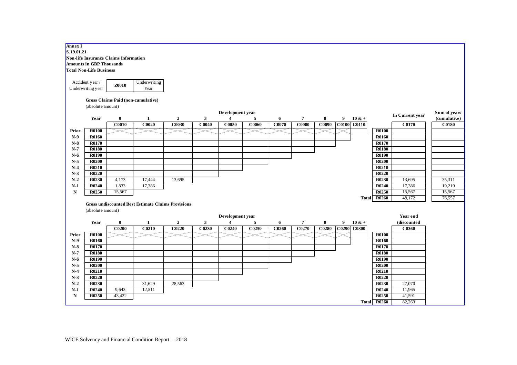| Annex I<br>S.19.01.21 | Amounts in GBP Thousands<br><b>Total Non-Life Business</b><br>Accident year /<br>Underwriting year | Non-life Insurance Claims Information<br><b>Z0010</b> | Underwriting<br>Year                                      |                   |              |                  |                   |              |                   |                   |             |           |              |                 |              |
|-----------------------|----------------------------------------------------------------------------------------------------|-------------------------------------------------------|-----------------------------------------------------------|-------------------|--------------|------------------|-------------------|--------------|-------------------|-------------------|-------------|-----------|--------------|-----------------|--------------|
|                       |                                                                                                    | Gross Claims Paid (non-cumulative)                    |                                                           |                   |              |                  |                   |              |                   |                   |             |           |              |                 |              |
|                       | (absolute amount)                                                                                  |                                                       |                                                           |                   |              |                  |                   |              |                   |                   |             |           |              |                 |              |
|                       |                                                                                                    |                                                       |                                                           |                   |              | Development year |                   |              |                   |                   |             |           |              | In Current year | Sum of years |
|                       | Year                                                                                               | $\bf{0}$                                              | 1                                                         | $\overline{2}$    | 3            | $\overline{4}$   | 5                 | 6            | $\overline{7}$    | 8                 | 9           | $10 \& +$ |              |                 | (cumulative) |
|                       |                                                                                                    | <b>C0010</b>                                          | C0020                                                     | C0030             | <b>C0040</b> | <b>C0050</b>     | C0060             | <b>C0070</b> | <b>C0080</b>      | C0090             | C0100 C0110 |           |              | <b>C0170</b>    | <b>C0180</b> |
| Prior                 | <b>R0100</b>                                                                                       |                                                       |                                                           |                   |              |                  |                   |              |                   |                   |             |           | <b>R0100</b> |                 |              |
| $N-9$                 | <b>R0160</b>                                                                                       |                                                       |                                                           |                   |              |                  |                   |              |                   |                   |             |           | <b>R0160</b> |                 |              |
| $\bf N\text{-}8$      | R0170                                                                                              |                                                       |                                                           |                   |              |                  |                   |              |                   |                   |             |           | R0170        |                 |              |
| $N-7$                 | R0180                                                                                              |                                                       |                                                           |                   |              |                  |                   |              |                   |                   |             |           | <b>R0180</b> |                 |              |
| $N-6$                 | R0190                                                                                              |                                                       |                                                           |                   |              |                  |                   |              |                   |                   |             |           | <b>R0190</b> |                 |              |
| $N-5$                 | <b>R0200</b>                                                                                       |                                                       |                                                           |                   |              |                  |                   |              |                   |                   |             |           | <b>R0200</b> |                 |              |
| $N-4$                 | R0210                                                                                              |                                                       |                                                           |                   |              |                  |                   |              |                   |                   |             |           | <b>R0210</b> |                 |              |
| $N-3$                 | R0220                                                                                              |                                                       |                                                           |                   |              |                  |                   |              |                   |                   |             |           | <b>R0220</b> |                 |              |
| $N-2$                 | R0230                                                                                              | 4,173                                                 | 17,444                                                    | 13,695            |              |                  |                   |              |                   |                   |             |           | <b>R0230</b> | 13,695          | 35,311       |
| $N-1$                 | <b>R0240</b>                                                                                       | 1,833                                                 | 17,386                                                    |                   |              |                  |                   |              |                   |                   |             |           | <b>R0240</b> | 17,386          | 19,219       |
| $\mathbf N$           | R0250                                                                                              | 15,567                                                |                                                           |                   |              |                  |                   |              |                   |                   |             |           | <b>R0250</b> | 15,567          | 15,567       |
|                       |                                                                                                    |                                                       |                                                           |                   |              |                  |                   |              |                   |                   |             |           | Total R0260  | 48,172          | 76,557       |
|                       |                                                                                                    |                                                       | <b>Gross undiscounted Best Estimate Claims Provisions</b> |                   |              |                  |                   |              |                   |                   |             |           |              |                 |              |
|                       | (absolute amount)                                                                                  |                                                       |                                                           |                   |              |                  |                   |              |                   |                   |             |           |              |                 |              |
|                       |                                                                                                    |                                                       |                                                           |                   |              | Development year |                   |              |                   |                   |             |           |              | Year end        |              |
|                       | Year                                                                                               | $\bf{0}$                                              | 1                                                         | $\overline{2}$    | $\mathbf{3}$ | $\overline{4}$   | 5                 | -6           | $\overline{7}$    | 8                 | 9           | $10 & +$  |              | (discounted     |              |
|                       |                                                                                                    | C <sub>0200</sub>                                     | C <sub>0210</sub>                                         | C <sub>0220</sub> | C0230        | C0240            | C <sub>0250</sub> | C0260        | C <sub>0270</sub> | C <sub>0280</sub> | C0290 C0300 |           |              | C0360           |              |
| Prior                 | <b>R0100</b>                                                                                       |                                                       |                                                           |                   |              |                  |                   |              |                   |                   |             |           | <b>R0100</b> |                 |              |
| $N-9$                 | <b>R0160</b>                                                                                       |                                                       |                                                           |                   |              |                  |                   |              |                   |                   |             |           | <b>R0160</b> |                 |              |
| $N-8$                 | <b>R0170</b>                                                                                       |                                                       |                                                           |                   |              |                  |                   |              |                   |                   |             |           | <b>R0170</b> |                 |              |
| $N-7$                 | <b>R0180</b>                                                                                       |                                                       |                                                           |                   |              |                  |                   |              |                   |                   |             |           | <b>R0180</b> |                 |              |
| $N-6$                 | R0190                                                                                              |                                                       |                                                           |                   |              |                  |                   |              |                   |                   |             |           | R0190        |                 |              |
| $N-5$                 | <b>R0200</b>                                                                                       |                                                       |                                                           |                   |              |                  |                   |              |                   |                   |             |           | <b>R0200</b> |                 |              |
| $N-4$                 | <b>R0210</b>                                                                                       |                                                       |                                                           |                   |              |                  |                   |              |                   |                   |             |           | <b>R0210</b> |                 |              |
| $N-3$                 | <b>R0220</b>                                                                                       |                                                       |                                                           |                   |              |                  |                   |              |                   |                   |             |           | <b>R0220</b> |                 |              |
| $N-2$                 | R0230                                                                                              |                                                       | 31,629                                                    | 28,563            |              |                  |                   |              |                   |                   |             |           | R0230        | 27,070          |              |
| $N-1$                 | R0240                                                                                              | 9,643                                                 | 12,511                                                    |                   |              |                  |                   |              |                   |                   |             |           | <b>R0240</b> | 11,965          |              |
| ${\bf N}$             | R0250                                                                                              | 43,422                                                |                                                           |                   |              |                  |                   |              |                   |                   |             |           | R0250        | 41,591          |              |
|                       |                                                                                                    |                                                       |                                                           |                   |              |                  |                   |              |                   |                   |             |           | Total R0260  | 82,263          |              |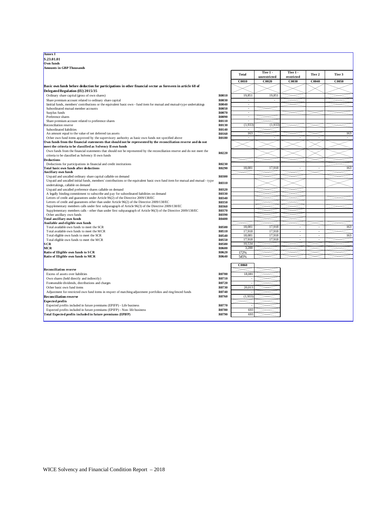**Annex I S.23.01.01 Own funds Amounts in GBP Thousands**

|                                                                                                                                                                  |              | 1 vua        | unrestricted | restricted | 11Cl / |       |
|------------------------------------------------------------------------------------------------------------------------------------------------------------------|--------------|--------------|--------------|------------|--------|-------|
|                                                                                                                                                                  |              | <b>C0010</b> | C0020        | C0030      | C0040  | C0050 |
| Basic own funds before deduction for participations in other financial sector as foreseen in article 68 of<br>Delegated Regulation (EU) 2015/35                  |              |              |              |            |        |       |
| Ordinary share capital (gross of own shares)                                                                                                                     | <b>R0010</b> | 19,851       | 19,851       |            |        |       |
| Share premium account related to ordinary share capital                                                                                                          | R0030        |              |              |            |        |       |
| Imitial funds, members' contributions or the equivalent basic own - fund item for mutual and mutual-type undertakings                                            | R0040        | ä,           |              |            |        |       |
| Subordinated mutual member accounts                                                                                                                              | R0050        |              |              |            |        |       |
| Surplus funds                                                                                                                                                    | <b>R0070</b> | J.           |              |            |        |       |
| Preference shares                                                                                                                                                | R0090        |              |              |            |        |       |
| Share premium account related to preference shares                                                                                                               | <b>R0110</b> |              |              |            |        |       |
| Reconciliation reserve                                                                                                                                           | R0130        | (1, 933)     | (1, 933)     |            |        |       |
| Subordinated liabilities                                                                                                                                         | R0140        |              |              |            |        |       |
| An amount equal to the value of net deferred tax assets                                                                                                          | <b>R0160</b> | 163          |              |            |        | 163   |
| Other own fund items approved by the supervisory authority as basic own funds not specified above                                                                | <b>R0180</b> |              |              |            |        |       |
| Own funds from the financial statements that should not be represented by the reconciliation reserve and do not                                                  |              |              |              |            |        |       |
| meet the criteria to be classified as Solvency II own funds                                                                                                      |              |              |              |            |        |       |
| Own funds from the financial statements that should not be represented by the reconciliation reserve and do not meet the                                         |              |              |              |            |        |       |
| criteria to be classified as Solvency II own funds                                                                                                               | R0220        |              |              |            |        |       |
| Deductions                                                                                                                                                       |              |              |              |            |        |       |
| Deductions for participations in financial and credit institutions                                                                                               | R0230        |              |              |            |        |       |
| Total basic own funds after deductions                                                                                                                           | R0290        | 18,081       | 17,918       |            |        | 163   |
| Ancillary own funds                                                                                                                                              |              |              |              |            |        |       |
| Unpaid and uncalled ordinary share capital callable on demand                                                                                                    | <b>R0300</b> |              |              |            |        |       |
| Unpaid and uncalled initial funds, members' contributions or the equivalent basic own fund item for mutual and mutual - type<br>undertakings, callable on demand | R0310        |              |              |            |        |       |
| Unpaid and uncalled preference shares callable on demand                                                                                                         | R0320        |              |              |            |        |       |
| A legally binding commitment to subscribe and pay for subordinated liabilities on demand                                                                         | R0330        |              |              |            |        |       |
| Letters of credit and guarantees under Article 96(2) of the Directive 2009/138/EC                                                                                | R0340        |              |              |            |        |       |
| Letters of credit and guarantees other than under Article 96(2) of the Directive 2009/138/EC                                                                     | R0350        |              |              |            |        |       |
| Supplementary members calls under first subparagraph of Article 96(3) of the Directive 2009/138/EC                                                               | <b>R0360</b> |              |              |            |        |       |
| Supplementary members calls - other than under first subparagraph of Article 96(3) of the Directive 2009/138/EC                                                  | R0370        |              |              |            |        |       |
| Other ancillary own funds                                                                                                                                        | R0390        |              |              |            |        |       |
| <b>Total ancillary own funds</b>                                                                                                                                 | R0400        |              |              |            |        |       |
| Available and eligible own funds                                                                                                                                 |              |              |              |            |        |       |
| Total available own funds to meet the SCR                                                                                                                        | <b>R0500</b> | 18,081       | 17,918       |            |        | 163   |
| Total available own funds to meet the MCR                                                                                                                        | R0510        | 17,918       | 17,918       | ×.         |        |       |
| Total eligible own funds to meet the SCR                                                                                                                         | R0540        | 18.081       | 17,918       |            |        | 163   |
| Total eligible own funds to meet the MCR                                                                                                                         | R0550        | 17,918       | 17,918       |            |        |       |
| SCR                                                                                                                                                              | <b>R0580</b> | 10.534       |              |            |        |       |
| MCR                                                                                                                                                              | <b>R0600</b> | 3,288        |              |            |        |       |
| Ratio of Eligible own funds to SCR                                                                                                                               | R0620        | 172%         |              |            |        |       |
| Ratio of Eligible own funds to MCR                                                                                                                               | <b>R0640</b> | 545%         |              |            |        |       |
|                                                                                                                                                                  |              | C0060        |              |            |        |       |
| Reconciliation reserve                                                                                                                                           |              |              |              |            |        |       |
|                                                                                                                                                                  | <b>R0700</b> |              |              |            |        |       |
| Excess of assets over liabilities                                                                                                                                |              | 18,081       |              |            |        |       |
| Own shares (held directly and indirectly)                                                                                                                        | R0710        |              |              |            |        |       |
| Foreseeable dividends, distributions and charges                                                                                                                 | R0720        |              |              |            |        |       |
| Other basic own fund items                                                                                                                                       | R0730        | 20,013       |              |            |        |       |
| Adjustment for restricted own fund items in respect of matching adjustment portfolios and ring fenced funds                                                      | R0740        |              |              |            |        |       |
| <b>Reconciliation reserve</b>                                                                                                                                    | R0760        | (1,933)      |              |            |        |       |
| <b>Expected profits</b>                                                                                                                                          |              |              |              |            |        |       |
| Expected profits included in future premiums (EPIFP) - Life business                                                                                             | R0770        |              |              |            |        |       |
| Expected profits included in future premiums (EPIFP) - Non- life business                                                                                        | R0780        | 693          |              |            |        |       |
| Total Expected profits included in future premiums (EPIFP)                                                                                                       | R0790        | 693          |              |            |        |       |
|                                                                                                                                                                  |              |              |              |            |        |       |
|                                                                                                                                                                  |              |              |              |            |        |       |

| <b>Total</b>       | Tier 1 -<br>unrestricted | Tier 1 -<br>restricted | Tier 2 | Tier 3       |
|--------------------|--------------------------|------------------------|--------|--------------|
| <b>C0010</b>       | C0020                    | <b>C0030</b>           | C0040  | <b>C0050</b> |
|                    |                          |                        |        |              |
|                    |                          |                        |        |              |
| 19,851             | 19,851                   |                        |        |              |
| ł,                 |                          |                        |        |              |
| ÷,<br>ä,           |                          |                        |        |              |
| ۰                  |                          |                        |        |              |
| i,                 |                          |                        |        |              |
| i,                 |                          |                        |        |              |
| (1, 933)           | (1, 933)                 |                        |        |              |
| -<br>163           |                          |                        |        | 163          |
| ÷,                 | í,                       | í,                     | ÷,     |              |
|                    |                          |                        |        |              |
|                    |                          |                        |        |              |
|                    |                          |                        |        |              |
|                    |                          |                        |        |              |
|                    |                          |                        |        |              |
| 18,081             | 17,918                   | ä,                     | ÷,     | 163          |
|                    |                          |                        |        |              |
|                    |                          |                        |        |              |
|                    |                          |                        |        |              |
|                    |                          |                        |        |              |
|                    |                          |                        |        |              |
|                    |                          |                        |        |              |
|                    |                          |                        |        |              |
|                    |                          |                        |        |              |
|                    |                          |                        |        |              |
|                    |                          |                        |        |              |
|                    |                          |                        |        |              |
| 18,081             | 17,918                   |                        |        | 163          |
| 17,918             | 17,918                   | ä,                     | ÷,     |              |
| 18,081             | 17,918                   | ٠                      | -      | 163          |
| 17,918             | 17,918                   | í,                     | ÷,     |              |
| 10,534<br>3,288    |                          |                        |        |              |
| 172%               |                          |                        |        |              |
| 545%               |                          |                        |        |              |
|                    |                          |                        |        |              |
| $\overline{C}0060$ |                          |                        |        |              |
|                    |                          |                        |        |              |
| 18,081             |                          |                        |        |              |
| $\frac{1}{2}$      |                          |                        |        |              |
| 20,013             |                          |                        |        |              |
|                    |                          |                        |        |              |
| (1,933)            |                          |                        |        |              |
|                    |                          |                        |        |              |
|                    |                          |                        |        |              |
| 693                |                          |                        |        |              |
| 693                |                          |                        |        |              |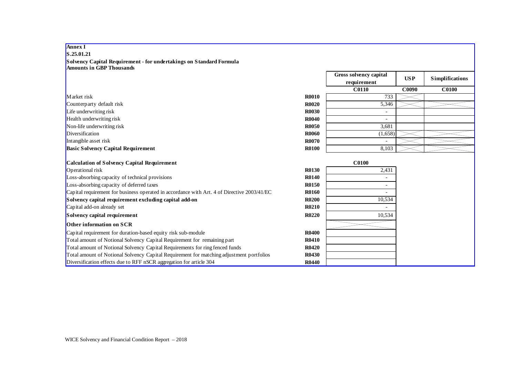| <b>5.45.01.41</b>                                                                                      |              |                                       |            |                        |
|--------------------------------------------------------------------------------------------------------|--------------|---------------------------------------|------------|------------------------|
| Solvency Capital Requirement - for undertakings on Standard Formula<br><b>Amounts in GBP Thousands</b> |              |                                       |            |                        |
|                                                                                                        |              | Gross solvency capital<br>requirement | <b>USP</b> | <b>Simplifications</b> |
|                                                                                                        |              | <b>C0110</b>                          | C0090      | <b>C0100</b>           |
| Market risk                                                                                            | <b>R0010</b> | 733                                   |            |                        |
| Counterparty default risk                                                                              | <b>R0020</b> | 5,346                                 |            |                        |
| Life underwriting risk                                                                                 | <b>R0030</b> |                                       |            |                        |
| Health underwriting risk                                                                               | <b>R0040</b> |                                       |            |                        |
| Non-life underwriting risk                                                                             | <b>R0050</b> | 3,681                                 |            |                        |
| Diversification                                                                                        | <b>R0060</b> | (1,658)                               |            |                        |
| Intangible asset risk                                                                                  | <b>R0070</b> |                                       |            |                        |
| <b>Basic Solvency Capital Requirement</b>                                                              | <b>R0100</b> | 8,103                                 |            |                        |
|                                                                                                        |              |                                       |            |                        |
| Calculation of Solvency Capital Requirement                                                            |              | <b>C0100</b>                          |            |                        |
| Operational risk                                                                                       | <b>R0130</b> | 2,431                                 |            |                        |
| Loss-absorbing capacity of technical provisions                                                        | <b>R0140</b> |                                       |            |                        |
| Loss-absorbing capacity of deferred taxes                                                              | <b>R0150</b> |                                       |            |                        |
| Capital requirement for business operated in accordance with Art. 4 of Directive 2003/41/EC            | <b>R0160</b> |                                       |            |                        |
| Solvency capital requirement excluding capital add-on                                                  | <b>R0200</b> | 10,534                                |            |                        |
| Capital add-on already set                                                                             | <b>R0210</b> |                                       |            |                        |
| Solvency capital requirement                                                                           | <b>R0220</b> | 10,534                                |            |                        |
| <b>Other information on SCR</b>                                                                        |              |                                       |            |                        |
| Capital requirement for duration-based equity risk sub-module                                          | <b>R0400</b> |                                       |            |                        |
| Total amount of Notional Solvency Capital Requirement for remaining part                               | <b>R0410</b> |                                       |            |                        |
| Total amount of Notional Solvency Capital Requirements for ring fenced funds                           | <b>R0420</b> |                                       |            |                        |
| Total amount of Notional Solvency Capital Requirement for matching adjustment portfolios               | <b>R0430</b> |                                       |            |                        |
| Diversification effects due to RFF nSCR aggregation for article 304                                    | <b>R0440</b> |                                       |            |                        |

# **Annex I S.25.01.21**